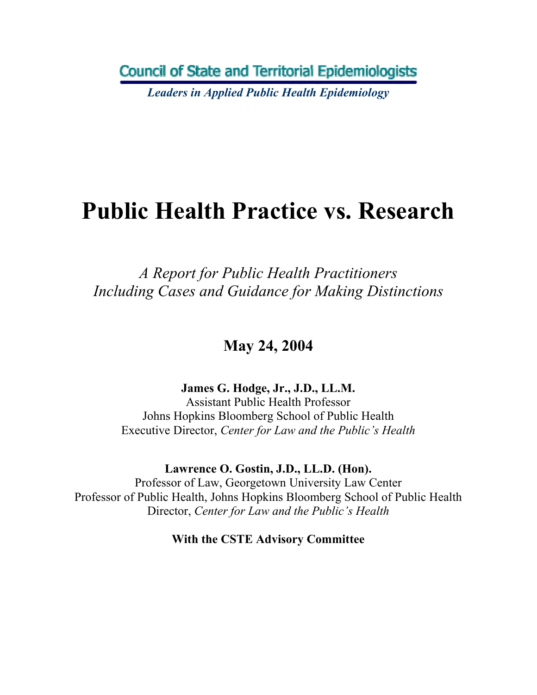**Council of State and Territorial Epidemiologists** 

*Leaders in Applied Public Health Epidemiology* 

# **Public Health Practice vs. Research**

*A Report for Public Health Practitioners Including Cases and Guidance for Making Distinctions* 

**May 24, 2004** 

**James G. Hodge, Jr., J.D., LL.M.** 

Assistant Public Health Professor Johns Hopkins Bloomberg School of Public Health Executive Director, *Center for Law and the Public's Health*

**Lawrence O. Gostin, J.D., LL.D. (Hon).** 

Professor of Law, Georgetown University Law Center Professor of Public Health, Johns Hopkins Bloomberg School of Public Health Director, *Center for Law and the Public's Health* 

**With the CSTE Advisory Committee**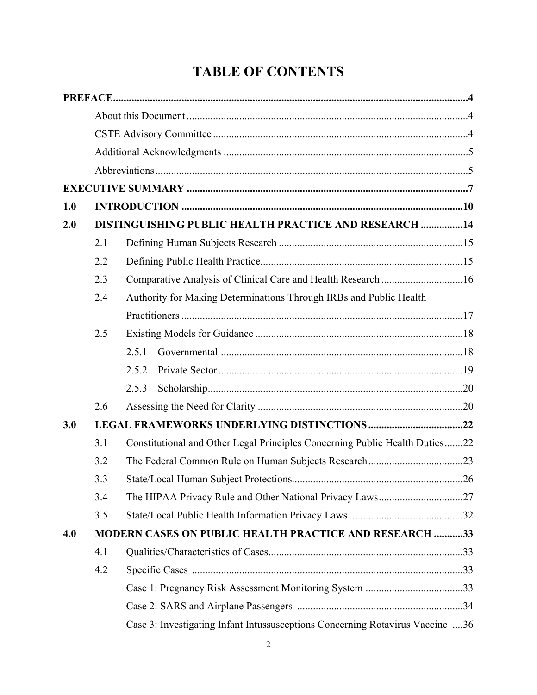## **TABLE OF CONTENTS**

| 1.0 |     |                                                                               |  |
|-----|-----|-------------------------------------------------------------------------------|--|
| 2.0 |     | <b>DISTINGUISHING PUBLIC HEALTH PRACTICE AND RESEARCH  14</b>                 |  |
|     | 2.1 |                                                                               |  |
|     | 2.2 |                                                                               |  |
|     | 2.3 | Comparative Analysis of Clinical Care and Health Research 16                  |  |
|     | 2.4 | Authority for Making Determinations Through IRBs and Public Health            |  |
|     |     |                                                                               |  |
|     | 2.5 |                                                                               |  |
|     |     | 2.5.1                                                                         |  |
|     |     | 2.5.2                                                                         |  |
|     |     | 2.5.3                                                                         |  |
|     | 2.6 |                                                                               |  |
| 3.0 |     |                                                                               |  |
|     | 3.1 | Constitutional and Other Legal Principles Concerning Public Health Duties22   |  |
|     | 3.2 |                                                                               |  |
|     | 3.3 |                                                                               |  |
|     | 3.4 |                                                                               |  |
|     | 3.5 |                                                                               |  |
| 4.0 |     | <b>MODERN CASES ON PUBLIC HEALTH PRACTICE AND RESEARCH 33</b>                 |  |
|     | 4.1 |                                                                               |  |
|     | 4.2 |                                                                               |  |
|     |     |                                                                               |  |
|     |     |                                                                               |  |
|     |     | Case 3: Investigating Infant Intussusceptions Concerning Rotavirus Vaccine 36 |  |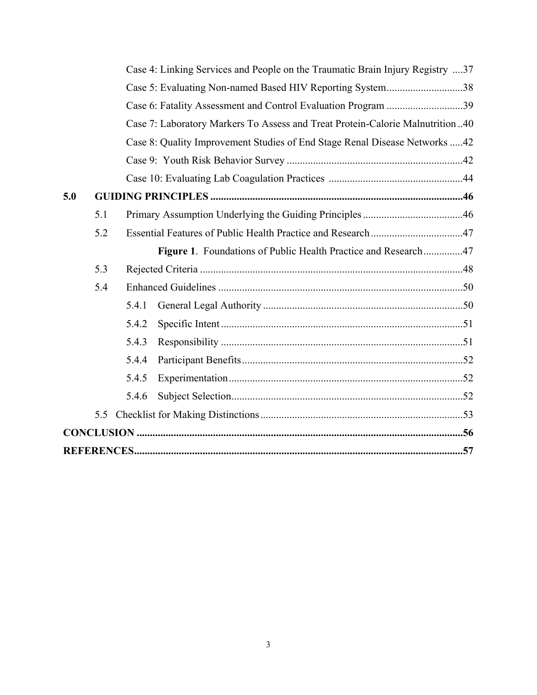|     |     |       | Case 4: Linking Services and People on the Traumatic Brain Injury Registry 37 |  |
|-----|-----|-------|-------------------------------------------------------------------------------|--|
|     |     |       | Case 5: Evaluating Non-named Based HIV Reporting System38                     |  |
|     |     |       | Case 6: Fatality Assessment and Control Evaluation Program 39                 |  |
|     |     |       | Case 7: Laboratory Markers To Assess and Treat Protein-Calorie Malnutrition40 |  |
|     |     |       | Case 8: Quality Improvement Studies of End Stage Renal Disease Networks 42    |  |
|     |     |       |                                                                               |  |
|     |     |       |                                                                               |  |
| 5.0 |     |       |                                                                               |  |
|     | 5.1 |       |                                                                               |  |
|     | 5.2 |       |                                                                               |  |
|     |     |       | Figure 1. Foundations of Public Health Practice and Research47                |  |
|     | 5.3 |       |                                                                               |  |
|     | 5.4 |       |                                                                               |  |
|     |     | 5.4.1 |                                                                               |  |
|     |     | 5.4.2 |                                                                               |  |
|     |     | 5.4.3 |                                                                               |  |
|     |     | 5.4.4 |                                                                               |  |
|     |     | 5.4.5 |                                                                               |  |
|     |     | 5.4.6 |                                                                               |  |
|     |     |       |                                                                               |  |
|     |     |       |                                                                               |  |
|     |     |       |                                                                               |  |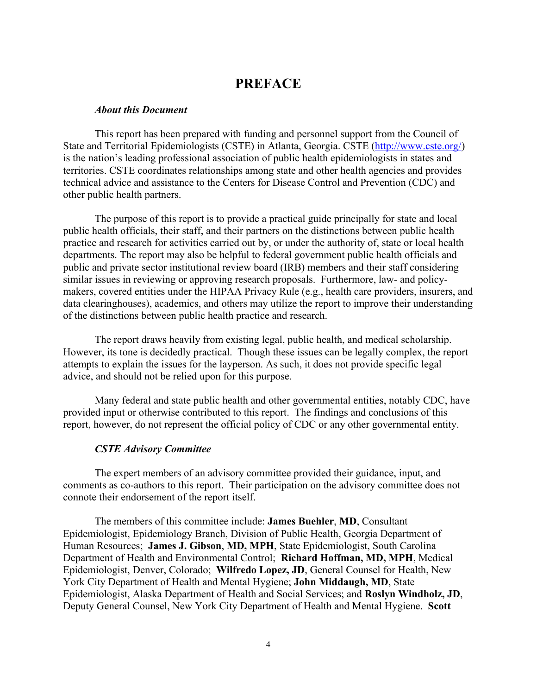## **PREFACE**

#### <span id="page-3-0"></span>*About this Document*

This report has been prepared with funding and personnel support from the Council of State and Territorial Epidemiologists (CSTE) in Atlanta, Georgia. CSTE (http://www.cste.org/) is the nation's leading professional association of public health epidemiologists in states and territories. CSTE coordinates relationships among state and other health agencies and provides technical advice and assistance to the Centers for Disease Control and Prevention (CDC) and other public health partners.

The purpose of this report is to provide a practical guide principally for state and local public health officials, their staff, and their partners on the distinctions between public health practice and research for activities carried out by, or under the authority of, state or local health departments. The report may also be helpful to federal government public health officials and public and private sector institutional review board (IRB) members and their staff considering similar issues in reviewing or approving research proposals. Furthermore, law- and policymakers, covered entities under the HIPAA Privacy Rule (e.g., health care providers, insurers, and data clearinghouses), academics, and others may utilize the report to improve their understanding of the distinctions between public health practice and research.

The report draws heavily from existing legal, public health, and medical scholarship. However, its tone is decidedly practical. Though these issues can be legally complex, the report attempts to explain the issues for the layperson. As such, it does not provide specific legal advice, and should not be relied upon for this purpose.

Many federal and state public health and other governmental entities, notably CDC, have provided input or otherwise contributed to this report. The findings and conclusions of this report, however, do not represent the official policy of CDC or any other governmental entity.

#### *CSTE Advisory Committee*

The expert members of an advisory committee provided their guidance, input, and comments as co-authors to this report. Their participation on the advisory committee does not connote their endorsement of the report itself.

The members of this committee include: **James Buehler**, **MD**, Consultant Epidemiologist, Epidemiology Branch, Division of Public Health, Georgia Department of Human Resources; **James J. Gibson**, **MD, MPH**, State Epidemiologist, South Carolina Department of Health and Environmental Control; **Richard Hoffman, MD, MPH**, Medical Epidemiologist, Denver, Colorado; **Wilfredo Lopez, JD**, General Counsel for Health, New York City Department of Health and Mental Hygiene; **John Middaugh, MD**, State Epidemiologist, Alaska Department of Health and Social Services; and **Roslyn Windholz, JD**, Deputy General Counsel, New York City Department of Health and Mental Hygiene. **Scott**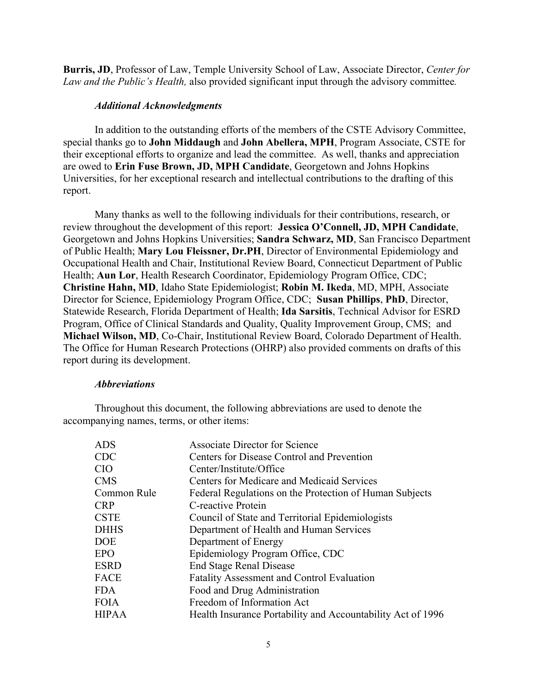<span id="page-4-0"></span>**Burris, JD**, Professor of Law, Temple University School of Law, Associate Director, *Center for Law and the Public's Health,* also provided significant input through the advisory committee*.* 

#### *Additional Acknowledgments*

In addition to the outstanding efforts of the members of the CSTE Advisory Committee, special thanks go to **John Middaugh** and **John Abellera, MPH**, Program Associate, CSTE for their exceptional efforts to organize and lead the committee. As well, thanks and appreciation are owed to **Erin Fuse Brown, JD, MPH Candidate**, Georgetown and Johns Hopkins Universities, for her exceptional research and intellectual contributions to the drafting of this report.

Many thanks as well to the following individuals for their contributions, research, or review throughout the development of this report: **Jessica O'Connell, JD, MPH Candidate**, Georgetown and Johns Hopkins Universities; **Sandra Schwarz, MD**, San Francisco Department of Public Health; **Mary Lou Fleissner, Dr.PH**, Director of Environmental Epidemiology and Occupational Health and Chair, Institutional Review Board, Connecticut Department of Public Health; **Aun Lor**, Health Research Coordinator, Epidemiology Program Office, CDC; **Christine Hahn, MD**, Idaho State Epidemiologist; **Robin M. Ikeda**, MD, MPH, Associate Director for Science, Epidemiology Program Office, CDC; **Susan Phillips**, **PhD**, Director, Statewide Research, Florida Department of Health; **Ida Sarsitis**, Technical Advisor for ESRD Program, Office of Clinical Standards and Quality, Quality Improvement Group, CMS; and **Michael Wilson, MD**, Co-Chair, Institutional Review Board, Colorado Department of Health. The Office for Human Research Protections (OHRP) also provided comments on drafts of this report during its development.

#### *Abbreviations*

Throughout this document, the following abbreviations are used to denote the accompanying names, terms, or other items:

| <b>Associate Director for Science</b>                       |
|-------------------------------------------------------------|
| Centers for Disease Control and Prevention                  |
| Center/Institute/Office                                     |
| Centers for Medicare and Medicaid Services                  |
| Federal Regulations on the Protection of Human Subjects     |
| C-reactive Protein                                          |
| Council of State and Territorial Epidemiologists            |
| Department of Health and Human Services                     |
| Department of Energy                                        |
| Epidemiology Program Office, CDC                            |
| <b>End Stage Renal Disease</b>                              |
| Fatality Assessment and Control Evaluation                  |
| Food and Drug Administration                                |
| Freedom of Information Act                                  |
| Health Insurance Portability and Accountability Act of 1996 |
|                                                             |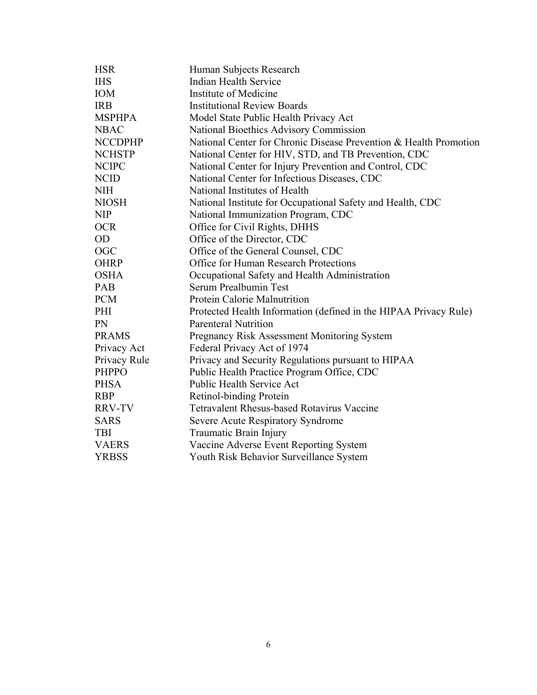| <b>HSR</b>     | Human Subjects Research                                           |
|----------------|-------------------------------------------------------------------|
| <b>IHS</b>     | <b>Indian Health Service</b>                                      |
| <b>IOM</b>     | Institute of Medicine                                             |
| <b>IRB</b>     | <b>Institutional Review Boards</b>                                |
| <b>MSPHPA</b>  | Model State Public Health Privacy Act                             |
| <b>NBAC</b>    | National Bioethics Advisory Commission                            |
| <b>NCCDPHP</b> | National Center for Chronic Disease Prevention & Health Promotion |
| <b>NCHSTP</b>  | National Center for HIV, STD, and TB Prevention, CDC              |
| <b>NCIPC</b>   | National Center for Injury Prevention and Control, CDC            |
| <b>NCID</b>    | National Center for Infectious Diseases, CDC                      |
| <b>NIH</b>     | National Institutes of Health                                     |
| <b>NIOSH</b>   | National Institute for Occupational Safety and Health, CDC        |
| <b>NIP</b>     | National Immunization Program, CDC                                |
| <b>OCR</b>     | Office for Civil Rights, DHHS                                     |
| <b>OD</b>      | Office of the Director, CDC                                       |
| <b>OGC</b>     | Office of the General Counsel, CDC                                |
| <b>OHRP</b>    | Office for Human Research Protections                             |
| <b>OSHA</b>    | Occupational Safety and Health Administration                     |
| PAB            | Serum Prealbumin Test                                             |
| <b>PCM</b>     | Protein Calorie Malnutrition                                      |
| PHI            | Protected Health Information (defined in the HIPAA Privacy Rule)  |
| PN             | <b>Parenteral Nutrition</b>                                       |
| <b>PRAMS</b>   | Pregnancy Risk Assessment Monitoring System                       |
| Privacy Act    | Federal Privacy Act of 1974                                       |
| Privacy Rule   | Privacy and Security Regulations pursuant to HIPAA                |
| <b>PHPPO</b>   | Public Health Practice Program Office, CDC                        |
| <b>PHSA</b>    | Public Health Service Act                                         |
| <b>RBP</b>     | Retinol-binding Protein                                           |
| <b>RRV-TV</b>  | <b>Tetravalent Rhesus-based Rotavirus Vaccine</b>                 |
| <b>SARS</b>    | Severe Acute Respiratory Syndrome                                 |
| <b>TBI</b>     | Traumatic Brain Injury                                            |
| <b>VAERS</b>   | Vaccine Adverse Event Reporting System                            |
| <b>YRBSS</b>   | Youth Risk Behavior Surveillance System                           |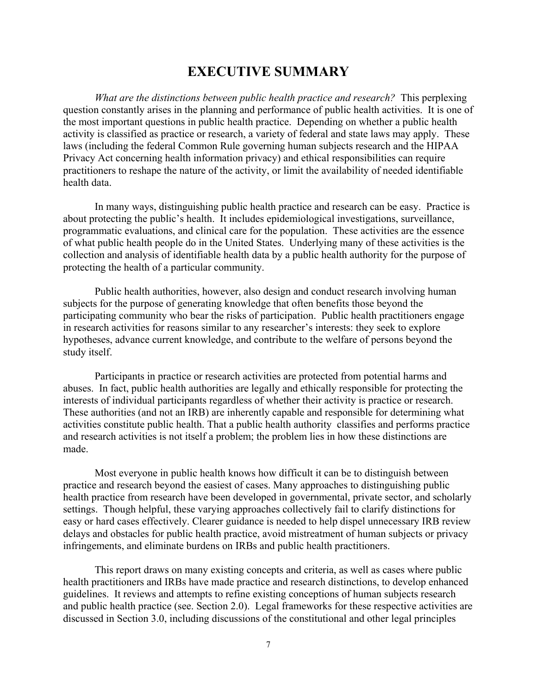## **EXECUTIVE SUMMARY**

<span id="page-6-0"></span>*What are the distinctions between public health practice and research?* This perplexing question constantly arises in the planning and performance of public health activities. It is one of the most important questions in public health practice. Depending on whether a public health activity is classified as practice or research, a variety of federal and state laws may apply. These laws (including the federal Common Rule governing human subjects research and the HIPAA Privacy Act concerning health information privacy) and ethical responsibilities can require practitioners to reshape the nature of the activity, or limit the availability of needed identifiable health data.

In many ways, distinguishing public health practice and research can be easy. Practice is about protecting the public's health. It includes epidemiological investigations, surveillance, programmatic evaluations, and clinical care for the population. These activities are the essence of what public health people do in the United States. Underlying many of these activities is the collection and analysis of identifiable health data by a public health authority for the purpose of protecting the health of a particular community.

Public health authorities, however, also design and conduct research involving human subjects for the purpose of generating knowledge that often benefits those beyond the participating community who bear the risks of participation. Public health practitioners engage in research activities for reasons similar to any researcher's interests: they seek to explore hypotheses, advance current knowledge, and contribute to the welfare of persons beyond the study itself.

Participants in practice or research activities are protected from potential harms and abuses. In fact, public health authorities are legally and ethically responsible for protecting the interests of individual participants regardless of whether their activity is practice or research. These authorities (and not an IRB) are inherently capable and responsible for determining what activities constitute public health. That a public health authority classifies and performs practice and research activities is not itself a problem; the problem lies in how these distinctions are made.

Most everyone in public health knows how difficult it can be to distinguish between practice and research beyond the easiest of cases. Many approaches to distinguishing public health practice from research have been developed in governmental, private sector, and scholarly settings. Though helpful, these varying approaches collectively fail to clarify distinctions for easy or hard cases effectively. Clearer guidance is needed to help dispel unnecessary IRB review delays and obstacles for public health practice, avoid mistreatment of human subjects or privacy infringements, and eliminate burdens on IRBs and public health practitioners.

This report draws on many existing concepts and criteria, as well as cases where public health practitioners and IRBs have made practice and research distinctions, to develop enhanced guidelines. It reviews and attempts to refine existing conceptions of human subjects research and public health practice (see. Section 2.0). Legal frameworks for these respective activities are discussed in Section 3.0, including discussions of the constitutional and other legal principles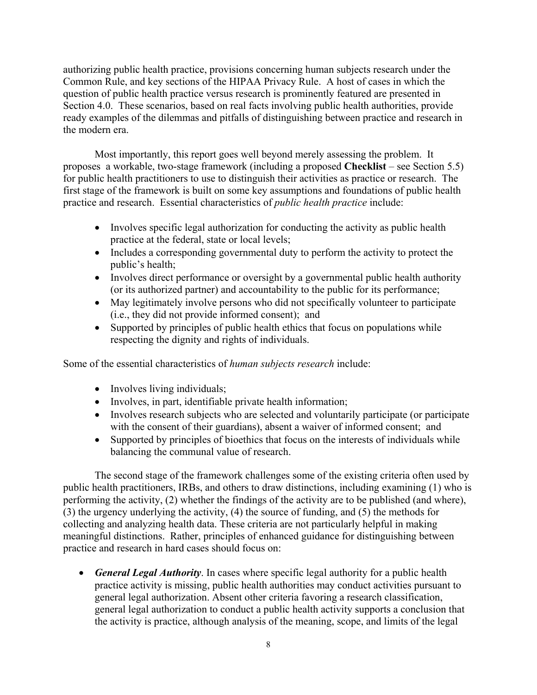authorizing public health practice, provisions concerning human subjects research under the Common Rule, and key sections of the HIPAA Privacy Rule. A host of cases in which the question of public health practice versus research is prominently featured are presented in Section 4.0. These scenarios, based on real facts involving public health authorities, provide ready examples of the dilemmas and pitfalls of distinguishing between practice and research in the modern era.

Most importantly, this report goes well beyond merely assessing the problem. It proposes a workable, two-stage framework (including a proposed **Checklist** – see Section 5.5) for public health practitioners to use to distinguish their activities as practice or research. The first stage of the framework is built on some key assumptions and foundations of public health practice and research. Essential characteristics of *public health practice* include:

- Involves specific legal authorization for conducting the activity as public health practice at the federal, state or local levels;
- Includes a corresponding governmental duty to perform the activity to protect the public's health;
- Involves direct performance or oversight by a governmental public health authority (or its authorized partner) and accountability to the public for its performance;
- May legitimately involve persons who did not specifically volunteer to participate (i.e., they did not provide informed consent); and
- Supported by principles of public health ethics that focus on populations while respecting the dignity and rights of individuals.

Some of the essential characteristics of *human subjects research* include:

- Involves living individuals;
- Involves, in part, identifiable private health information;
- Involves research subjects who are selected and voluntarily participate (or participate with the consent of their guardians), absent a waiver of informed consent; and
- Supported by principles of bioethics that focus on the interests of individuals while balancing the communal value of research.

The second stage of the framework challenges some of the existing criteria often used by public health practitioners, IRBs, and others to draw distinctions, including examining (1) who is performing the activity, (2) whether the findings of the activity are to be published (and where), (3) the urgency underlying the activity, (4) the source of funding, and (5) the methods for collecting and analyzing health data. These criteria are not particularly helpful in making meaningful distinctions. Rather, principles of enhanced guidance for distinguishing between practice and research in hard cases should focus on:

• *General Legal Authority*. In cases where specific legal authority for a public health practice activity is missing, public health authorities may conduct activities pursuant to general legal authorization. Absent other criteria favoring a research classification, general legal authorization to conduct a public health activity supports a conclusion that the activity is practice, although analysis of the meaning, scope, and limits of the legal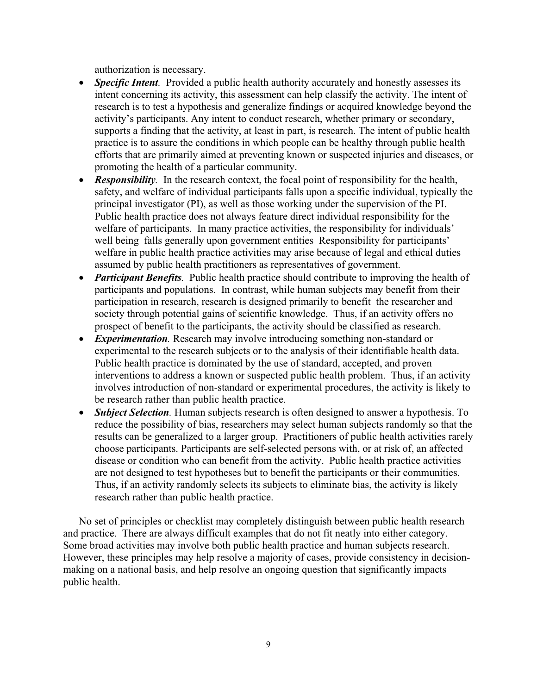authorization is necessary.

- *Specific Intent.* Provided a public health authority accurately and honestly assesses its intent concerning its activity, this assessment can help classify the activity. The intent of research is to test a hypothesis and generalize findings or acquired knowledge beyond the activity's participants. Any intent to conduct research, whether primary or secondary, supports a finding that the activity, at least in part, is research. The intent of public health practice is to assure the conditions in which people can be healthy through public health efforts that are primarily aimed at preventing known or suspected injuries and diseases, or promoting the health of a particular community.
- *Responsibility*. In the research context, the focal point of responsibility for the health, safety, and welfare of individual participants falls upon a specific individual, typically the principal investigator (PI), as well as those working under the supervision of the PI. Public health practice does not always feature direct individual responsibility for the welfare of participants. In many practice activities, the responsibility for individuals' well being falls generally upon government entities Responsibility for participants' welfare in public health practice activities may arise because of legal and ethical duties assumed by public health practitioners as representatives of government.
- *Participant Benefits*. Public health practice should contribute to improving the health of participants and populations. In contrast, while human subjects may benefit from their participation in research, research is designed primarily to benefit the researcher and society through potential gains of scientific knowledge. Thus, if an activity offers no prospect of benefit to the participants, the activity should be classified as research.
- *Experimentation*. Research may involve introducing something non-standard or experimental to the research subjects or to the analysis of their identifiable health data. Public health practice is dominated by the use of standard, accepted, and proven interventions to address a known or suspected public health problem. Thus, if an activity involves introduction of non-standard or experimental procedures, the activity is likely to be research rather than public health practice.
- *Subject Selection*. Human subjects research is often designed to answer a hypothesis. To reduce the possibility of bias, researchers may select human subjects randomly so that the results can be generalized to a larger group. Practitioners of public health activities rarely choose participants. Participants are self-selected persons with, or at risk of, an affected disease or condition who can benefit from the activity. Public health practice activities are not designed to test hypotheses but to benefit the participants or their communities. Thus, if an activity randomly selects its subjects to eliminate bias, the activity is likely research rather than public health practice.

No set of principles or checklist may completely distinguish between public health research and practice. There are always difficult examples that do not fit neatly into either category. Some broad activities may involve both public health practice and human subjects research. However, these principles may help resolve a majority of cases, provide consistency in decisionmaking on a national basis, and help resolve an ongoing question that significantly impacts public health.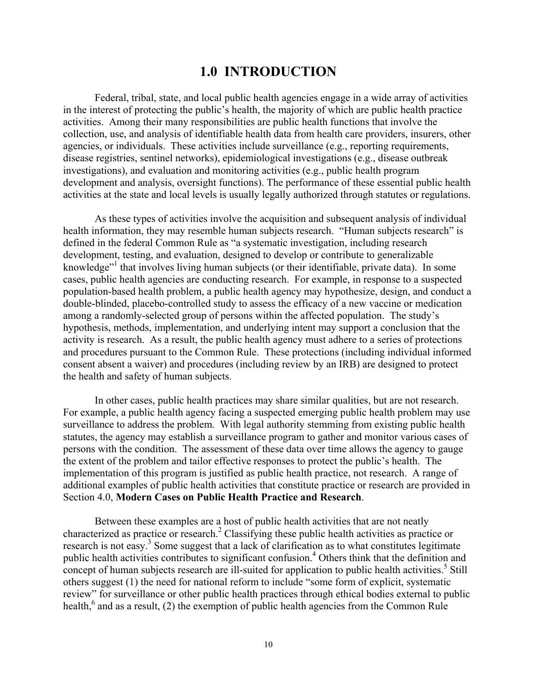### **1.0 INTRODUCTION**

<span id="page-9-0"></span>Federal, tribal, state, and local public health agencies engage in a wide array of activities in the interest of protecting the public's health, the majority of which are public health practice activities. Among their many responsibilities are public health functions that involve the collection, use, and analysis of identifiable health data from health care providers, insurers, other agencies, or individuals. These activities include surveillance (e.g., reporting requirements, disease registries, sentinel networks), epidemiological investigations (e.g., disease outbreak investigations), and evaluation and monitoring activities (e.g., public health program development and analysis, oversight functions). The performance of these essential public health activities at the state and local levels is usually legally authorized through statutes or regulations.

As these types of activities involve the acquisition and subsequent analysis of individual health information, they may resemble human subjects research. "Human subjects research" is defined in the federal Common Rule as "a systematic investigation, including research development, testing, and evaluation, designed to develop or contribute to generalizable knowledge"<sup>1</sup> that involves living human subjects (or their identifiable, private data). In some cases, public health agencies are conducting research. For example, in response to a suspected population-based health problem, a public health agency may hypothesize, design, and conduct a double-blinded, placebo-controlled study to assess the efficacy of a new vaccine or medication among a randomly-selected group of persons within the affected population. The study's hypothesis, methods, implementation, and underlying intent may support a conclusion that the activity is research. As a result, the public health agency must adhere to a series of protections and procedures pursuant to the Common Rule. These protections (including individual informed consent absent a waiver) and procedures (including review by an IRB) are designed to protect the health and safety of human subjects.

In other cases, public health practices may share similar qualities, but are not research. For example, a public health agency facing a suspected emerging public health problem may use surveillance to address the problem. With legal authority stemming from existing public health statutes, the agency may establish a surveillance program to gather and monitor various cases of persons with the condition. The assessment of these data over time allows the agency to gauge the extent of the problem and tailor effective responses to protect the public's health. The implementation of this program is justified as public health practice, not research. A range of additional examples of public health activities that constitute practice or research are provided in Section 4.0, **Modern Cases on Public Health Practice and Research**.

Between these examples are a host of public health activities that are not neatly characterized as practice or research.<sup>2</sup> Classifying these public health activities as practice or research is not easy.<sup>3</sup> Some suggest that a lack of clarification as to what constitutes legitimate public health activities contributes to significant confusion.<sup>4</sup> Others think that the definition and concept of human subjects research are ill-suited for application to public health activities.<sup>5</sup> Still others suggest (1) the need for national reform to include "some form of explicit, systematic review" for surveillance or other public health practices through ethical bodies external to public health,<sup>6</sup> and as a result, (2) the exemption of public health agencies from the Common Rule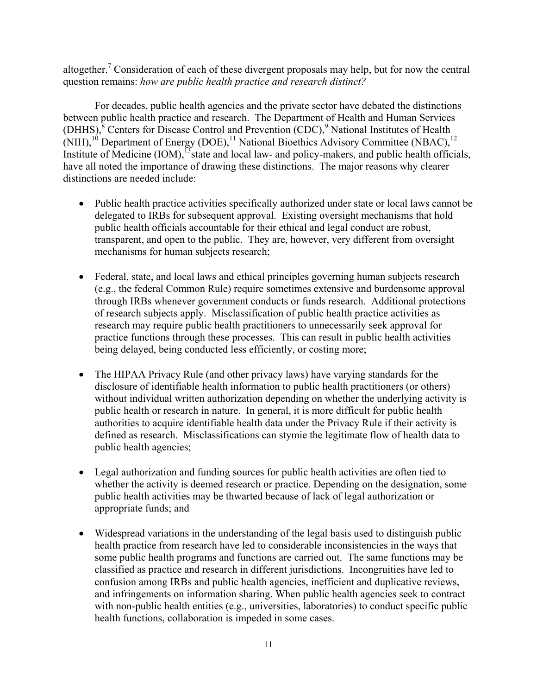altogether.<sup>7</sup> Consideration of each of these divergent proposals may help, but for now the central question remains: *how are public health practice and research distinct?* 

For decades, public health agencies and the private sector have debated the distinctions between public health practice and research. The Department of Health and Human Services (DHHS), ${}^{8}$  Centers for Disease Control and Prevention (CDC), ${}^{9}$  National Institutes of Health (NIH),<sup>10</sup> Department of Energy (DOE),<sup>11</sup> National Bioethics Advisory Committee (NBAC),<sup>12</sup> Institute of Medicine  $(IOM)$ ,<sup>13</sup>state and local law- and policy-makers, and public health officials, have all noted the importance of drawing these distinctions. The major reasons why clearer distinctions are needed include:

- Public health practice activities specifically authorized under state or local laws cannot be delegated to IRBs for subsequent approval. Existing oversight mechanisms that hold public health officials accountable for their ethical and legal conduct are robust, transparent, and open to the public. They are, however, very different from oversight mechanisms for human subjects research;
- Federal, state, and local laws and ethical principles governing human subjects research (e.g., the federal Common Rule) require sometimes extensive and burdensome approval through IRBs whenever government conducts or funds research. Additional protections of research subjects apply. Misclassification of public health practice activities as research may require public health practitioners to unnecessarily seek approval for practice functions through these processes. This can result in public health activities being delayed, being conducted less efficiently, or costing more;
- The HIPAA Privacy Rule (and other privacy laws) have varying standards for the disclosure of identifiable health information to public health practitioners (or others) without individual written authorization depending on whether the underlying activity is public health or research in nature. In general, it is more difficult for public health authorities to acquire identifiable health data under the Privacy Rule if their activity is defined as research. Misclassifications can stymie the legitimate flow of health data to public health agencies;
- Legal authorization and funding sources for public health activities are often tied to whether the activity is deemed research or practice. Depending on the designation, some public health activities may be thwarted because of lack of legal authorization or appropriate funds; and
- Widespread variations in the understanding of the legal basis used to distinguish public health practice from research have led to considerable inconsistencies in the ways that some public health programs and functions are carried out. The same functions may be classified as practice and research in different jurisdictions. Incongruities have led to confusion among IRBs and public health agencies, inefficient and duplicative reviews, and infringements on information sharing. When public health agencies seek to contract with non-public health entities (e.g., universities, laboratories) to conduct specific public health functions, collaboration is impeded in some cases.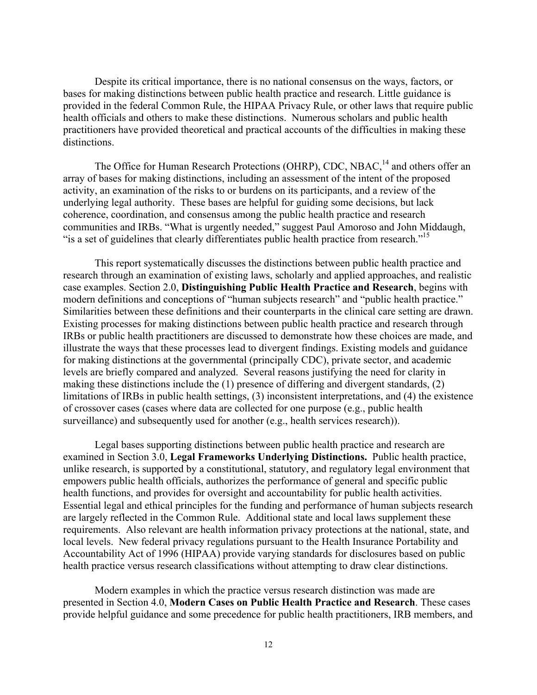Despite its critical importance, there is no national consensus on the ways, factors, or bases for making distinctions between public health practice and research. Little guidance is provided in the federal Common Rule, the HIPAA Privacy Rule, or other laws that require public health officials and others to make these distinctions. Numerous scholars and public health practitioners have provided theoretical and practical accounts of the difficulties in making these distinctions.

"is a set of guidelines that clearly differentiates public health practice from research."<sup>15</sup> The Office for Human Research Protections (OHRP), CDC, NBAC,<sup>14</sup> and others offer an array of bases for making distinctions, including an assessment of the intent of the proposed activity, an examination of the risks to or burdens on its participants, and a review of the underlying legal authority. These bases are helpful for guiding some decisions, but lack coherence, coordination, and consensus among the public health practice and research communities and IRBs. "What is urgently needed," suggest Paul Amoroso and John Middaugh,

This report systematically discusses the distinctions between public health practice and research through an examination of existing laws, scholarly and applied approaches, and realistic case examples. Section 2.0, **Distinguishing Public Health Practice and Research**, begins with modern definitions and conceptions of "human subjects research" and "public health practice." Similarities between these definitions and their counterparts in the clinical care setting are drawn. Existing processes for making distinctions between public health practice and research through IRBs or public health practitioners are discussed to demonstrate how these choices are made, and illustrate the ways that these processes lead to divergent findings. Existing models and guidance for making distinctions at the governmental (principally CDC), private sector, and academic levels are briefly compared and analyzed. Several reasons justifying the need for clarity in making these distinctions include the (1) presence of differing and divergent standards, (2) limitations of IRBs in public health settings, (3) inconsistent interpretations, and (4) the existence of crossover cases (cases where data are collected for one purpose (e.g., public health surveillance) and subsequently used for another (e.g., health services research)).

Legal bases supporting distinctions between public health practice and research are examined in Section 3.0, **Legal Frameworks Underlying Distinctions.** Public health practice, unlike research, is supported by a constitutional, statutory, and regulatory legal environment that empowers public health officials, authorizes the performance of general and specific public health functions, and provides for oversight and accountability for public health activities. Essential legal and ethical principles for the funding and performance of human subjects research are largely reflected in the Common Rule. Additional state and local laws supplement these requirements. Also relevant are health information privacy protections at the national, state, and local levels. New federal privacy regulations pursuant to the Health Insurance Portability and Accountability Act of 1996 (HIPAA) provide varying standards for disclosures based on public health practice versus research classifications without attempting to draw clear distinctions.

Modern examples in which the practice versus research distinction was made are presented in Section 4.0, **Modern Cases on Public Health Practice and Research**. These cases provide helpful guidance and some precedence for public health practitioners, IRB members, and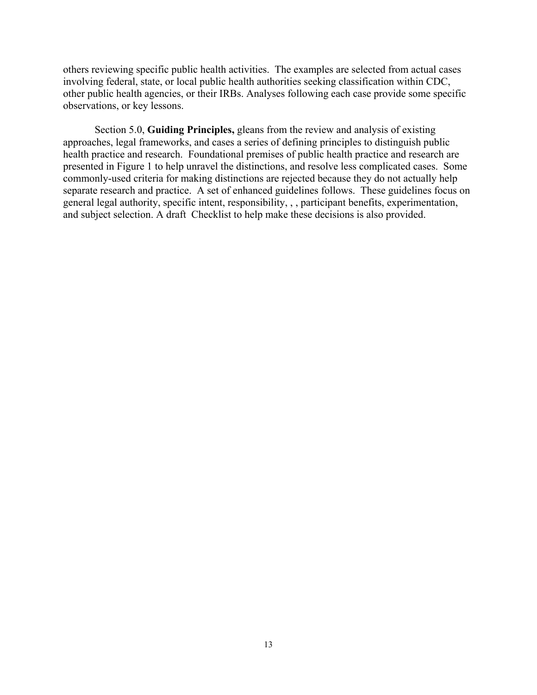others reviewing specific public health activities. The examples are selected from actual cases involving federal, state, or local public health authorities seeking classification within CDC, other public health agencies, or their IRBs. Analyses following each case provide some specific observations, or key lessons.

Section 5.0, **Guiding Principles,** gleans from the review and analysis of existing approaches, legal frameworks, and cases a series of defining principles to distinguish public health practice and research. Foundational premises of public health practice and research are presented in Figure 1 to help unravel the distinctions, and resolve less complicated cases. Some commonly-used criteria for making distinctions are rejected because they do not actually help separate research and practice. A set of enhanced guidelines follows. These guidelines focus on general legal authority, specific intent, responsibility, , , participant benefits, experimentation, and subject selection. A draft Checklist to help make these decisions is also provided.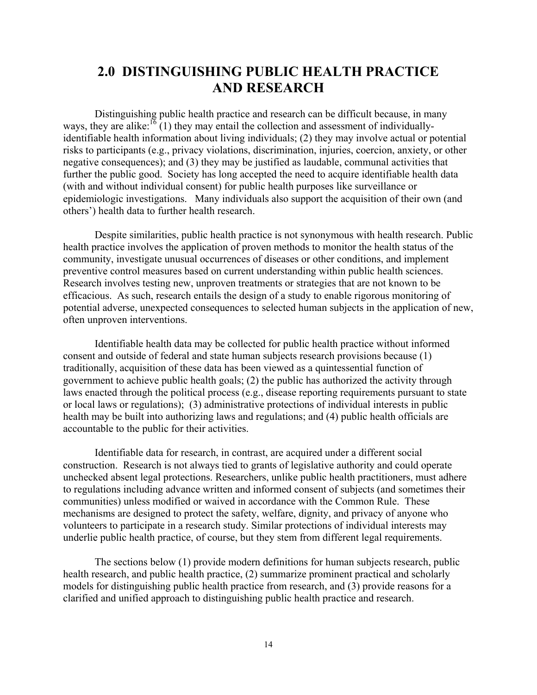## <span id="page-13-0"></span>**2.0 DISTINGUISHING PUBLIC HEALTH PRACTICE AND RESEARCH**

Distinguishing public health practice and research can be difficult because, in many ways, they are alike:<sup>16</sup> (1) they may entail the collection and assessment of individuallyidentifiable health information about living individuals; (2) they may involve actual or potential risks to participants (e.g., privacy violations, discrimination, injuries, coercion, anxiety, or other negative consequences); and (3) they may be justified as laudable, communal activities that further the public good. Society has long accepted the need to acquire identifiable health data (with and without individual consent) for public health purposes like surveillance or epidemiologic investigations. Many individuals also support the acquisition of their own (and others') health data to further health research.

Despite similarities, public health practice is not synonymous with health research. Public health practice involves the application of proven methods to monitor the health status of the community, investigate unusual occurrences of diseases or other conditions, and implement preventive control measures based on current understanding within public health sciences. Research involves testing new, unproven treatments or strategies that are not known to be efficacious. As such, research entails the design of a study to enable rigorous monitoring of potential adverse, unexpected consequences to selected human subjects in the application of new, often unproven interventions.

Identifiable health data may be collected for public health practice without informed consent and outside of federal and state human subjects research provisions because (1) traditionally, acquisition of these data has been viewed as a quintessential function of government to achieve public health goals; (2) the public has authorized the activity through laws enacted through the political process (e.g., disease reporting requirements pursuant to state or local laws or regulations); (3) administrative protections of individual interests in public health may be built into authorizing laws and regulations; and (4) public health officials are accountable to the public for their activities.

Identifiable data for research, in contrast, are acquired under a different social construction. Research is not always tied to grants of legislative authority and could operate unchecked absent legal protections. Researchers, unlike public health practitioners, must adhere to regulations including advance written and informed consent of subjects (and sometimes their communities) unless modified or waived in accordance with the Common Rule. These mechanisms are designed to protect the safety, welfare, dignity, and privacy of anyone who volunteers to participate in a research study. Similar protections of individual interests may underlie public health practice, of course, but they stem from different legal requirements.

The sections below (1) provide modern definitions for human subjects research, public health research, and public health practice, (2) summarize prominent practical and scholarly models for distinguishing public health practice from research, and (3) provide reasons for a clarified and unified approach to distinguishing public health practice and research.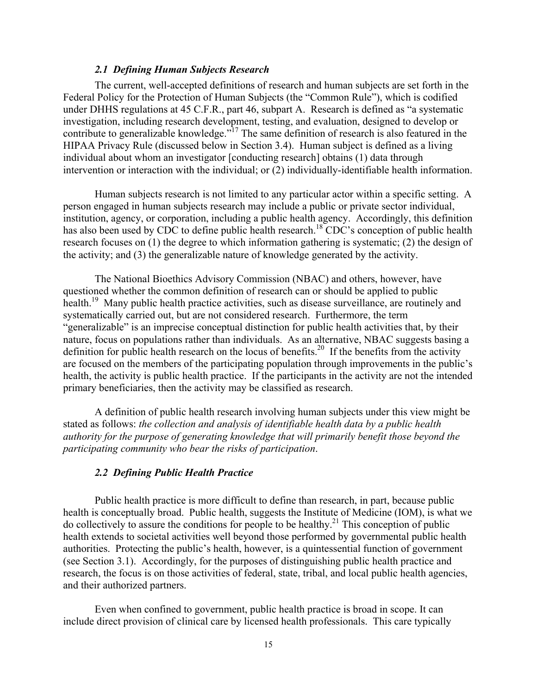#### *2.1 Defining Human Subjects Research*

<span id="page-14-0"></span>The current, well-accepted definitions of research and human subjects are set forth in the Federal Policy for the Protection of Human Subjects (the "Common Rule"), which is codified under DHHS regulations at 45 C.F.R., part 46, subpart A. Research is defined as "a systematic investigation, including research development, testing, and evaluation, designed to develop or contribute to generalizable knowledge."17 The same definition of research is also featured in the HIPAA Privacy Rule (discussed below in Section 3.4). Human subject is defined as a living individual about whom an investigator [conducting research] obtains (1) data through intervention or interaction with the individual; or (2) individually-identifiable health information.

Human subjects research is not limited to any particular actor within a specific setting. A person engaged in human subjects research may include a public or private sector individual, institution, agency, or corporation, including a public health agency. Accordingly, this definition has also been used by CDC to define public health research.<sup>18</sup> CDC's conception of public health research focuses on (1) the degree to which information gathering is systematic; (2) the design of the activity; and (3) the generalizable nature of knowledge generated by the activity.

The National Bioethics Advisory Commission (NBAC) and others, however, have questioned whether the common definition of research can or should be applied to public health.<sup>19</sup> Many public health practice activities, such as disease surveillance, are routinely and systematically carried out, but are not considered research. Furthermore, the term "generalizable" is an imprecise conceptual distinction for public health activities that, by their nature, focus on populations rather than individuals. As an alternative, NBAC suggests basing a definition for public health research on the locus of benefits.<sup>20</sup> If the benefits from the activity are focused on the members of the participating population through improvements in the public's health, the activity is public health practice. If the participants in the activity are not the intended primary beneficiaries, then the activity may be classified as research.

A definition of public health research involving human subjects under this view might be stated as follows: *the collection and analysis of identifiable health data by a public health authority for the purpose of generating knowledge that will primarily benefit those beyond the participating community who bear the risks of participation*.

#### *2.2 Defining Public Health Practice*

Public health practice is more difficult to define than research, in part, because public health is conceptually broad. Public health, suggests the Institute of Medicine (IOM), is what we do collectively to assure the conditions for people to be healthy.<sup>21</sup> This conception of public health extends to societal activities well beyond those performed by governmental public health authorities. Protecting the public's health, however, is a quintessential function of government (see Section 3.1). Accordingly, for the purposes of distinguishing public health practice and research, the focus is on those activities of federal, state, tribal, and local public health agencies, and their authorized partners.

Even when confined to government, public health practice is broad in scope. It can include direct provision of clinical care by licensed health professionals. This care typically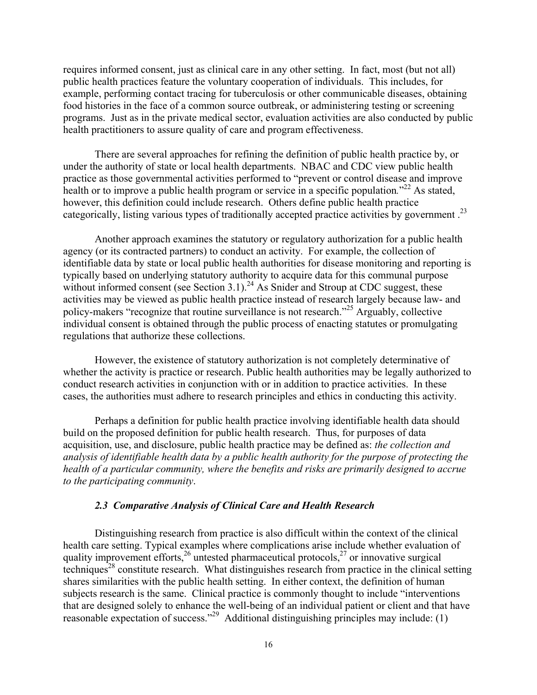<span id="page-15-0"></span>requires informed consent, just as clinical care in any other setting. In fact, most (but not all) public health practices feature the voluntary cooperation of individuals. This includes, for example, performing contact tracing for tuberculosis or other communicable diseases, obtaining food histories in the face of a common source outbreak, or administering testing or screening programs. Just as in the private medical sector, evaluation activities are also conducted by public health practitioners to assure quality of care and program effectiveness.

categorically, listing various types of traditionally accepted practice activities by government.<sup>23</sup> There are several approaches for refining the definition of public health practice by, or under the authority of state or local health departments. NBAC and CDC view public health practice as those governmental activities performed to "prevent or control disease and improve health or to improve a public health program or service in a specific population.<sup>"22</sup> As stated, however, this definition could include research. Others define public health practice

Another approach examines the statutory or regulatory authorization for a public health agency (or its contracted partners) to conduct an activity. For example, the collection of identifiable data by state or local public health authorities for disease monitoring and reporting is typically based on underlying statutory authority to acquire data for this communal purpose without informed consent (see Section 3.1).<sup>24</sup> As Snider and Stroup at CDC suggest, these activities may be viewed as public health practice instead of research largely because law- and policy-makers "recognize that routine surveillance is not research."25 Arguably, collective individual consent is obtained through the public process of enacting statutes or promulgating regulations that authorize these collections.

However, the existence of statutory authorization is not completely determinative of whether the activity is practice or research. Public health authorities may be legally authorized to conduct research activities in conjunction with or in addition to practice activities. In these cases, the authorities must adhere to research principles and ethics in conducting this activity.

Perhaps a definition for public health practice involving identifiable health data should build on the proposed definition for public health research. Thus, for purposes of data acquisition, use, and disclosure, public health practice may be defined as: *the collection and analysis of identifiable health data by a public health authority for the purpose of protecting the health of a particular community, where the benefits and risks are primarily designed to accrue to the participating community*.

#### *2.3 Comparative Analysis of Clinical Care and Health Research*

Distinguishing research from practice is also difficult within the context of the clinical health care setting. Typical examples where complications arise include whether evaluation of quality improvement efforts,  $^{26}$  untested pharmaceutical protocols,  $^{27}$  or innovative surgical techniques<sup>28</sup> constitute research. What distinguishes research from practice in the clinical setting shares similarities with the public health setting. In either context, the definition of human subjects research is the same. Clinical practice is commonly thought to include "interventions that are designed solely to enhance the well-being of an individual patient or client and that have reasonable expectation of success."<sup>29</sup> Additional distinguishing principles may include: (1)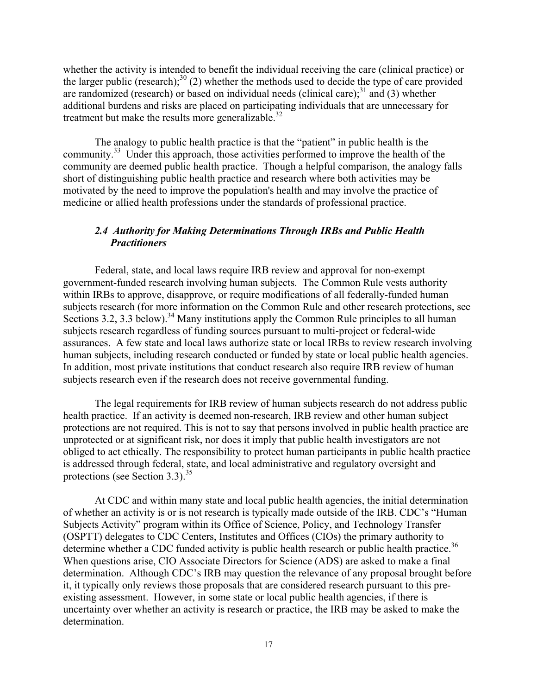<span id="page-16-0"></span>treatment but make the results more generalizable.<sup>32</sup> whether the activity is intended to benefit the individual receiving the care (clinical practice) or the larger public (research);<sup>30</sup> (2) whether the methods used to decide the type of care provided are randomized (research) or based on individual needs (clinical care); $^{31}$  and (3) whether additional burdens and risks are placed on participating individuals that are unnecessary for

The analogy to public health practice is that the "patient" in public health is the community.<sup>33</sup> Under this approach, those activities performed to improve the health of the community are deemed public health practice. Though a helpful comparison, the analogy falls short of distinguishing public health practice and research where both activities may be motivated by the need to improve the population's health and may involve the practice of medicine or allied health professions under the standards of professional practice.

#### *2.4 Authority for Making Determinations Through IRBs and Public Health Practitioners*

Federal, state, and local laws require IRB review and approval for non-exempt government-funded research involving human subjects. The Common Rule vests authority within IRBs to approve, disapprove, or require modifications of all federally-funded human subjects research (for more information on the Common Rule and other research protections, see Sections 3.2, 3.3 below).<sup>34</sup> Many institutions apply the Common Rule principles to all human subjects research regardless of funding sources pursuant to multi-project or federal-wide assurances. A few state and local laws authorize state or local IRBs to review research involving human subjects, including research conducted or funded by state or local public health agencies. In addition, most private institutions that conduct research also require IRB review of human subjects research even if the research does not receive governmental funding.

protections (see Section 3.3).<sup>35</sup> The legal requirements for IRB review of human subjects research do not address public health practice. If an activity is deemed non-research, IRB review and other human subject protections are not required. This is not to say that persons involved in public health practice are unprotected or at significant risk, nor does it imply that public health investigators are not obliged to act ethically. The responsibility to protect human participants in public health practice is addressed through federal, state, and local administrative and regulatory oversight and

At CDC and within many state and local public health agencies, the initial determination of whether an activity is or is not research is typically made outside of the IRB. CDC's "Human Subjects Activity" program within its Office of Science, Policy, and Technology Transfer (OSPTT) delegates to CDC Centers, Institutes and Offices (CIOs) the primary authority to determine whether a CDC funded activity is public health research or public health practice.<sup>36</sup> When questions arise, CIO Associate Directors for Science (ADS) are asked to make a final determination. Although CDC's IRB may question the relevance of any proposal brought before it, it typically only reviews those proposals that are considered research pursuant to this preexisting assessment. However, in some state or local public health agencies, if there is uncertainty over whether an activity is research or practice, the IRB may be asked to make the determination.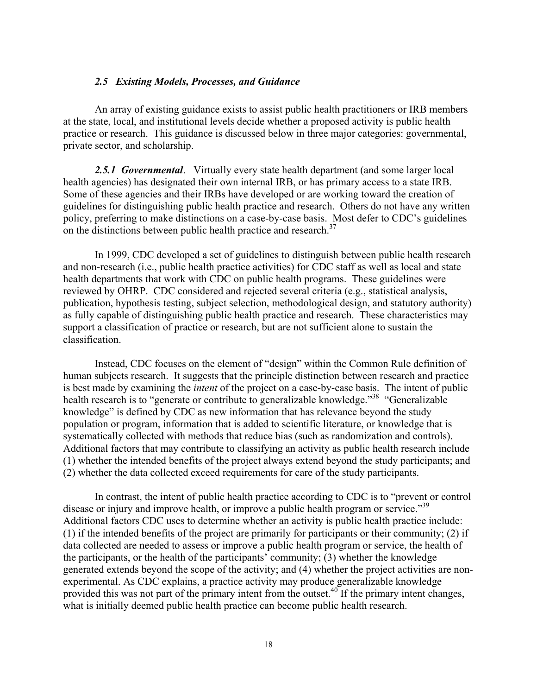#### <span id="page-17-0"></span>*2.5 Existing Models, Processes, and Guidance*

An array of existing guidance exists to assist public health practitioners or IRB members at the state, local, and institutional levels decide whether a proposed activity is public health practice or research. This guidance is discussed below in three major categories: governmental, private sector, and scholarship.

on the distinctions between public health practice and research.<sup>37</sup> *2.5.1 Governmental*. Virtually every state health department (and some larger local health agencies) has designated their own internal IRB, or has primary access to a state IRB. Some of these agencies and their IRBs have developed or are working toward the creation of guidelines for distinguishing public health practice and research. Others do not have any written policy, preferring to make distinctions on a case-by-case basis. Most defer to CDC's guidelines

In 1999, CDC developed a set of guidelines to distinguish between public health research and non-research (i.e., public health practice activities) for CDC staff as well as local and state health departments that work with CDC on public health programs. These guidelines were reviewed by OHRP. CDC considered and rejected several criteria (e.g., statistical analysis, publication, hypothesis testing, subject selection, methodological design, and statutory authority) as fully capable of distinguishing public health practice and research. These characteristics may support a classification of practice or research, but are not sufficient alone to sustain the classification.

Instead, CDC focuses on the element of "design" within the Common Rule definition of human subjects research. It suggests that the principle distinction between research and practice is best made by examining the *intent* of the project on a case-by-case basis. The intent of public health research is to "generate or contribute to generalizable knowledge."<sup>38</sup> "Generalizable" knowledge" is defined by CDC as new information that has relevance beyond the study population or program, information that is added to scientific literature, or knowledge that is systematically collected with methods that reduce bias (such as randomization and controls). Additional factors that may contribute to classifying an activity as public health research include (1) whether the intended benefits of the project always extend beyond the study participants; and (2) whether the data collected exceed requirements for care of the study participants.

In contrast, the intent of public health practice according to CDC is to "prevent or control disease or injury and improve health, or improve a public health program or service.<sup>39</sup> Additional factors CDC uses to determine whether an activity is public health practice include: (1) if the intended benefits of the project are primarily for participants or their community; (2) if data collected are needed to assess or improve a public health program or service, the health of the participants, or the health of the participants' community; (3) whether the knowledge generated extends beyond the scope of the activity; and (4) whether the project activities are nonexperimental. As CDC explains, a practice activity may produce generalizable knowledge provided this was not part of the primary intent from the outset.<sup>40</sup> If the primary intent changes, what is initially deemed public health practice can become public health research.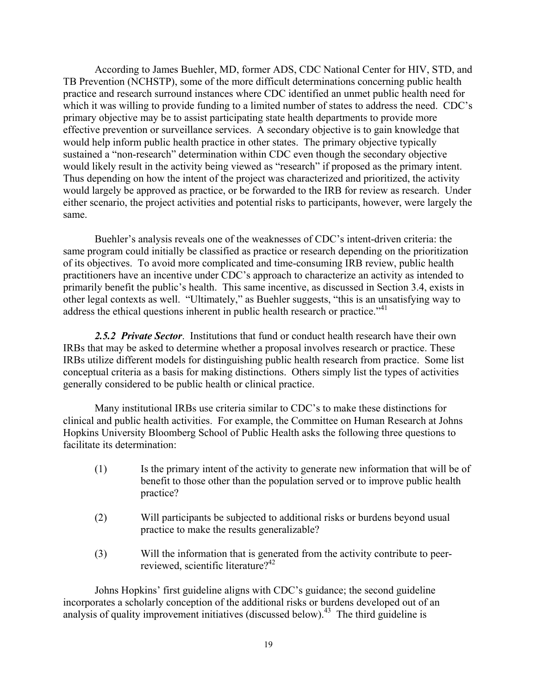<span id="page-18-0"></span>According to James Buehler, MD, former ADS, CDC National Center for HIV, STD, and TB Prevention (NCHSTP), some of the more difficult determinations concerning public health practice and research surround instances where CDC identified an unmet public health need for which it was willing to provide funding to a limited number of states to address the need. CDC's primary objective may be to assist participating state health departments to provide more effective prevention or surveillance services. A secondary objective is to gain knowledge that would help inform public health practice in other states. The primary objective typically sustained a "non-research" determination within CDC even though the secondary objective would likely result in the activity being viewed as "research" if proposed as the primary intent. Thus depending on how the intent of the project was characterized and prioritized, the activity would largely be approved as practice, or be forwarded to the IRB for review as research. Under either scenario, the project activities and potential risks to participants, however, were largely the same.

address the ethical questions inherent in public health research or practice."<sup>41</sup> Buehler's analysis reveals one of the weaknesses of CDC's intent-driven criteria: the same program could initially be classified as practice or research depending on the prioritization of its objectives. To avoid more complicated and time-consuming IRB review, public health practitioners have an incentive under CDC's approach to characterize an activity as intended to primarily benefit the public's health. This same incentive, as discussed in Section 3.4, exists in other legal contexts as well. "Ultimately," as Buehler suggests, "this is an unsatisfying way to

*2.5.2 Private Sector*. Institutions that fund or conduct health research have their own IRBs that may be asked to determine whether a proposal involves research or practice. These IRBs utilize different models for distinguishing public health research from practice. Some list conceptual criteria as a basis for making distinctions. Others simply list the types of activities generally considered to be public health or clinical practice.

Many institutional IRBs use criteria similar to CDC's to make these distinctions for clinical and public health activities. For example, the Committee on Human Research at Johns Hopkins University Bloomberg School of Public Health asks the following three questions to facilitate its determination:

- practice? (1) Is the primary intent of the activity to generate new information that will be of benefit to those other than the population served or to improve public health
- (2) Will participants be subjected to additional risks or burdens beyond usual practice to make the results generalizable?
- reviewed, scientific literature?<sup>42</sup> (3) Will the information that is generated from the activity contribute to peer-

Johns Hopkins' first guideline aligns with CDC's guidance; the second guideline incorporates a scholarly conception of the additional risks or burdens developed out of an analysis of quality improvement initiatives (discussed below).<sup>43</sup> The third guideline is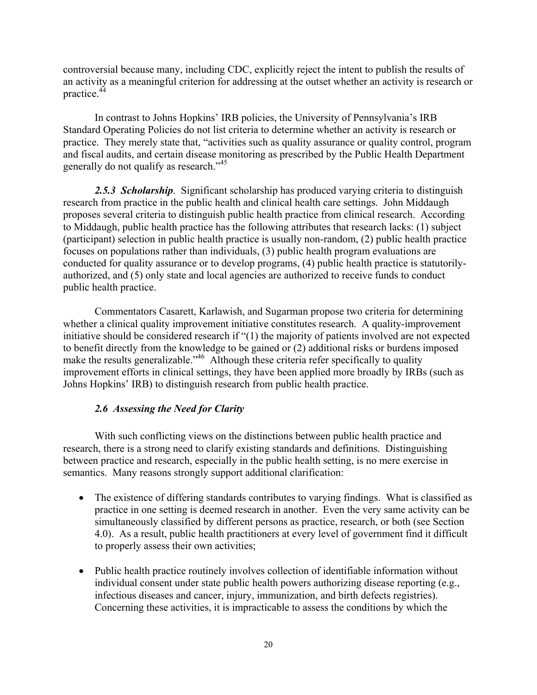<span id="page-19-0"></span>controversial because many, including CDC, explicitly reject the intent to publish the results of an activity as a meaningful criterion for addressing at the outset whether an activity is research or practice.44

generally do not qualify as research."<sup>45</sup> In contrast to Johns Hopkins' IRB policies, the University of Pennsylvania's IRB Standard Operating Policies do not list criteria to determine whether an activity is research or practice. They merely state that, "activities such as quality assurance or quality control, program and fiscal audits, and certain disease monitoring as prescribed by the Public Health Department

2.5.3 Scholarship. Significant scholarship has produced varying criteria to distinguish research from practice in the public health and clinical health care settings. John Middaugh proposes several criteria to distinguish public health practice from clinical research. According to Middaugh, public health practice has the following attributes that research lacks: (1) subject (participant) selection in public health practice is usually non-random, (2) public health practice focuses on populations rather than individuals, (3) public health program evaluations are conducted for quality assurance or to develop programs, (4) public health practice is statutorilyauthorized, and (5) only state and local agencies are authorized to receive funds to conduct public health practice.

Commentators Casarett, Karlawish, and Sugarman propose two criteria for determining whether a clinical quality improvement initiative constitutes research. A quality-improvement initiative should be considered research if "(1) the majority of patients involved are not expected to benefit directly from the knowledge to be gained or (2) additional risks or burdens imposed make the results generalizable."<sup>46</sup> Although these criteria refer specifically to quality improvement efforts in clinical settings, they have been applied more broadly by IRBs (such as Johns Hopkins' IRB) to distinguish research from public health practice.

#### *2.6 Assessing the Need for Clarity*

With such conflicting views on the distinctions between public health practice and research, there is a strong need to clarify existing standards and definitions. Distinguishing between practice and research, especially in the public health setting, is no mere exercise in semantics. Many reasons strongly support additional clarification:

- The existence of differing standards contributes to varying findings. What is classified as practice in one setting is deemed research in another. Even the very same activity can be simultaneously classified by different persons as practice, research, or both (see Section 4.0). As a result, public health practitioners at every level of government find it difficult to properly assess their own activities;
- Public health practice routinely involves collection of identifiable information without individual consent under state public health powers authorizing disease reporting (e.g., infectious diseases and cancer, injury, immunization, and birth defects registries). Concerning these activities, it is impracticable to assess the conditions by which the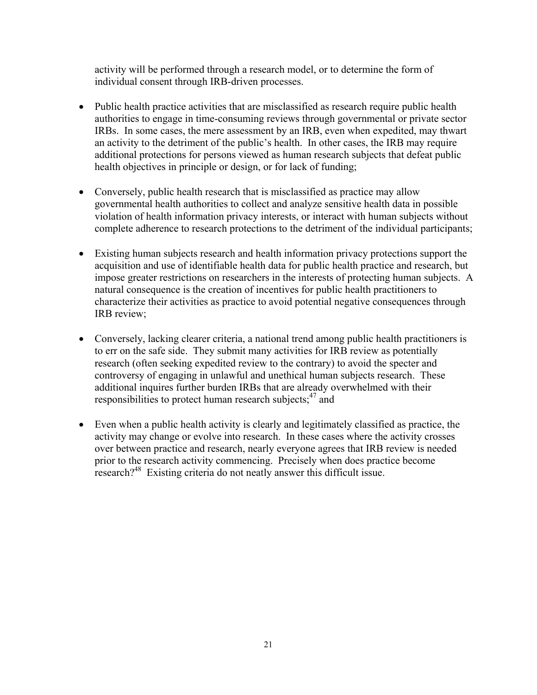activity will be performed through a research model, or to determine the form of individual consent through IRB-driven processes.

- Public health practice activities that are misclassified as research require public health authorities to engage in time-consuming reviews through governmental or private sector IRBs. In some cases, the mere assessment by an IRB, even when expedited, may thwart an activity to the detriment of the public's health. In other cases, the IRB may require additional protections for persons viewed as human research subjects that defeat public health objectives in principle or design, or for lack of funding;
- Conversely, public health research that is misclassified as practice may allow governmental health authorities to collect and analyze sensitive health data in possible violation of health information privacy interests, or interact with human subjects without complete adherence to research protections to the detriment of the individual participants;
- Existing human subjects research and health information privacy protections support the acquisition and use of identifiable health data for public health practice and research, but impose greater restrictions on researchers in the interests of protecting human subjects. A natural consequence is the creation of incentives for public health practitioners to characterize their activities as practice to avoid potential negative consequences through IRB review;
- Conversely, lacking clearer criteria, a national trend among public health practitioners is to err on the safe side. They submit many activities for IRB review as potentially research (often seeking expedited review to the contrary) to avoid the specter and controversy of engaging in unlawful and unethical human subjects research. These additional inquires further burden IRBs that are already overwhelmed with their responsibilities to protect human research subjects; $47$  and
- Even when a public health activity is clearly and legitimately classified as practice, the activity may change or evolve into research. In these cases where the activity crosses over between practice and research, nearly everyone agrees that IRB review is needed prior to the research activity commencing. Precisely when does practice become research?48 Existing criteria do not neatly answer this difficult issue.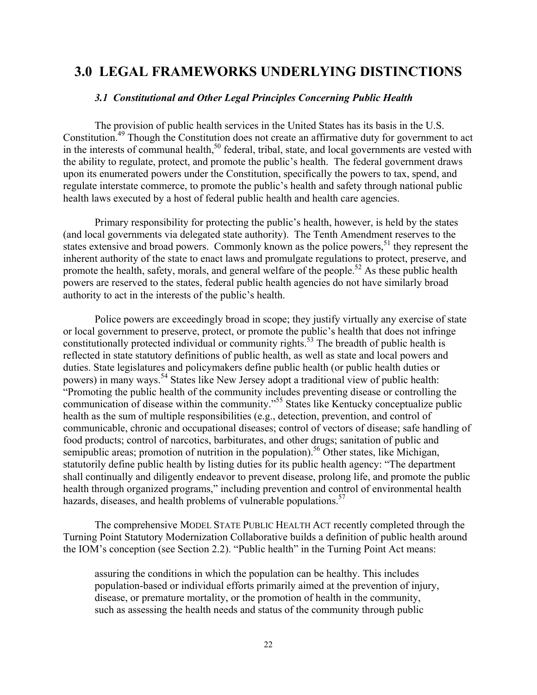## <span id="page-21-0"></span>**3.0 LEGAL FRAMEWORKS UNDERLYING DISTINCTIONS**

#### *3.1 Constitutional and Other Legal Principles Concerning Public Health*

The provision of public health services in the United States has its basis in the U.S. Constitution.49 Though the Constitution does not create an affirmative duty for government to act in the interests of communal health,<sup>50</sup> federal, tribal, state, and local governments are vested with the ability to regulate, protect, and promote the public's health. The federal government draws upon its enumerated powers under the Constitution, specifically the powers to tax, spend, and regulate interstate commerce, to promote the public's health and safety through national public health laws executed by a host of federal public health and health care agencies.

Primary responsibility for protecting the public's health, however, is held by the states (and local governments via delegated state authority). The Tenth Amendment reserves to the states extensive and broad powers. Commonly known as the police powers,<sup>51</sup> they represent the inherent authority of the state to enact laws and promulgate regulations to protect, preserve, and promote the health, safety, morals, and general welfare of the people.<sup>52</sup> As these public health powers are reserved to the states, federal public health agencies do not have similarly broad authority to act in the interests of the public's health.

hazards, diseases, and health problems of vulnerable populations.<sup>57</sup> Police powers are exceedingly broad in scope; they justify virtually any exercise of state or local government to preserve, protect, or promote the public's health that does not infringe constitutionally protected individual or community rights.<sup>53</sup> The breadth of public health is reflected in state statutory definitions of public health, as well as state and local powers and duties. State legislatures and policymakers define public health (or public health duties or powers) in many ways.54 States like New Jersey adopt a traditional view of public health: "Promoting the public health of the community includes preventing disease or controlling the communication of disease within the community."<sup>55</sup> States like Kentucky conceptualize public health as the sum of multiple responsibilities (e.g., detection, prevention, and control of communicable, chronic and occupational diseases; control of vectors of disease; safe handling of food products; control of narcotics, barbiturates, and other drugs; sanitation of public and semipublic areas; promotion of nutrition in the population).<sup>56</sup> Other states, like Michigan, statutorily define public health by listing duties for its public health agency: "The department shall continually and diligently endeavor to prevent disease, prolong life, and promote the public health through organized programs," including prevention and control of environmental health

The comprehensive MODEL STATE PUBLIC HEALTH ACT recently completed through the Turning Point Statutory Modernization Collaborative builds a definition of public health around the IOM's conception (see Section 2.2). "Public health" in the Turning Point Act means:

assuring the conditions in which the population can be healthy. This includes population-based or individual efforts primarily aimed at the prevention of injury, disease, or premature mortality, or the promotion of health in the community, such as assessing the health needs and status of the community through public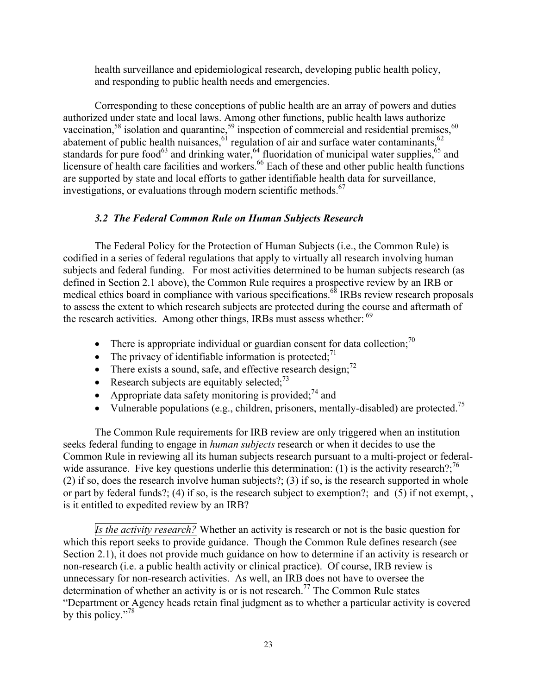<span id="page-22-0"></span>health surveillance and epidemiological research, developing public health policy, and responding to public health needs and emergencies.

Corresponding to these conceptions of public health are an array of powers and duties authorized under state and local laws. Among other functions, public health laws authorize vaccination,<sup>58</sup> isolation and quarantine,<sup>59</sup> inspection of commercial and residential premises,<sup>60</sup> abatement of public health nuisances,  $61$  regulation of air and surface water contaminants,  $62$ standards for pure food<sup>63</sup> and drinking water,  $64$  fluoridation of municipal water supplies,  $65$  and licensure of health care facilities and workers.<sup>66</sup> Each of these and other public health functions are supported by state and local efforts to gather identifiable health data for surveillance, investigations, or evaluations through modern scientific methods.<sup>67</sup>

#### *3.2 The Federal Common Rule on Human Subjects Research*

The Federal Policy for the Protection of Human Subjects (i.e., the Common Rule) is codified in a series of federal regulations that apply to virtually all research involving human subjects and federal funding. For most activities determined to be human subjects research (as defined in Section 2.1 above), the Common Rule requires a prospective review by an IRB or medical ethics board in compliance with various specifications.<sup>68</sup> IRBs review research proposals to assess the extent to which research subjects are protected during the course and aftermath of the research activities. Among other things, IRBs must assess whether:  $69$ 

- There is appropriate individual or guardian consent for data collection;<sup>70</sup>
- The privacy of identifiable information is protected;<sup>71</sup>
- There exists a sound, safe, and effective research design; $^{72}$
- Research subjects are equitably selected:  $73$
- Appropriate data safety monitoring is provided; $^{74}$  and
- Vulnerable populations (e.g., children, prisoners, mentally-disabled) are protected.<sup>75</sup>

The Common Rule requirements for IRB review are only triggered when an institution seeks federal funding to engage in *human subjects* research or when it decides to use the Common Rule in reviewing all its human subjects research pursuant to a multi-project or federalwide assurance. Five key questions underlie this determination: (1) is the activity research? $\cdot^{76}$ (2) if so, does the research involve human subjects?; (3) if so, is the research supported in whole or part by federal funds?; (4) if so, is the research subject to exemption?; and (5) if not exempt, , is it entitled to expedited review by an IRB?

by this policy."<sup>78</sup> *Is the activity research?* Whether an activity is research or not is the basic question for which this report seeks to provide guidance. Though the Common Rule defines research (see Section 2.1), it does not provide much guidance on how to determine if an activity is research or non-research (i.e. a public health activity or clinical practice). Of course, IRB review is unnecessary for non-research activities. As well, an IRB does not have to oversee the determination of whether an activity is or is not research.<sup>77</sup> The Common Rule states "Department or Agency heads retain final judgment as to whether a particular activity is covered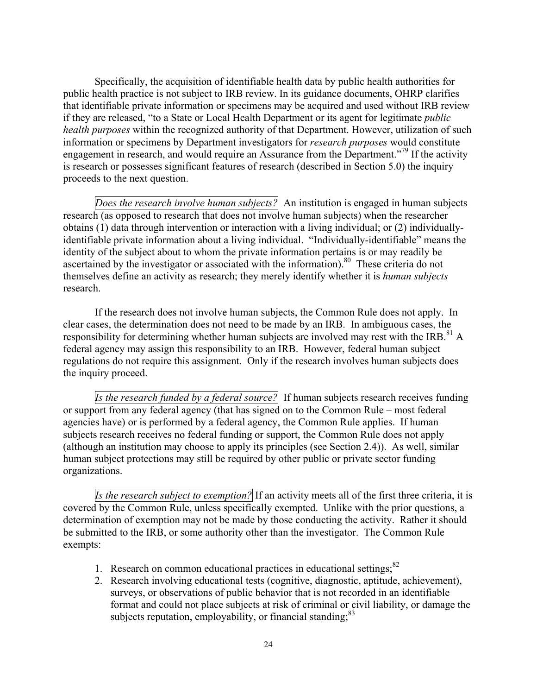Specifically, the acquisition of identifiable health data by public health authorities for public health practice is not subject to IRB review. In its guidance documents, OHRP clarifies that identifiable private information or specimens may be acquired and used without IRB review if they are released, "to a State or Local Health Department or its agent for legitimate *public health purposes* within the recognized authority of that Department. However, utilization of such information or specimens by Department investigators for *research purposes* would constitute engagement in research, and would require an Assurance from the Department.<sup>"79</sup> If the activity is research or possesses significant features of research (described in Section 5.0) the inquiry proceeds to the next question.

*Does the research involve human subjects?* An institution is engaged in human subjects research (as opposed to research that does not involve human subjects) when the researcher obtains (1) data through intervention or interaction with a living individual; or (2) individuallyidentifiable private information about a living individual. "Individually-identifiable" means the identity of the subject about to whom the private information pertains is or may readily be ascertained by the investigator or associated with the information).<sup>80</sup> These criteria do not themselves define an activity as research; they merely identify whether it is *human subjects*  research.

If the research does not involve human subjects, the Common Rule does not apply. In clear cases, the determination does not need to be made by an IRB. In ambiguous cases, the responsibility for determining whether human subjects are involved may rest with the IRB.<sup>81</sup> A federal agency may assign this responsibility to an IRB. However, federal human subject regulations do not require this assignment. Only if the research involves human subjects does the inquiry proceed.

*Is the research funded by a federal source?* If human subjects research receives funding or support from any federal agency (that has signed on to the Common Rule – most federal agencies have) or is performed by a federal agency, the Common Rule applies. If human subjects research receives no federal funding or support, the Common Rule does not apply (although an institution may choose to apply its principles (see Section 2.4)). As well, similar human subject protections may still be required by other public or private sector funding organizations.

*Is the research subject to exemption?* If an activity meets all of the first three criteria, it is covered by the Common Rule, unless specifically exempted. Unlike with the prior questions, a determination of exemption may not be made by those conducting the activity. Rather it should be submitted to the IRB, or some authority other than the investigator. The Common Rule exempts:

- 1. Research on common educational practices in educational settings; $82$
- subjects reputation, employability, or financial standing;<sup>83</sup> 2. Research involving educational tests (cognitive, diagnostic, aptitude, achievement), surveys, or observations of public behavior that is not recorded in an identifiable format and could not place subjects at risk of criminal or civil liability, or damage the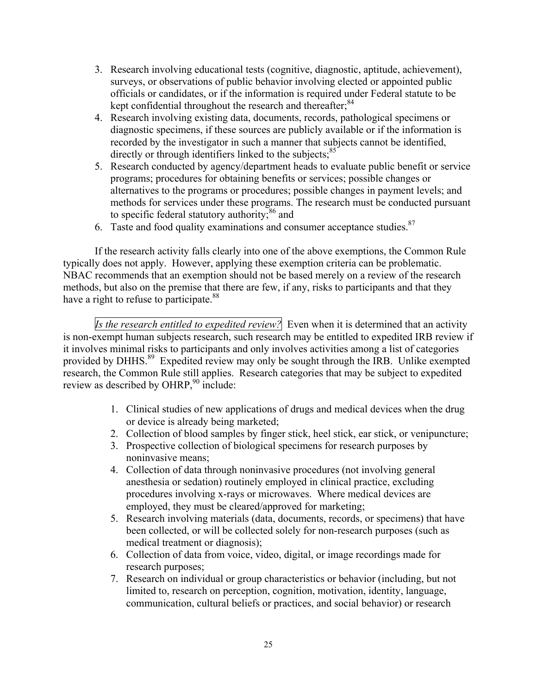- 3. Research involving educational tests (cognitive, diagnostic, aptitude, achievement), surveys, or observations of public behavior involving elected or appointed public officials or candidates, or if the information is required under Federal statute to be kept confidential throughout the research and thereafter;<sup>84</sup>
- directly or through identifiers linked to the subjects; $85$ 4. Research involving existing data, documents, records, pathological specimens or diagnostic specimens, if these sources are publicly available or if the information is recorded by the investigator in such a manner that subjects cannot be identified,
- 5. Research conducted by agency/department heads to evaluate public benefit or service programs; procedures for obtaining benefits or services; possible changes or alternatives to the programs or procedures; possible changes in payment levels; and methods for services under these programs. The research must be conducted pursuant to specific federal statutory authority; $86$  and
- 6. Taste and food quality examinations and consumer acceptance studies. $87$

have a right to refuse to participate.<sup>88</sup> If the research activity falls clearly into one of the above exemptions, the Common Rule typically does not apply. However, applying these exemption criteria can be problematic. NBAC recommends that an exemption should not be based merely on a review of the research methods, but also on the premise that there are few, if any, risks to participants and that they

*Is the research entitled to expedited review?* Even when it is determined that an activity is non-exempt human subjects research, such research may be entitled to expedited IRB review if it involves minimal risks to participants and only involves activities among a list of categories provided by DHHS.<sup>89</sup> Expedited review may only be sought through the IRB. Unlike exempted research, the Common Rule still applies. Research categories that may be subject to expedited review as described by  $OHRP<sub>1</sub><sup>90</sup>$  include:

- 1. Clinical studies of new applications of drugs and medical devices when the drug or device is already being marketed;
- 2. Collection of blood samples by finger stick, heel stick, ear stick, or venipuncture;
- 3. Prospective collection of biological specimens for research purposes by noninvasive means;
- 4. Collection of data through noninvasive procedures (not involving general anesthesia or sedation) routinely employed in clinical practice, excluding procedures involving x-rays or microwaves. Where medical devices are employed, they must be cleared/approved for marketing;
- 5. Research involving materials (data, documents, records, or specimens) that have been collected, or will be collected solely for non-research purposes (such as medical treatment or diagnosis);
- 6. Collection of data from voice, video, digital, or image recordings made for research purposes;
- 7. Research on individual or group characteristics or behavior (including, but not limited to, research on perception, cognition, motivation, identity, language, communication, cultural beliefs or practices, and social behavior) or research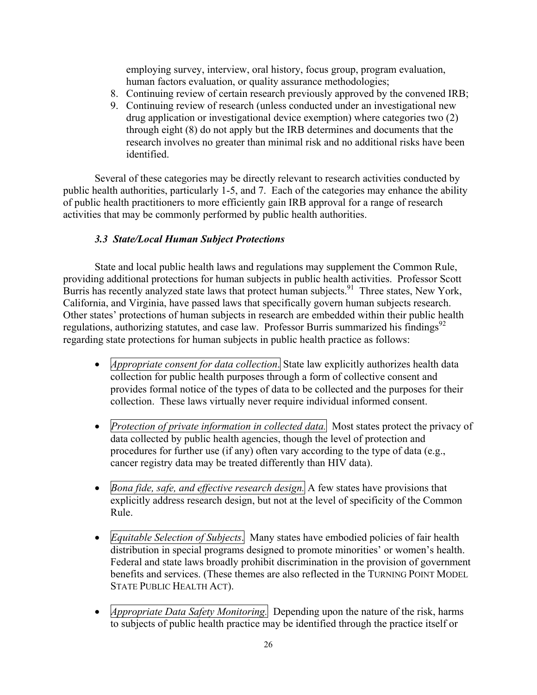employing survey, interview, oral history, focus group, program evaluation, human factors evaluation, or quality assurance methodologies;

- <span id="page-25-0"></span>8. Continuing review of certain research previously approved by the convened IRB;
- 9. Continuing review of research (unless conducted under an investigational new drug application or investigational device exemption) where categories two (2) through eight (8) do not apply but the IRB determines and documents that the research involves no greater than minimal risk and no additional risks have been identified.

Several of these categories may be directly relevant to research activities conducted by public health authorities, particularly 1-5, and 7. Each of the categories may enhance the ability of public health practitioners to more efficiently gain IRB approval for a range of research activities that may be commonly performed by public health authorities.

#### *3.3 State/Local Human Subject Protections*

State and local public health laws and regulations may supplement the Common Rule, providing additional protections for human subjects in public health activities. Professor Scott Burris has recently analyzed state laws that protect human subjects.<sup>91</sup> Three states, New York, California, and Virginia, have passed laws that specifically govern human subjects research. Other states' protections of human subjects in research are embedded within their public health regulations, authorizing statutes, and case law. Professor Burris summarized his findings<sup>92</sup> regarding state protections for human subjects in public health practice as follows:

- *Appropriate consent for data collection*. State law explicitly authorizes health data collection for public health purposes through a form of collective consent and provides formal notice of the types of data to be collected and the purposes for their collection. These laws virtually never require individual informed consent.
- *Protection of private information in collected data*. Most states protect the privacy of data collected by public health agencies, though the level of protection and procedures for further use (if any) often vary according to the type of data (e.g., cancer registry data may be treated differently than HIV data).
- *Bona fide, safe, and effective research design*. A few states have provisions that explicitly address research design, but not at the level of specificity of the Common Rule.
- • *Equitable Selection of Subjects*. Many states have embodied policies of fair health distribution in special programs designed to promote minorities' or women's health. Federal and state laws broadly prohibit discrimination in the provision of government benefits and services. (These themes are also reflected in the TURNING POINT MODEL STATE PUBLIC HEALTH ACT).
- *Appropriate Data Safety Monitoring*. Depending upon the nature of the risk, harms to subjects of public health practice may be identified through the practice itself or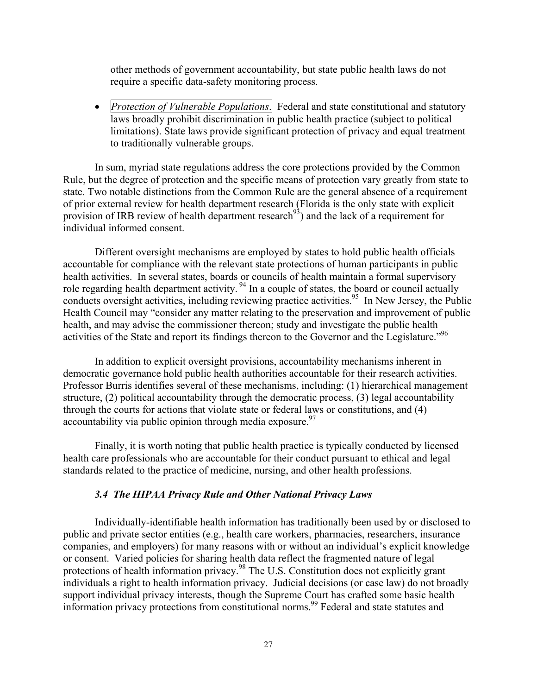<span id="page-26-0"></span>other methods of government accountability, but state public health laws do not require a specific data-safety monitoring process.

• *Protection of Vulnerable Populations*. Federal and state constitutional and statutory laws broadly prohibit discrimination in public health practice (subject to political limitations). State laws provide significant protection of privacy and equal treatment to traditionally vulnerable groups.

In sum, myriad state regulations address the core protections provided by the Common Rule, but the degree of protection and the specific means of protection vary greatly from state to state. Two notable distinctions from the Common Rule are the general absence of a requirement of prior external review for health department research (Florida is the only state with explicit provision of IRB review of health department research<sup>93</sup>) and the lack of a requirement for individual informed consent.

Different oversight mechanisms are employed by states to hold public health officials accountable for compliance with the relevant state protections of human participants in public health activities. In several states, boards or councils of health maintain a formal supervisory role regarding health department activity. <sup>94</sup> In a couple of states, the board or council actually conducts oversight activities, including reviewing practice activities.<sup>95</sup> In New Jersey, the Public Health Council may "consider any matter relating to the preservation and improvement of public health, and may advise the commissioner thereon; study and investigate the public health activities of the State and report its findings thereon to the Governor and the Legislature."96

In addition to explicit oversight provisions, accountability mechanisms inherent in democratic governance hold public health authorities accountable for their research activities. Professor Burris identifies several of these mechanisms, including: (1) hierarchical management structure, (2) political accountability through the democratic process, (3) legal accountability through the courts for actions that violate state or federal laws or constitutions, and (4)  $\alpha$  accountability via public opinion through media exposure.<sup>97</sup>

Finally, it is worth noting that public health practice is typically conducted by licensed health care professionals who are accountable for their conduct pursuant to ethical and legal standards related to the practice of medicine, nursing, and other health professions.

#### *3.4 The HIPAA Privacy Rule and Other National Privacy Laws*

Individually-identifiable health information has traditionally been used by or disclosed to public and private sector entities (e.g., health care workers, pharmacies, researchers, insurance companies, and employers) for many reasons with or without an individual's explicit knowledge or consent. Varied policies for sharing health data reflect the fragmented nature of legal protections of health information privacy.<sup>98</sup> The U.S. Constitution does not explicitly grant individuals a right to health information privacy. Judicial decisions (or case law) do not broadly support individual privacy interests, though the Supreme Court has crafted some basic health information privacy protections from constitutional norms.<sup>99</sup> Federal and state statutes and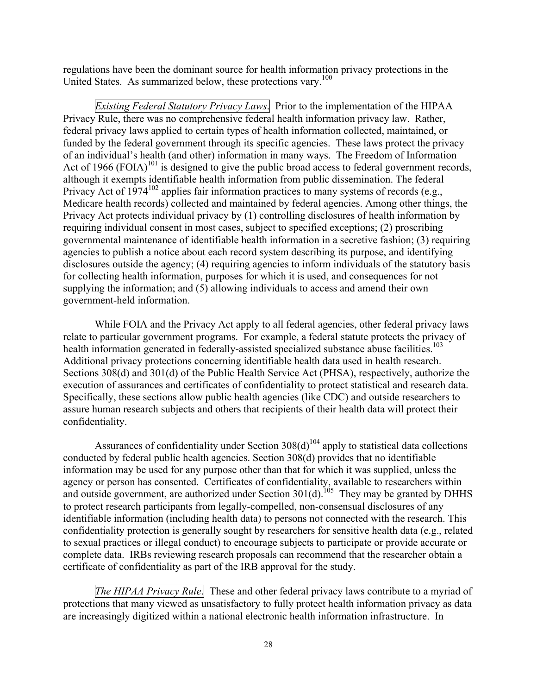United States. As summarized below, these protections vary.<sup>100</sup> regulations have been the dominant source for health information privacy protections in the

*Existing Federal Statutory Privacy Laws.* Prior to the implementation of the HIPAA Privacy Rule, there was no comprehensive federal health information privacy law. Rather, federal privacy laws applied to certain types of health information collected, maintained, or funded by the federal government through its specific agencies. These laws protect the privacy of an individual's health (and other) information in many ways. The Freedom of Information Act of 1966  $(FOIA)^{101}$  is designed to give the public broad access to federal government records, although it exempts identifiable health information from public dissemination. The federal Privacy Act of  $1974^{102}$  applies fair information practices to many systems of records (e.g., Medicare health records) collected and maintained by federal agencies. Among other things, the Privacy Act protects individual privacy by (1) controlling disclosures of health information by requiring individual consent in most cases, subject to specified exceptions; (2) proscribing governmental maintenance of identifiable health information in a secretive fashion; (3) requiring agencies to publish a notice about each record system describing its purpose, and identifying disclosures outside the agency; (4) requiring agencies to inform individuals of the statutory basis for collecting health information, purposes for which it is used, and consequences for not supplying the information; and (5) allowing individuals to access and amend their own government-held information.

While FOIA and the Privacy Act apply to all federal agencies, other federal privacy laws relate to particular government programs. For example, a federal statute protects the privacy of health information generated in federally-assisted specialized substance abuse facilities.<sup>103</sup> Additional privacy protections concerning identifiable health data used in health research. Sections 308(d) and 301(d) of the Public Health Service Act (PHSA), respectively, authorize the execution of assurances and certificates of confidentiality to protect statistical and research data. Specifically, these sections allow public health agencies (like CDC) and outside researchers to assure human research subjects and others that recipients of their health data will protect their confidentiality.

Assurances of confidentiality under Section  $308(d)^{104}$  apply to statistical data collections conducted by federal public health agencies. Section 308(d) provides that no identifiable information may be used for any purpose other than that for which it was supplied, unless the agency or person has consented. Certificates of confidentiality, available to researchers within and outside government, are authorized under Section  $301(d)$ <sup>105</sup> They may be granted by DHHS to protect research participants from legally-compelled, non-consensual disclosures of any identifiable information (including health data) to persons not connected with the research. This confidentiality protection is generally sought by researchers for sensitive health data (e.g., related to sexual practices or illegal conduct) to encourage subjects to participate or provide accurate or complete data. IRBs reviewing research proposals can recommend that the researcher obtain a certificate of confidentiality as part of the IRB approval for the study.

*The HIPAA Privacy Rule*. These and other federal privacy laws contribute to a myriad of protections that many viewed as unsatisfactory to fully protect health information privacy as data are increasingly digitized within a national electronic health information infrastructure. In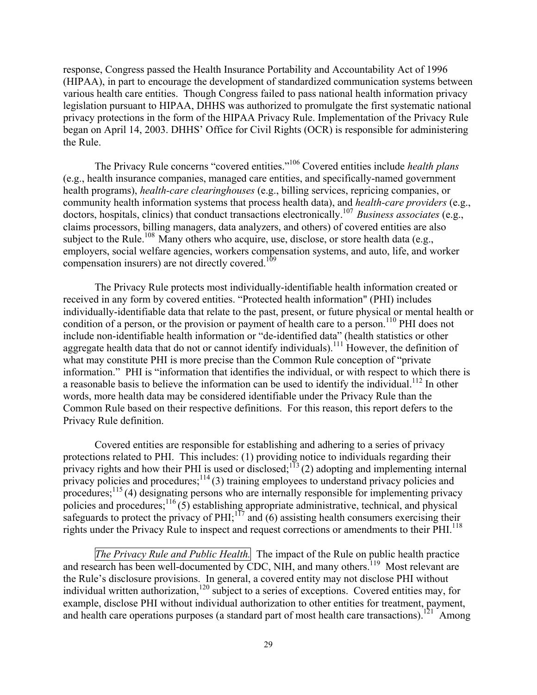response, Congress passed the Health Insurance Portability and Accountability Act of 1996 (HIPAA), in part to encourage the development of standardized communication systems between various health care entities. Though Congress failed to pass national health information privacy legislation pursuant to HIPAA, DHHS was authorized to promulgate the first systematic national privacy protections in the form of the HIPAA Privacy Rule. Implementation of the Privacy Rule began on April 14, 2003. DHHS' Office for Civil Rights (OCR) is responsible for administering the Rule.

The Privacy Rule concerns "covered entities."106 Covered entities include *health plans*  (e.g., health insurance companies, managed care entities, and specifically-named government health programs), *health-care clearinghouses* (e.g., billing services, repricing companies, or community health information systems that process health data), and *health-care providers* (e.g., doctors, hospitals, clinics) that conduct transactions electronically.107 *Business associates* (e.g., claims processors, billing managers, data analyzers, and others) of covered entities are also subject to the Rule.<sup>108</sup> Many others who acquire, use, disclose, or store health data (e.g., employers, social welfare agencies, workers compensation systems, and auto, life, and worker compensation insurers) are not directly covered.<sup>109</sup>

The Privacy Rule protects most individually-identifiable health information created or received in any form by covered entities. "Protected health information" (PHI) includes individually-identifiable data that relate to the past, present, or future physical or mental health or condition of a person, or the provision or payment of health care to a person.<sup>110</sup> PHI does not include non-identifiable health information or "de-identified data" (health statistics or other aggregate health data that do not or cannot identify individuals).<sup>111</sup> However, the definition of what may constitute PHI is more precise than the Common Rule conception of "private information." PHI is "information that identifies the individual, or with respect to which there is a reasonable basis to believe the information can be used to identify the individual.<sup>112</sup> In other words, more health data may be considered identifiable under the Privacy Rule than the Common Rule based on their respective definitions. For this reason, this report defers to the Privacy Rule definition.

Covered entities are responsible for establishing and adhering to a series of privacy protections related to PHI. This includes: (1) providing notice to individuals regarding their privacy rights and how their PHI is used or disclosed;<sup>113</sup> (2) adopting and implementing internal privacy policies and procedures;  $\frac{114}{3}$  training employees to understand privacy policies and procedures; $^{115}(4)$  designating persons who are internally responsible for implementing privacy policies and procedures; $116$  (5) establishing appropriate administrative, technical, and physical safeguards to protect the privacy of PHI; $^{17}$  and (6) assisting health consumers exercising their rights under the Privacy Rule to inspect and request corrections or amendments to their PHI.<sup>118</sup>

*The Privacy Rule and Public Health.* The impact of the Rule on public health practice and research has been well-documented by CDC, NIH, and many others.<sup>119</sup> Most relevant are the Rule's disclosure provisions. In general, a covered entity may not disclose PHI without individual written authorization,<sup>120</sup> subject to a series of exceptions. Covered entities may, for example, disclose PHI without individual authorization to other entities for treatment, payment, and health care operations purposes (a standard part of most health care transactions).<sup>121</sup> Among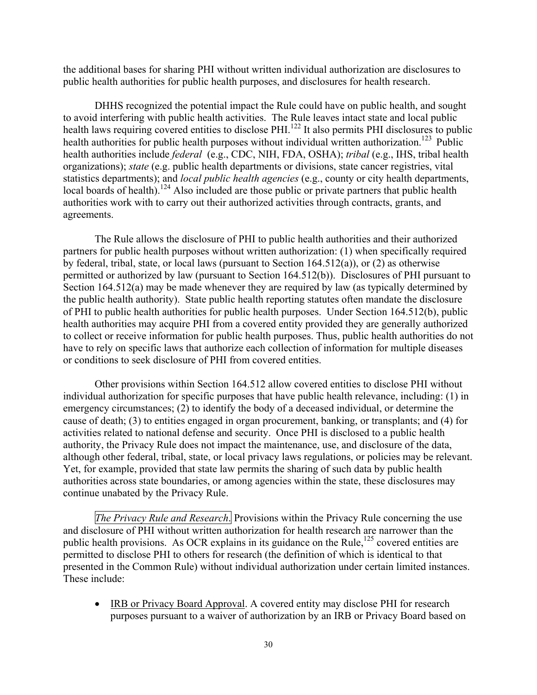the additional bases for sharing PHI without written individual authorization are disclosures to public health authorities for public health purposes, and disclosures for health research.

DHHS recognized the potential impact the Rule could have on public health, and sought to avoid interfering with public health activities. The Rule leaves intact state and local public health laws requiring covered entities to disclose PHI.<sup>122</sup> It also permits PHI disclosures to public health authorities for public health purposes without individual written authorization.<sup>123</sup> Public health authorities include *federal* (e.g., CDC, NIH, FDA, OSHA); *tribal* (e.g., IHS, tribal health organizations); *state* (e.g. public health departments or divisions, state cancer registries, vital statistics departments); and *local public health agencies* (e.g., county or city health departments, local boards of health).<sup>124</sup> Also included are those public or private partners that public health authorities work with to carry out their authorized activities through contracts, grants, and agreements.

The Rule allows the disclosure of PHI to public health authorities and their authorized partners for public health purposes without written authorization: (1) when specifically required by federal, tribal, state, or local laws (pursuant to Section  $164.512(a)$ ), or (2) as otherwise permitted or authorized by law (pursuant to Section 164.512(b)). Disclosures of PHI pursuant to Section 164.512(a) may be made whenever they are required by law (as typically determined by the public health authority). State public health reporting statutes often mandate the disclosure of PHI to public health authorities for public health purposes. Under Section 164.512(b), public health authorities may acquire PHI from a covered entity provided they are generally authorized to collect or receive information for public health purposes. Thus, public health authorities do not have to rely on specific laws that authorize each collection of information for multiple diseases or conditions to seek disclosure of PHI from covered entities.

Other provisions within Section 164.512 allow covered entities to disclose PHI without individual authorization for specific purposes that have public health relevance, including: (1) in emergency circumstances; (2) to identify the body of a deceased individual, or determine the cause of death; (3) to entities engaged in organ procurement, banking, or transplants; and (4) for activities related to national defense and security. Once PHI is disclosed to a public health authority, the Privacy Rule does not impact the maintenance, use, and disclosure of the data, although other federal, tribal, state, or local privacy laws regulations, or policies may be relevant. Yet, for example, provided that state law permits the sharing of such data by public health authorities across state boundaries, or among agencies within the state, these disclosures may continue unabated by the Privacy Rule.

*The Privacy Rule and Research*. Provisions within the Privacy Rule concerning the use and disclosure of PHI without written authorization for health research are narrower than the public health provisions. As OCR explains in its guidance on the Rule,<sup>125</sup> covered entities are permitted to disclose PHI to others for research (the definition of which is identical to that presented in the Common Rule) without individual authorization under certain limited instances. These include:

• IRB or Privacy Board Approval. A covered entity may disclose PHI for research purposes pursuant to a waiver of authorization by an IRB or Privacy Board based on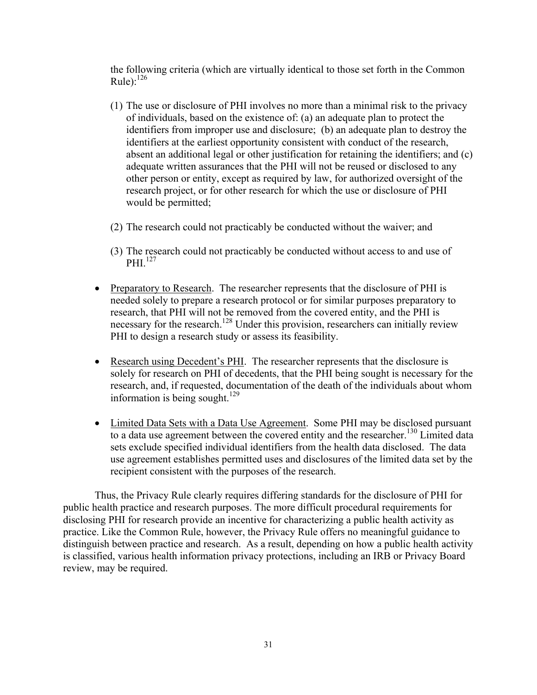the following criteria (which are virtually identical to those set forth in the Common Rule): $^{126}$ 

- (1) The use or disclosure of PHI involves no more than a minimal risk to the privacy of individuals, based on the existence of: (a) an adequate plan to protect the identifiers from improper use and disclosure; (b) an adequate plan to destroy the identifiers at the earliest opportunity consistent with conduct of the research, absent an additional legal or other justification for retaining the identifiers; and (c) adequate written assurances that the PHI will not be reused or disclosed to any other person or entity, except as required by law, for authorized oversight of the research project, or for other research for which the use or disclosure of PHI would be permitted;
- (2) The research could not practicably be conducted without the waiver; and
- (3) The research could not practicably be conducted without access to and use of PHI $^{127}$
- Preparatory to Research. The researcher represents that the disclosure of PHI is needed solely to prepare a research protocol or for similar purposes preparatory to research, that PHI will not be removed from the covered entity, and the PHI is necessary for the research.<sup>128</sup> Under this provision, researchers can initially review PHI to design a research study or assess its feasibility.
- information is being sought. $129$ • Research using Decedent's PHI. The researcher represents that the disclosure is solely for research on PHI of decedents, that the PHI being sought is necessary for the research, and, if requested, documentation of the death of the individuals about whom
- Limited Data Sets with a Data Use Agreement. Some PHI may be disclosed pursuant to a data use agreement between the covered entity and the researcher.<sup>130</sup> Limited data sets exclude specified individual identifiers from the health data disclosed. The data use agreement establishes permitted uses and disclosures of the limited data set by the recipient consistent with the purposes of the research.

Thus, the Privacy Rule clearly requires differing standards for the disclosure of PHI for public health practice and research purposes. The more difficult procedural requirements for disclosing PHI for research provide an incentive for characterizing a public health activity as practice. Like the Common Rule, however, the Privacy Rule offers no meaningful guidance to distinguish between practice and research. As a result, depending on how a public health activity is classified, various health information privacy protections, including an IRB or Privacy Board review, may be required.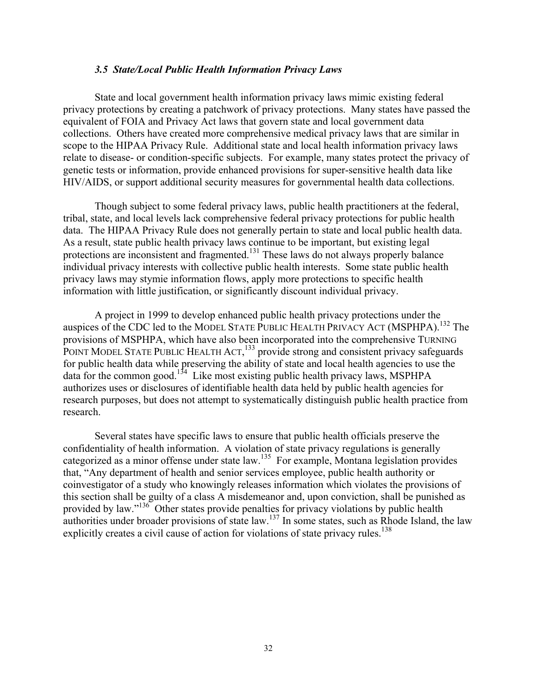#### *3.5 State/Local Public Health Information Privacy Laws*

<span id="page-31-0"></span>State and local government health information privacy laws mimic existing federal privacy protections by creating a patchwork of privacy protections. Many states have passed the equivalent of FOIA and Privacy Act laws that govern state and local government data collections. Others have created more comprehensive medical privacy laws that are similar in scope to the HIPAA Privacy Rule. Additional state and local health information privacy laws relate to disease- or condition-specific subjects. For example, many states protect the privacy of genetic tests or information, provide enhanced provisions for super-sensitive health data like HIV/AIDS, or support additional security measures for governmental health data collections.

Though subject to some federal privacy laws, public health practitioners at the federal, tribal, state, and local levels lack comprehensive federal privacy protections for public health data. The HIPAA Privacy Rule does not generally pertain to state and local public health data. As a result, state public health privacy laws continue to be important, but existing legal protections are inconsistent and fragmented.131 These laws do not always properly balance individual privacy interests with collective public health interests. Some state public health privacy laws may stymie information flows, apply more protections to specific health information with little justification, or significantly discount individual privacy.

A project in 1999 to develop enhanced public health privacy protections under the auspices of the CDC led to the MODEL STATE PUBLIC HEALTH PRIVACY ACT (MSPHPA).<sup>132</sup> The provisions of MSPHPA, which have also been incorporated into the comprehensive TURNING POINT MODEL STATE PUBLIC HEALTH ACT, <sup>133</sup> provide strong and consistent privacy safeguards for public health data while preserving the ability of state and local health agencies to use the data for the common good.<sup>134</sup> Like most existing public health privacy laws, MSPHPA authorizes uses or disclosures of identifiable health data held by public health agencies for research purposes, but does not attempt to systematically distinguish public health practice from research.

Several states have specific laws to ensure that public health officials preserve the confidentiality of health information. A violation of state privacy regulations is generally categorized as a minor offense under state law.135 For example, Montana legislation provides that, "Any department of health and senior services employee, public health authority or coinvestigator of a study who knowingly releases information which violates the provisions of this section shall be guilty of a class A misdemeanor and, upon conviction, shall be punished as provided by law."<sup>136</sup> Other states provide penalties for privacy violations by public health authorities under broader provisions of state law.<sup>137</sup> In some states, such as Rhode Island, the law explicitly creates a civil cause of action for violations of state privacy rules.<sup>138</sup>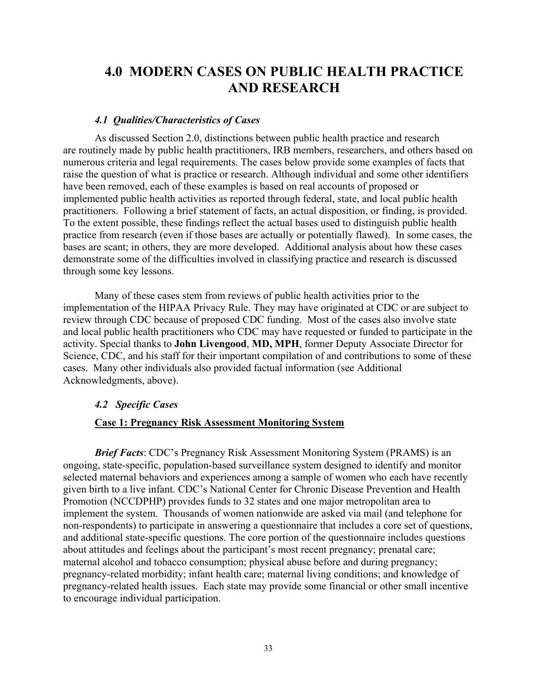## <span id="page-32-0"></span>**4.0 MODERN CASES ON PUBLIC HEALTH PRACTICE AND RESEARCH**

#### *4.1 Qualities/Characteristics of Cases*

As discussed Section 2.0, distinctions between public health practice and research are routinely made by public health practitioners, IRB members, researchers, and others based on numerous criteria and legal requirements. The cases below provide some examples of facts that raise the question of what is practice or research. Although individual and some other identifiers have been removed, each of these examples is based on real accounts of proposed or implemented public health activities as reported through federal, state, and local public health practitioners. Following a brief statement of facts, an actual disposition, or finding, is provided. To the extent possible, these findings reflect the actual bases used to distinguish public health practice from research (even if those bases are actually or potentially flawed). In some cases, the bases are scant; in others, they are more developed. Additional analysis about how these cases demonstrate some of the difficulties involved in classifying practice and research is discussed through some key lessons.

Many of these cases stem from reviews of public health activities prior to the implementation of the HIPAA Privacy Rule. They may have originated at CDC or are subject to review through CDC because of proposed CDC funding. Most of the cases also involve state and local public health practitioners who CDC may have requested or funded to participate in the activity. Special thanks to **John Livengood**, **MD, MPH**, former Deputy Associate Director for Science, CDC, and his staff for their important compilation of and contributions to some of these cases. Many other individuals also provided factual information (see Additional Acknowledgments, above).

#### *4.2 Specific Cases*

#### **Case 1: Pregnancy Risk Assessment Monitoring System**

*Brief Facts*: CDC's Pregnancy Risk Assessment Monitoring System (PRAMS) is an ongoing, state-specific, population-based surveillance system designed to identify and monitor selected maternal behaviors and experiences among a sample of women who each have recently given birth to a live infant. CDC's National Center for Chronic Disease Prevention and Health Promotion (NCCDPHP) provides funds to 32 states and one major metropolitan area to implement the system. Thousands of women nationwide are asked via mail (and telephone for non-respondents) to participate in answering a questionnaire that includes a core set of questions, and additional state-specific questions. The core portion of the questionnaire includes questions about attitudes and feelings about the participant's most recent pregnancy; prenatal care; maternal alcohol and tobacco consumption; physical abuse before and during pregnancy; pregnancy-related morbidity; infant health care; maternal living conditions; and knowledge of pregnancy-related health issues. Each state may provide some financial or other small incentive to encourage individual participation.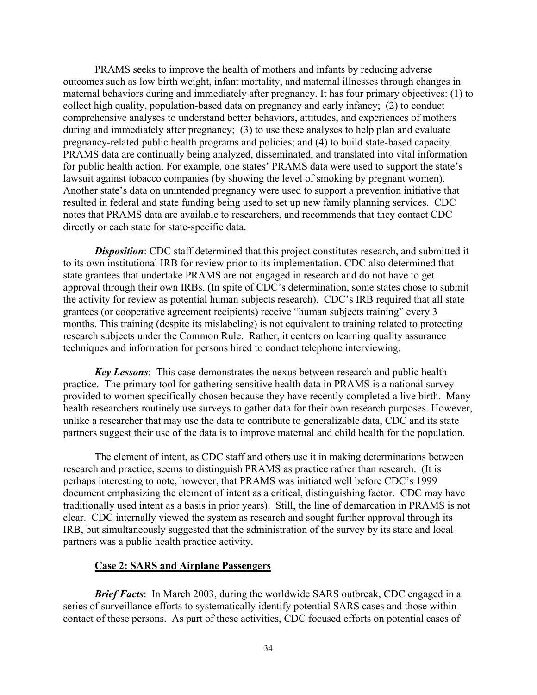<span id="page-33-0"></span>PRAMS seeks to improve the health of mothers and infants by reducing adverse outcomes such as low birth weight, infant mortality, and maternal illnesses through changes in maternal behaviors during and immediately after pregnancy. It has four primary objectives: (1) to collect high quality, population-based data on pregnancy and early infancy; (2) to conduct comprehensive analyses to understand better behaviors, attitudes, and experiences of mothers during and immediately after pregnancy; (3) to use these analyses to help plan and evaluate pregnancy-related public health programs and policies; and (4) to build state-based capacity. PRAMS data are continually being analyzed, disseminated, and translated into vital information for public health action. For example, one states' PRAMS data were used to support the state's lawsuit against tobacco companies (by showing the level of smoking by pregnant women). Another state's data on unintended pregnancy were used to support a prevention initiative that resulted in federal and state funding being used to set up new family planning services. CDC notes that PRAMS data are available to researchers, and recommends that they contact CDC directly or each state for state-specific data.

**Disposition**: CDC staff determined that this project constitutes research, and submitted it to its own institutional IRB for review prior to its implementation. CDC also determined that state grantees that undertake PRAMS are not engaged in research and do not have to get approval through their own IRBs. (In spite of CDC's determination, some states chose to submit the activity for review as potential human subjects research). CDC's IRB required that all state grantees (or cooperative agreement recipients) receive "human subjects training" every 3 months. This training (despite its mislabeling) is not equivalent to training related to protecting research subjects under the Common Rule. Rather, it centers on learning quality assurance techniques and information for persons hired to conduct telephone interviewing.

*Key Lessons*: This case demonstrates the nexus between research and public health practice. The primary tool for gathering sensitive health data in PRAMS is a national survey provided to women specifically chosen because they have recently completed a live birth. Many health researchers routinely use surveys to gather data for their own research purposes. However, unlike a researcher that may use the data to contribute to generalizable data, CDC and its state partners suggest their use of the data is to improve maternal and child health for the population.

The element of intent, as CDC staff and others use it in making determinations between research and practice, seems to distinguish PRAMS as practice rather than research. (It is perhaps interesting to note, however, that PRAMS was initiated well before CDC's 1999 document emphasizing the element of intent as a critical, distinguishing factor. CDC may have traditionally used intent as a basis in prior years). Still, the line of demarcation in PRAMS is not clear. CDC internally viewed the system as research and sought further approval through its IRB, but simultaneously suggested that the administration of the survey by its state and local partners was a public health practice activity.

#### **Case 2: SARS and Airplane Passengers**

*Brief Facts*: In March 2003, during the worldwide SARS outbreak, CDC engaged in a series of surveillance efforts to systematically identify potential SARS cases and those within contact of these persons. As part of these activities, CDC focused efforts on potential cases of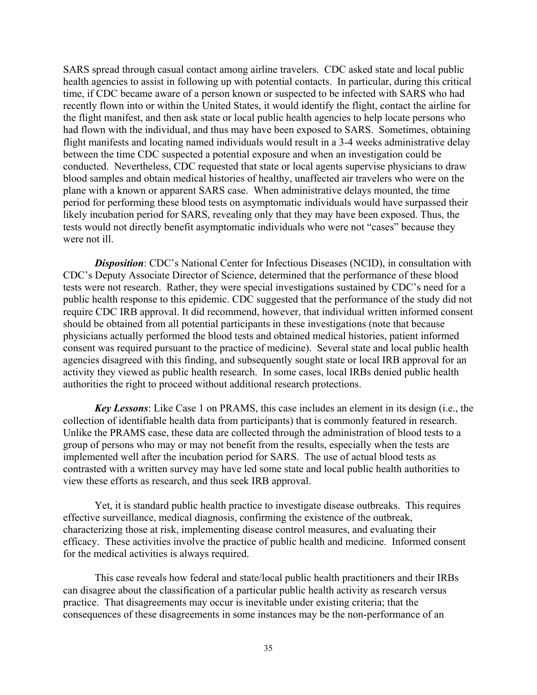SARS spread through casual contact among airline travelers. CDC asked state and local public health agencies to assist in following up with potential contacts. In particular, during this critical time, if CDC became aware of a person known or suspected to be infected with SARS who had recently flown into or within the United States, it would identify the flight, contact the airline for the flight manifest, and then ask state or local public health agencies to help locate persons who had flown with the individual, and thus may have been exposed to SARS. Sometimes, obtaining flight manifests and locating named individuals would result in a 3-4 weeks administrative delay between the time CDC suspected a potential exposure and when an investigation could be conducted. Nevertheless, CDC requested that state or local agents supervise physicians to draw blood samples and obtain medical histories of healthy, unaffected air travelers who were on the plane with a known or apparent SARS case. When administrative delays mounted, the time period for performing these blood tests on asymptomatic individuals would have surpassed their likely incubation period for SARS, revealing only that they may have been exposed. Thus, the tests would not directly benefit asymptomatic individuals who were not "cases" because they were not ill

**Disposition**: CDC's National Center for Infectious Diseases (NCID), in consultation with CDC's Deputy Associate Director of Science, determined that the performance of these blood tests were not research. Rather, they were special investigations sustained by CDC's need for a public health response to this epidemic. CDC suggested that the performance of the study did not require CDC IRB approval. It did recommend, however, that individual written informed consent should be obtained from all potential participants in these investigations (note that because physicians actually performed the blood tests and obtained medical histories, patient informed consent was required pursuant to the practice of medicine). Several state and local public health agencies disagreed with this finding, and subsequently sought state or local IRB approval for an activity they viewed as public health research. In some cases, local IRBs denied public health authorities the right to proceed without additional research protections.

*Key Lessons*: Like Case 1 on PRAMS, this case includes an element in its design (i.e., the collection of identifiable health data from participants) that is commonly featured in research. Unlike the PRAMS case, these data are collected through the administration of blood tests to a group of persons who may or may not benefit from the results, especially when the tests are implemented well after the incubation period for SARS. The use of actual blood tests as contrasted with a written survey may have led some state and local public health authorities to view these efforts as research, and thus seek IRB approval.

Yet, it is standard public health practice to investigate disease outbreaks. This requires effective surveillance, medical diagnosis, confirming the existence of the outbreak, characterizing those at risk, implementing disease control measures, and evaluating their efficacy. These activities involve the practice of public health and medicine. Informed consent for the medical activities is always required.

This case reveals how federal and state/local public health practitioners and their IRBs can disagree about the classification of a particular public health activity as research versus practice. That disagreements may occur is inevitable under existing criteria; that the consequences of these disagreements in some instances may be the non-performance of an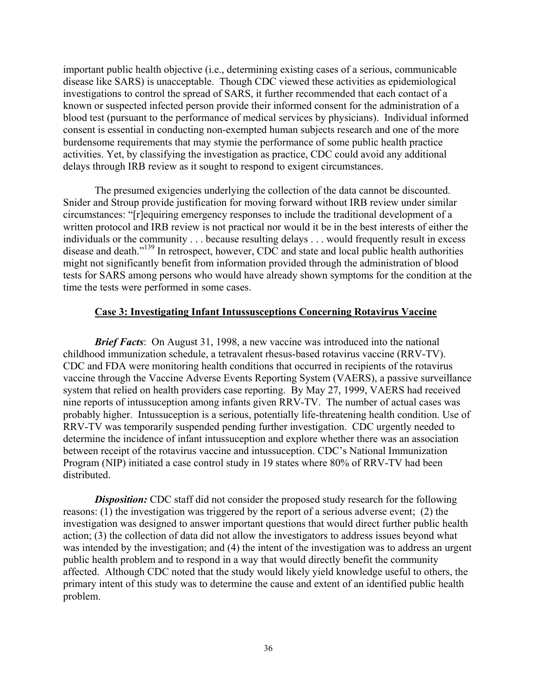<span id="page-35-0"></span>important public health objective (i.e., determining existing cases of a serious, communicable disease like SARS) is unacceptable. Though CDC viewed these activities as epidemiological investigations to control the spread of SARS, it further recommended that each contact of a known or suspected infected person provide their informed consent for the administration of a blood test (pursuant to the performance of medical services by physicians). Individual informed consent is essential in conducting non-exempted human subjects research and one of the more burdensome requirements that may stymie the performance of some public health practice activities. Yet, by classifying the investigation as practice, CDC could avoid any additional delays through IRB review as it sought to respond to exigent circumstances.

The presumed exigencies underlying the collection of the data cannot be discounted. Snider and Stroup provide justification for moving forward without IRB review under similar circumstances: "[r]equiring emergency responses to include the traditional development of a written protocol and IRB review is not practical nor would it be in the best interests of either the individuals or the community . . . because resulting delays . . . would frequently result in excess disease and death."139 In retrospect, however, CDC and state and local public health authorities might not significantly benefit from information provided through the administration of blood tests for SARS among persons who would have already shown symptoms for the condition at the time the tests were performed in some cases.

#### **Case 3: Investigating Infant Intussusceptions Concerning Rotavirus Vaccine**

*Brief Facts*: On August 31, 1998, a new vaccine was introduced into the national childhood immunization schedule, a tetravalent rhesus-based rotavirus vaccine (RRV-TV). CDC and FDA were monitoring health conditions that occurred in recipients of the rotavirus vaccine through the Vaccine Adverse Events Reporting System (VAERS), a passive surveillance system that relied on health providers case reporting. By May 27, 1999, VAERS had received nine reports of intussuception among infants given RRV-TV. The number of actual cases was probably higher. Intussuception is a serious, potentially life-threatening health condition. Use of RRV-TV was temporarily suspended pending further investigation. CDC urgently needed to determine the incidence of infant intussuception and explore whether there was an association between receipt of the rotavirus vaccine and intussuception. CDC's National Immunization Program (NIP) initiated a case control study in 19 states where 80% of RRV-TV had been distributed.

*Disposition:* CDC staff did not consider the proposed study research for the following reasons: (1) the investigation was triggered by the report of a serious adverse event; (2) the investigation was designed to answer important questions that would direct further public health action; (3) the collection of data did not allow the investigators to address issues beyond what was intended by the investigation; and (4) the intent of the investigation was to address an urgent public health problem and to respond in a way that would directly benefit the community affected. Although CDC noted that the study would likely yield knowledge useful to others, the primary intent of this study was to determine the cause and extent of an identified public health problem.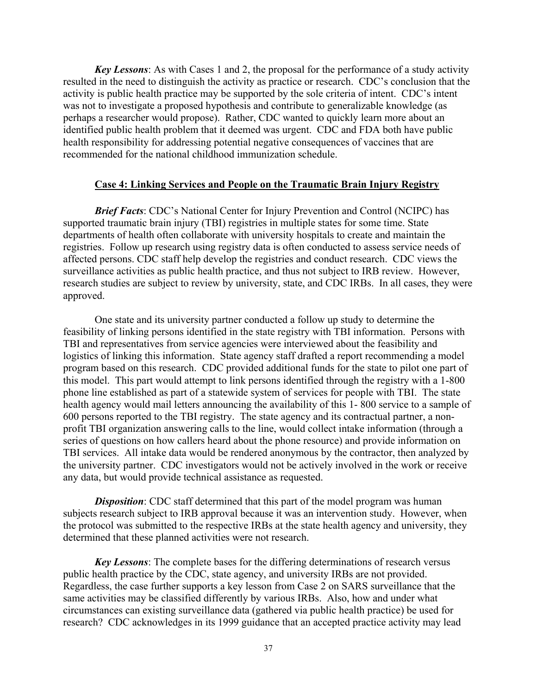<span id="page-36-0"></span>*Key Lessons*: As with Cases 1 and 2, the proposal for the performance of a study activity resulted in the need to distinguish the activity as practice or research. CDC's conclusion that the activity is public health practice may be supported by the sole criteria of intent. CDC's intent was not to investigate a proposed hypothesis and contribute to generalizable knowledge (as perhaps a researcher would propose). Rather, CDC wanted to quickly learn more about an identified public health problem that it deemed was urgent. CDC and FDA both have public health responsibility for addressing potential negative consequences of vaccines that are recommended for the national childhood immunization schedule.

#### **Case 4: Linking Services and People on the Traumatic Brain Injury Registry**

*Brief Facts*: CDC's National Center for Injury Prevention and Control (NCIPC) has supported traumatic brain injury (TBI) registries in multiple states for some time. State departments of health often collaborate with university hospitals to create and maintain the registries. Follow up research using registry data is often conducted to assess service needs of affected persons. CDC staff help develop the registries and conduct research. CDC views the surveillance activities as public health practice, and thus not subject to IRB review. However, research studies are subject to review by university, state, and CDC IRBs. In all cases, they were approved.

One state and its university partner conducted a follow up study to determine the feasibility of linking persons identified in the state registry with TBI information. Persons with TBI and representatives from service agencies were interviewed about the feasibility and logistics of linking this information. State agency staff drafted a report recommending a model program based on this research. CDC provided additional funds for the state to pilot one part of this model. This part would attempt to link persons identified through the registry with a 1-800 phone line established as part of a statewide system of services for people with TBI. The state health agency would mail letters announcing the availability of this 1- 800 service to a sample of 600 persons reported to the TBI registry. The state agency and its contractual partner, a nonprofit TBI organization answering calls to the line, would collect intake information (through a series of questions on how callers heard about the phone resource) and provide information on TBI services. All intake data would be rendered anonymous by the contractor, then analyzed by the university partner. CDC investigators would not be actively involved in the work or receive any data, but would provide technical assistance as requested.

*Disposition*: CDC staff determined that this part of the model program was human subjects research subject to IRB approval because it was an intervention study. However, when the protocol was submitted to the respective IRBs at the state health agency and university, they determined that these planned activities were not research.

*Key Lessons*: The complete bases for the differing determinations of research versus public health practice by the CDC, state agency, and university IRBs are not provided. Regardless, the case further supports a key lesson from Case 2 on SARS surveillance that the same activities may be classified differently by various IRBs. Also, how and under what circumstances can existing surveillance data (gathered via public health practice) be used for research? CDC acknowledges in its 1999 guidance that an accepted practice activity may lead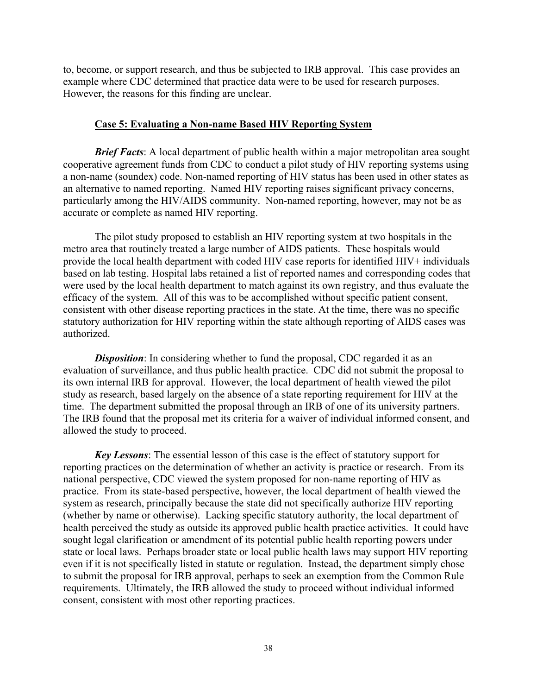<span id="page-37-0"></span>to, become, or support research, and thus be subjected to IRB approval. This case provides an example where CDC determined that practice data were to be used for research purposes. However, the reasons for this finding are unclear.

#### **Case 5: Evaluating a Non-name Based HIV Reporting System**

*Brief Facts*: A local department of public health within a major metropolitan area sought cooperative agreement funds from CDC to conduct a pilot study of HIV reporting systems using a non-name (soundex) code. Non-named reporting of HIV status has been used in other states as an alternative to named reporting. Named HIV reporting raises significant privacy concerns, particularly among the HIV/AIDS community. Non-named reporting, however, may not be as accurate or complete as named HIV reporting.

The pilot study proposed to establish an HIV reporting system at two hospitals in the metro area that routinely treated a large number of AIDS patients. These hospitals would provide the local health department with coded HIV case reports for identified HIV+ individuals based on lab testing. Hospital labs retained a list of reported names and corresponding codes that were used by the local health department to match against its own registry, and thus evaluate the efficacy of the system. All of this was to be accomplished without specific patient consent, consistent with other disease reporting practices in the state. At the time, there was no specific statutory authorization for HIV reporting within the state although reporting of AIDS cases was authorized.

*Disposition*: In considering whether to fund the proposal, CDC regarded it as an evaluation of surveillance, and thus public health practice. CDC did not submit the proposal to its own internal IRB for approval. However, the local department of health viewed the pilot study as research, based largely on the absence of a state reporting requirement for HIV at the time. The department submitted the proposal through an IRB of one of its university partners. The IRB found that the proposal met its criteria for a waiver of individual informed consent, and allowed the study to proceed.

*Key Lessons*: The essential lesson of this case is the effect of statutory support for reporting practices on the determination of whether an activity is practice or research. From its national perspective, CDC viewed the system proposed for non-name reporting of HIV as practice. From its state-based perspective, however, the local department of health viewed the system as research, principally because the state did not specifically authorize HIV reporting (whether by name or otherwise). Lacking specific statutory authority, the local department of health perceived the study as outside its approved public health practice activities. It could have sought legal clarification or amendment of its potential public health reporting powers under state or local laws. Perhaps broader state or local public health laws may support HIV reporting even if it is not specifically listed in statute or regulation. Instead, the department simply chose to submit the proposal for IRB approval, perhaps to seek an exemption from the Common Rule requirements. Ultimately, the IRB allowed the study to proceed without individual informed consent, consistent with most other reporting practices.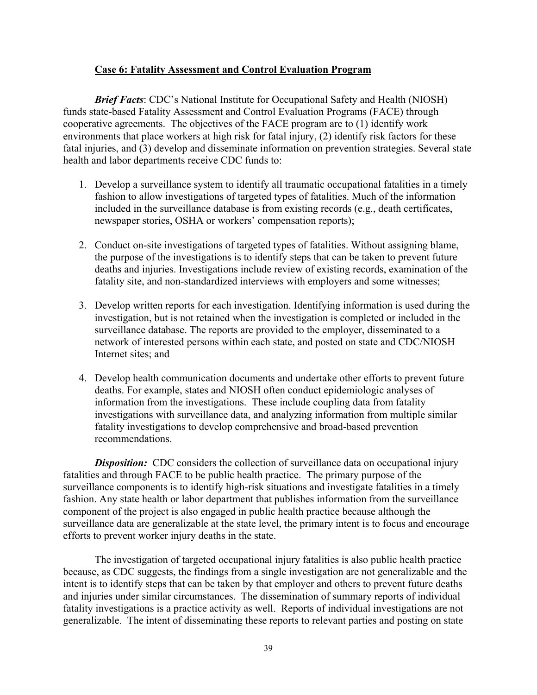#### **Case 6: Fatality Assessment and Control Evaluation Program**

<span id="page-38-0"></span>*Brief Facts*: CDC's National Institute for Occupational Safety and Health (NIOSH) funds state-based Fatality Assessment and Control Evaluation Programs (FACE) through cooperative agreements. The objectives of the FACE program are to (1) identify work environments that place workers at high risk for fatal injury, (2) identify risk factors for these fatal injuries, and (3) develop and disseminate information on prevention strategies. Several state health and labor departments receive CDC funds to:

- 1. Develop a surveillance system to identify all traumatic occupational fatalities in a timely fashion to allow investigations of targeted types of fatalities. Much of the information included in the surveillance database is from existing records (e.g., death certificates, newspaper stories, OSHA or workers' compensation reports);
- 2. Conduct on-site investigations of targeted types of fatalities. Without assigning blame, the purpose of the investigations is to identify steps that can be taken to prevent future deaths and injuries. Investigations include review of existing records, examination of the fatality site, and non-standardized interviews with employers and some witnesses;
- 3. Develop written reports for each investigation. Identifying information is used during the investigation, but is not retained when the investigation is completed or included in the surveillance database. The reports are provided to the employer, disseminated to a network of interested persons within each state, and posted on state and CDC/NIOSH Internet sites; and
- 4. Develop health communication documents and undertake other efforts to prevent future deaths. For example, states and NIOSH often conduct epidemiologic analyses of information from the investigations. These include coupling data from fatality investigations with surveillance data, and analyzing information from multiple similar fatality investigations to develop comprehensive and broad-based prevention recommendations.

*Disposition:* CDC considers the collection of surveillance data on occupational injury fatalities and through FACE to be public health practice. The primary purpose of the surveillance components is to identify high-risk situations and investigate fatalities in a timely fashion. Any state health or labor department that publishes information from the surveillance component of the project is also engaged in public health practice because although the surveillance data are generalizable at the state level, the primary intent is to focus and encourage efforts to prevent worker injury deaths in the state.

The investigation of targeted occupational injury fatalities is also public health practice because, as CDC suggests, the findings from a single investigation are not generalizable and the intent is to identify steps that can be taken by that employer and others to prevent future deaths and injuries under similar circumstances. The dissemination of summary reports of individual fatality investigations is a practice activity as well. Reports of individual investigations are not generalizable. The intent of disseminating these reports to relevant parties and posting on state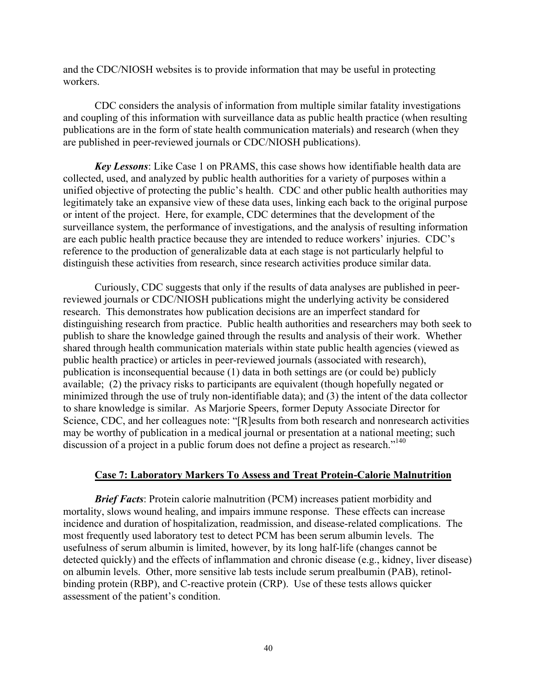<span id="page-39-0"></span>and the CDC/NIOSH websites is to provide information that may be useful in protecting workers.

CDC considers the analysis of information from multiple similar fatality investigations and coupling of this information with surveillance data as public health practice (when resulting publications are in the form of state health communication materials) and research (when they are published in peer-reviewed journals or CDC/NIOSH publications).

*Key Lessons*: Like Case 1 on PRAMS, this case shows how identifiable health data are collected, used, and analyzed by public health authorities for a variety of purposes within a unified objective of protecting the public's health. CDC and other public health authorities may legitimately take an expansive view of these data uses, linking each back to the original purpose or intent of the project. Here, for example, CDC determines that the development of the surveillance system, the performance of investigations, and the analysis of resulting information are each public health practice because they are intended to reduce workers' injuries. CDC's reference to the production of generalizable data at each stage is not particularly helpful to distinguish these activities from research, since research activities produce similar data.

Curiously, CDC suggests that only if the results of data analyses are published in peerreviewed journals or CDC/NIOSH publications might the underlying activity be considered research. This demonstrates how publication decisions are an imperfect standard for distinguishing research from practice. Public health authorities and researchers may both seek to publish to share the knowledge gained through the results and analysis of their work. Whether shared through health communication materials within state public health agencies (viewed as public health practice) or articles in peer-reviewed journals (associated with research), publication is inconsequential because (1) data in both settings are (or could be) publicly available; (2) the privacy risks to participants are equivalent (though hopefully negated or minimized through the use of truly non-identifiable data); and (3) the intent of the data collector to share knowledge is similar. As Marjorie Speers, former Deputy Associate Director for Science, CDC, and her colleagues note: "[R]esults from both research and nonresearch activities may be worthy of publication in a medical journal or presentation at a national meeting; such discussion of a project in a public forum does not define a project as research."<sup>140</sup>

#### **Case 7: Laboratory Markers To Assess and Treat Protein-Calorie Malnutrition**

*Brief Facts*: Protein calorie malnutrition (PCM) increases patient morbidity and mortality, slows wound healing, and impairs immune response. These effects can increase incidence and duration of hospitalization, readmission, and disease-related complications. The most frequently used laboratory test to detect PCM has been serum albumin levels. The usefulness of serum albumin is limited, however, by its long half-life (changes cannot be detected quickly) and the effects of inflammation and chronic disease (e.g., kidney, liver disease) on albumin levels. Other, more sensitive lab tests include serum prealbumin (PAB), retinolbinding protein (RBP), and C-reactive protein (CRP). Use of these tests allows quicker assessment of the patient's condition.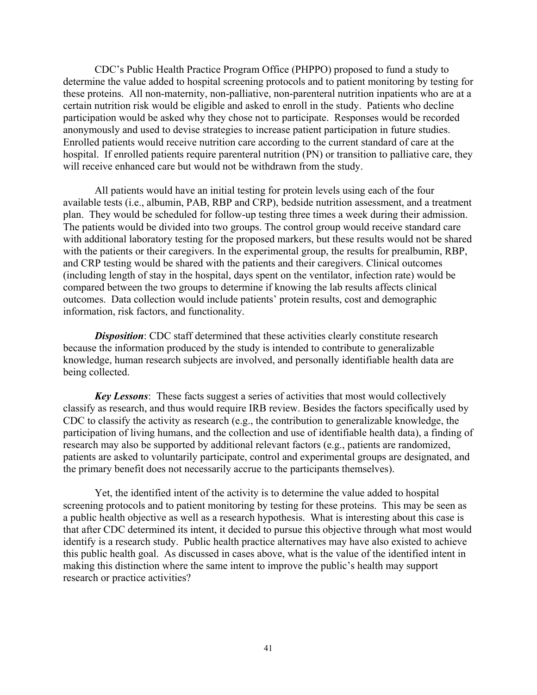CDC's Public Health Practice Program Office (PHPPO) proposed to fund a study to determine the value added to hospital screening protocols and to patient monitoring by testing for these proteins. All non-maternity, non-palliative, non-parenteral nutrition inpatients who are at a certain nutrition risk would be eligible and asked to enroll in the study. Patients who decline participation would be asked why they chose not to participate. Responses would be recorded anonymously and used to devise strategies to increase patient participation in future studies. Enrolled patients would receive nutrition care according to the current standard of care at the hospital. If enrolled patients require parenteral nutrition (PN) or transition to palliative care, they will receive enhanced care but would not be withdrawn from the study.

All patients would have an initial testing for protein levels using each of the four available tests (i.e., albumin, PAB, RBP and CRP), bedside nutrition assessment, and a treatment plan. They would be scheduled for follow-up testing three times a week during their admission. The patients would be divided into two groups. The control group would receive standard care with additional laboratory testing for the proposed markers, but these results would not be shared with the patients or their caregivers. In the experimental group, the results for prealbumin, RBP, and CRP testing would be shared with the patients and their caregivers. Clinical outcomes (including length of stay in the hospital, days spent on the ventilator, infection rate) would be compared between the two groups to determine if knowing the lab results affects clinical outcomes. Data collection would include patients' protein results, cost and demographic information, risk factors, and functionality.

*Disposition*: CDC staff determined that these activities clearly constitute research because the information produced by the study is intended to contribute to generalizable knowledge, human research subjects are involved, and personally identifiable health data are being collected.

*Key Lessons*: These facts suggest a series of activities that most would collectively classify as research, and thus would require IRB review. Besides the factors specifically used by CDC to classify the activity as research (e.g., the contribution to generalizable knowledge, the participation of living humans, and the collection and use of identifiable health data), a finding of research may also be supported by additional relevant factors (e.g., patients are randomized, patients are asked to voluntarily participate, control and experimental groups are designated, and the primary benefit does not necessarily accrue to the participants themselves).

Yet, the identified intent of the activity is to determine the value added to hospital screening protocols and to patient monitoring by testing for these proteins. This may be seen as a public health objective as well as a research hypothesis. What is interesting about this case is that after CDC determined its intent, it decided to pursue this objective through what most would identify is a research study. Public health practice alternatives may have also existed to achieve this public health goal. As discussed in cases above, what is the value of the identified intent in making this distinction where the same intent to improve the public's health may support research or practice activities?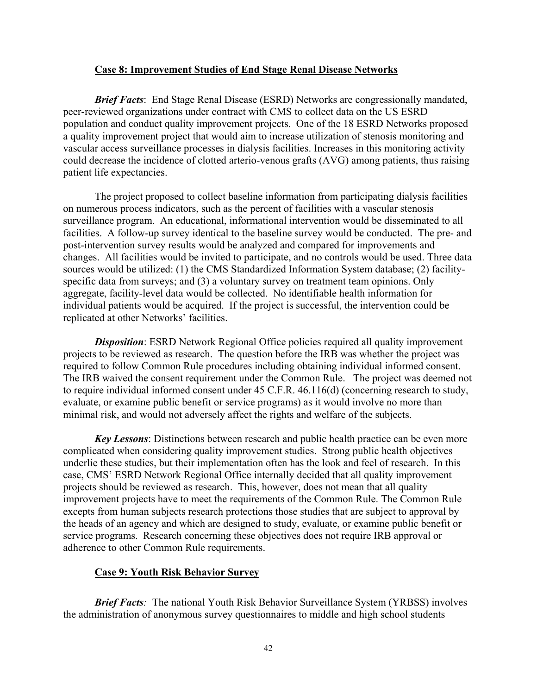#### **Case 8: Improvement Studies of End Stage Renal Disease Networks**

<span id="page-41-0"></span>*Brief Facts*: End Stage Renal Disease (ESRD) Networks are congressionally mandated, peer-reviewed organizations under contract with CMS to collect data on the US ESRD population and conduct quality improvement projects. One of the 18 ESRD Networks proposed a quality improvement project that would aim to increase utilization of stenosis monitoring and vascular access surveillance processes in dialysis facilities. Increases in this monitoring activity could decrease the incidence of clotted arterio-venous grafts (AVG) among patients, thus raising patient life expectancies.

The project proposed to collect baseline information from participating dialysis facilities on numerous process indicators, such as the percent of facilities with a vascular stenosis surveillance program. An educational, informational intervention would be disseminated to all facilities. A follow-up survey identical to the baseline survey would be conducted. The pre- and post-intervention survey results would be analyzed and compared for improvements and changes. All facilities would be invited to participate, and no controls would be used. Three data sources would be utilized: (1) the CMS Standardized Information System database; (2) facilityspecific data from surveys; and (3) a voluntary survey on treatment team opinions. Only aggregate, facility-level data would be collected. No identifiable health information for individual patients would be acquired. If the project is successful, the intervention could be replicated at other Networks' facilities.

**Disposition**: ESRD Network Regional Office policies required all quality improvement projects to be reviewed as research. The question before the IRB was whether the project was required to follow Common Rule procedures including obtaining individual informed consent. The IRB waived the consent requirement under the Common Rule. The project was deemed not to require individual informed consent under 45 C.F.R. 46.116(d) (concerning research to study, evaluate, or examine public benefit or service programs) as it would involve no more than minimal risk, and would not adversely affect the rights and welfare of the subjects.

*Key Lessons*: Distinctions between research and public health practice can be even more complicated when considering quality improvement studies. Strong public health objectives underlie these studies, but their implementation often has the look and feel of research. In this case, CMS' ESRD Network Regional Office internally decided that all quality improvement projects should be reviewed as research. This, however, does not mean that all quality improvement projects have to meet the requirements of the Common Rule. The Common Rule excepts from human subjects research protections those studies that are subject to approval by the heads of an agency and which are designed to study, evaluate, or examine public benefit or service programs. Research concerning these objectives does not require IRB approval or adherence to other Common Rule requirements.

#### **Case 9: Youth Risk Behavior Survey**

*Brief Facts*: The national Youth Risk Behavior Surveillance System (YRBSS) involves the administration of anonymous survey questionnaires to middle and high school students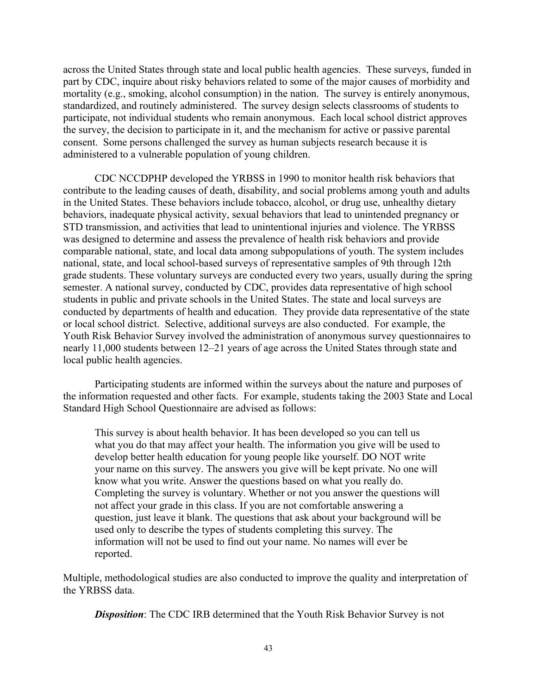across the United States through state and local public health agencies. These surveys, funded in part by CDC, inquire about risky behaviors related to some of the major causes of morbidity and mortality (e.g., smoking, alcohol consumption) in the nation. The survey is entirely anonymous, standardized, and routinely administered. The survey design selects classrooms of students to participate, not individual students who remain anonymous. Each local school district approves the survey, the decision to participate in it, and the mechanism for active or passive parental consent. Some persons challenged the survey as human subjects research because it is administered to a vulnerable population of young children.

CDC NCCDPHP developed the YRBSS in 1990 to monitor health risk behaviors that contribute to the leading causes of death, disability, and social problems among youth and adults in the United States. These behaviors include tobacco, alcohol, or drug use, unhealthy dietary behaviors, inadequate physical activity, sexual behaviors that lead to unintended pregnancy or STD transmission, and activities that lead to unintentional injuries and violence. The YRBSS was designed to determine and assess the prevalence of health risk behaviors and provide comparable national, state, and local data among subpopulations of youth. The system includes national, state, and local school-based surveys of representative samples of 9th through 12th grade students. These voluntary surveys are conducted every two years, usually during the spring semester. A national survey, conducted by CDC, provides data representative of high school students in public and private schools in the United States. The state and local surveys are conducted by departments of health and education. They provide data representative of the state or local school district. Selective, additional surveys are also conducted. For example, the Youth Risk Behavior Survey involved the administration of anonymous survey questionnaires to nearly 11,000 students between 12–21 years of age across the United States through state and local public health agencies.

Participating students are informed within the surveys about the nature and purposes of the information requested and other facts. For example, students taking the 2003 State and Local Standard High School Questionnaire are advised as follows:

This survey is about health behavior. It has been developed so you can tell us what you do that may affect your health. The information you give will be used to develop better health education for young people like yourself. DO NOT write your name on this survey. The answers you give will be kept private. No one will know what you write. Answer the questions based on what you really do. Completing the survey is voluntary. Whether or not you answer the questions will not affect your grade in this class. If you are not comfortable answering a question, just leave it blank. The questions that ask about your background will be used only to describe the types of students completing this survey. The information will not be used to find out your name. No names will ever be reported.

Multiple, methodological studies are also conducted to improve the quality and interpretation of the YRBSS data.

*Disposition*: The CDC IRB determined that the Youth Risk Behavior Survey is not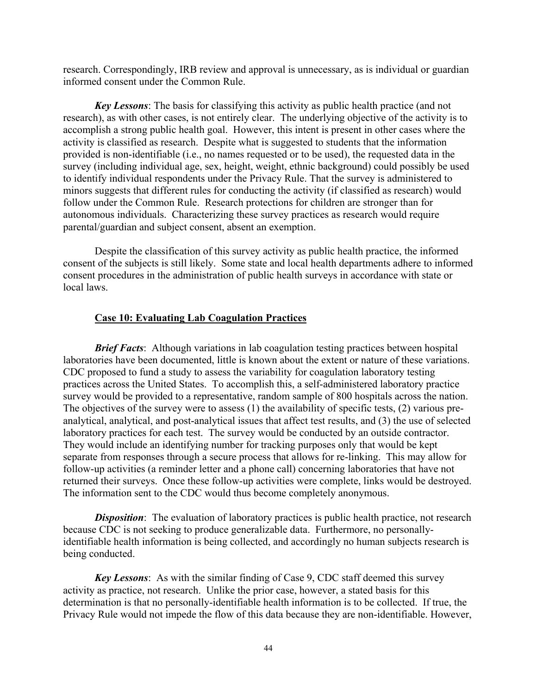<span id="page-43-0"></span>research. Correspondingly, IRB review and approval is unnecessary, as is individual or guardian informed consent under the Common Rule.

*Key Lessons*: The basis for classifying this activity as public health practice (and not research), as with other cases, is not entirely clear. The underlying objective of the activity is to accomplish a strong public health goal. However, this intent is present in other cases where the activity is classified as research. Despite what is suggested to students that the information provided is non-identifiable (i.e., no names requested or to be used), the requested data in the survey (including individual age, sex, height, weight, ethnic background) could possibly be used to identify individual respondents under the Privacy Rule. That the survey is administered to minors suggests that different rules for conducting the activity (if classified as research) would follow under the Common Rule. Research protections for children are stronger than for autonomous individuals. Characterizing these survey practices as research would require parental/guardian and subject consent, absent an exemption.

Despite the classification of this survey activity as public health practice, the informed consent of the subjects is still likely. Some state and local health departments adhere to informed consent procedures in the administration of public health surveys in accordance with state or local laws.

#### **Case 10: Evaluating Lab Coagulation Practices**

*Brief Facts*: Although variations in lab coagulation testing practices between hospital laboratories have been documented, little is known about the extent or nature of these variations. CDC proposed to fund a study to assess the variability for coagulation laboratory testing practices across the United States. To accomplish this, a self-administered laboratory practice survey would be provided to a representative, random sample of 800 hospitals across the nation. The objectives of the survey were to assess (1) the availability of specific tests, (2) various preanalytical, analytical, and post-analytical issues that affect test results, and (3) the use of selected laboratory practices for each test. The survey would be conducted by an outside contractor. They would include an identifying number for tracking purposes only that would be kept separate from responses through a secure process that allows for re-linking. This may allow for follow-up activities (a reminder letter and a phone call) concerning laboratories that have not returned their surveys. Once these follow-up activities were complete, links would be destroyed. The information sent to the CDC would thus become completely anonymous.

*Disposition*: The evaluation of laboratory practices is public health practice, not research because CDC is not seeking to produce generalizable data. Furthermore, no personallyidentifiable health information is being collected, and accordingly no human subjects research is being conducted.

*Key Lessons*: As with the similar finding of Case 9, CDC staff deemed this survey activity as practice, not research. Unlike the prior case, however, a stated basis for this determination is that no personally-identifiable health information is to be collected. If true, the Privacy Rule would not impede the flow of this data because they are non-identifiable. However,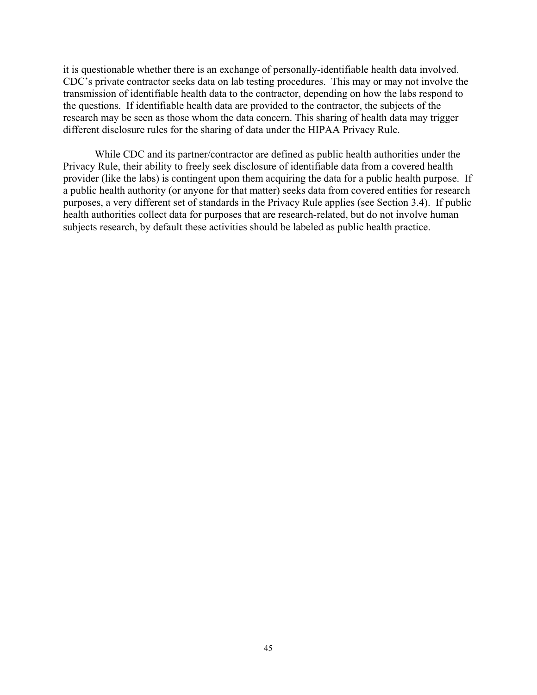it is questionable whether there is an exchange of personally-identifiable health data involved. CDC's private contractor seeks data on lab testing procedures. This may or may not involve the transmission of identifiable health data to the contractor, depending on how the labs respond to the questions. If identifiable health data are provided to the contractor, the subjects of the research may be seen as those whom the data concern. This sharing of health data may trigger different disclosure rules for the sharing of data under the HIPAA Privacy Rule.

While CDC and its partner/contractor are defined as public health authorities under the Privacy Rule, their ability to freely seek disclosure of identifiable data from a covered health provider (like the labs) is contingent upon them acquiring the data for a public health purpose. If a public health authority (or anyone for that matter) seeks data from covered entities for research purposes, a very different set of standards in the Privacy Rule applies (see Section 3.4). If public health authorities collect data for purposes that are research-related, but do not involve human subjects research, by default these activities should be labeled as public health practice.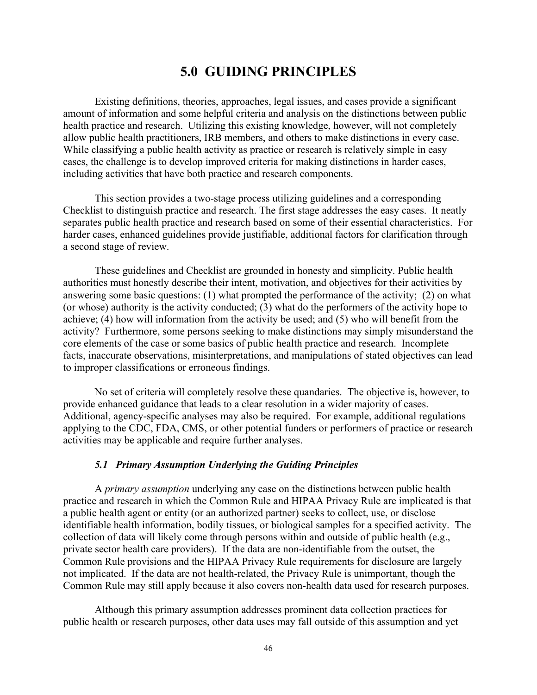## **5.0 GUIDING PRINCIPLES**

<span id="page-45-0"></span>Existing definitions, theories, approaches, legal issues, and cases provide a significant amount of information and some helpful criteria and analysis on the distinctions between public health practice and research. Utilizing this existing knowledge, however, will not completely allow public health practitioners, IRB members, and others to make distinctions in every case. While classifying a public health activity as practice or research is relatively simple in easy cases, the challenge is to develop improved criteria for making distinctions in harder cases, including activities that have both practice and research components.

This section provides a two-stage process utilizing guidelines and a corresponding Checklist to distinguish practice and research. The first stage addresses the easy cases. It neatly separates public health practice and research based on some of their essential characteristics. For harder cases, enhanced guidelines provide justifiable, additional factors for clarification through a second stage of review.

These guidelines and Checklist are grounded in honesty and simplicity. Public health authorities must honestly describe their intent, motivation, and objectives for their activities by answering some basic questions: (1) what prompted the performance of the activity; (2) on what (or whose) authority is the activity conducted; (3) what do the performers of the activity hope to achieve; (4) how will information from the activity be used; and (5) who will benefit from the activity? Furthermore, some persons seeking to make distinctions may simply misunderstand the core elements of the case or some basics of public health practice and research. Incomplete facts, inaccurate observations, misinterpretations, and manipulations of stated objectives can lead to improper classifications or erroneous findings.

No set of criteria will completely resolve these quandaries. The objective is, however, to provide enhanced guidance that leads to a clear resolution in a wider majority of cases. Additional, agency-specific analyses may also be required. For example, additional regulations applying to the CDC, FDA, CMS, or other potential funders or performers of practice or research activities may be applicable and require further analyses.

#### *5.1 Primary Assumption Underlying the Guiding Principles*

A *primary assumption* underlying any case on the distinctions between public health practice and research in which the Common Rule and HIPAA Privacy Rule are implicated is that a public health agent or entity (or an authorized partner) seeks to collect, use, or disclose identifiable health information, bodily tissues, or biological samples for a specified activity. The collection of data will likely come through persons within and outside of public health (e.g., private sector health care providers). If the data are non-identifiable from the outset, the Common Rule provisions and the HIPAA Privacy Rule requirements for disclosure are largely not implicated. If the data are not health-related, the Privacy Rule is unimportant, though the Common Rule may still apply because it also covers non-health data used for research purposes.

Although this primary assumption addresses prominent data collection practices for public health or research purposes, other data uses may fall outside of this assumption and yet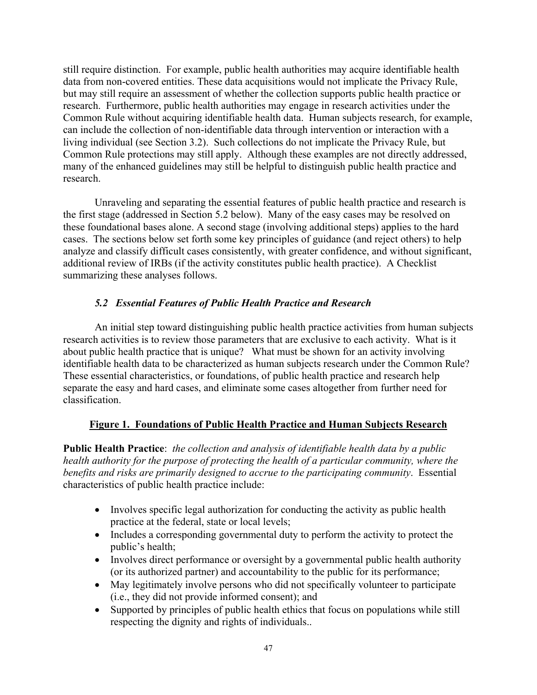<span id="page-46-0"></span>still require distinction. For example, public health authorities may acquire identifiable health data from non-covered entities. These data acquisitions would not implicate the Privacy Rule, but may still require an assessment of whether the collection supports public health practice or research. Furthermore, public health authorities may engage in research activities under the Common Rule without acquiring identifiable health data. Human subjects research, for example, can include the collection of non-identifiable data through intervention or interaction with a living individual (see Section 3.2). Such collections do not implicate the Privacy Rule, but Common Rule protections may still apply. Although these examples are not directly addressed, many of the enhanced guidelines may still be helpful to distinguish public health practice and research.

Unraveling and separating the essential features of public health practice and research is the first stage (addressed in Section 5.2 below). Many of the easy cases may be resolved on these foundational bases alone. A second stage (involving additional steps) applies to the hard cases. The sections below set forth some key principles of guidance (and reject others) to help analyze and classify difficult cases consistently, with greater confidence, and without significant, additional review of IRBs (if the activity constitutes public health practice). A Checklist summarizing these analyses follows.

#### *5.2 Essential Features of Public Health Practice and Research*

identifiable health data to be characterized as human subjects research under the Common Rule? An initial step toward distinguishing public health practice activities from human subjects research activities is to review those parameters that are exclusive to each activity. What is it about public health practice that is unique? What must be shown for an activity involving These essential characteristics, or foundations, of public health practice and research help separate the easy and hard cases, and eliminate some cases altogether from further need for classification.

#### **Figure 1. Foundations of Public Health Practice and Human Subjects Research**

**Public Health Practice**: *the collection and analysis of identifiable health data by a public health authority for the purpose of protecting the health of a particular community, where the benefits and risks are primarily designed to accrue to the participating community*. Essential characteristics of public health practice include:

- Involves specific legal authorization for conducting the activity as public health practice at the federal, state or local levels;
- Includes a corresponding governmental duty to perform the activity to protect the public's health;
- Involves direct performance or oversight by a governmental public health authority (or its authorized partner) and accountability to the public for its performance;
- May legitimately involve persons who did not specifically volunteer to participate (i.e., they did not provide informed consent); and
- Supported by principles of public health ethics that focus on populations while still respecting the dignity and rights of individuals..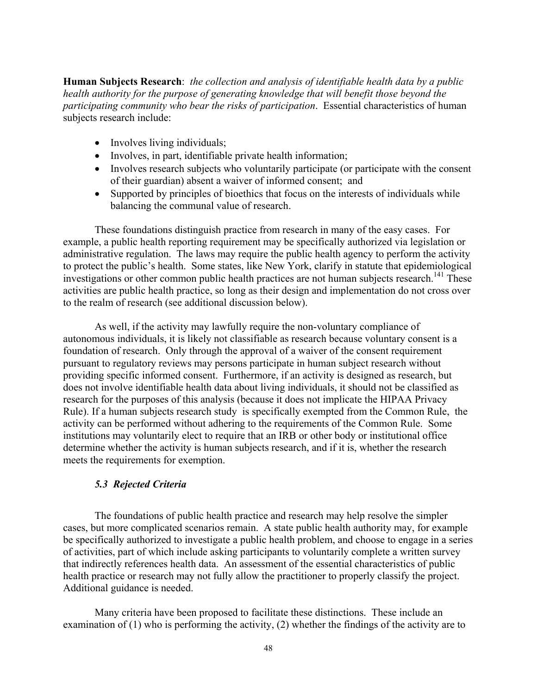<span id="page-47-0"></span>**Human Subjects Research**: *the collection and analysis of identifiable health data by a public health authority for the purpose of generating knowledge that will benefit those beyond the participating community who bear the risks of participation*. Essential characteristics of human subjects research include:

- Involves living individuals;
- Involves, in part, identifiable private health information;
- Involves research subjects who voluntarily participate (or participate with the consent of their guardian) absent a waiver of informed consent; and
- Supported by principles of bioethics that focus on the interests of individuals while balancing the communal value of research.

These foundations distinguish practice from research in many of the easy cases. For example, a public health reporting requirement may be specifically authorized via legislation or administrative regulation. The laws may require the public health agency to perform the activity to protect the public's health. Some states, like New York, clarify in statute that epidemiological investigations or other common public health practices are not human subjects research.<sup>141</sup> These activities are public health practice, so long as their design and implementation do not cross over to the realm of research (see additional discussion below).

As well, if the activity may lawfully require the non-voluntary compliance of autonomous individuals, it is likely not classifiable as research because voluntary consent is a foundation of research. Only through the approval of a waiver of the consent requirement pursuant to regulatory reviews may persons participate in human subject research without providing specific informed consent. Furthermore, if an activity is designed as research, but does not involve identifiable health data about living individuals, it should not be classified as research for the purposes of this analysis (because it does not implicate the HIPAA Privacy Rule). If a human subjects research study is specifically exempted from the Common Rule, the activity can be performed without adhering to the requirements of the Common Rule. Some institutions may voluntarily elect to require that an IRB or other body or institutional office determine whether the activity is human subjects research, and if it is, whether the research meets the requirements for exemption.

#### *5.3 Rejected Criteria*

The foundations of public health practice and research may help resolve the simpler cases, but more complicated scenarios remain. A state public health authority may, for example be specifically authorized to investigate a public health problem, and choose to engage in a series of activities, part of which include asking participants to voluntarily complete a written survey that indirectly references health data. An assessment of the essential characteristics of public health practice or research may not fully allow the practitioner to properly classify the project. Additional guidance is needed.

Many criteria have been proposed to facilitate these distinctions. These include an examination of (1) who is performing the activity, (2) whether the findings of the activity are to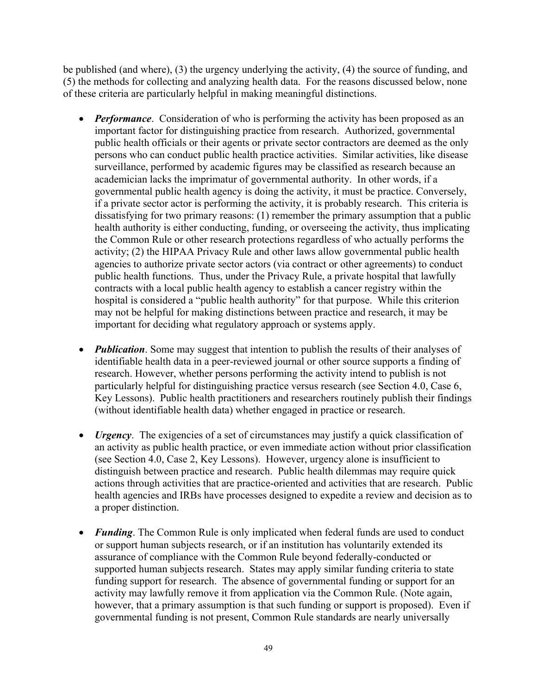be published (and where), (3) the urgency underlying the activity, (4) the source of funding, and (5) the methods for collecting and analyzing health data. For the reasons discussed below, none of these criteria are particularly helpful in making meaningful distinctions.

- *Performance*. Consideration of who is performing the activity has been proposed as an important factor for distinguishing practice from research. Authorized, governmental public health officials or their agents or private sector contractors are deemed as the only persons who can conduct public health practice activities. Similar activities, like disease surveillance, performed by academic figures may be classified as research because an academician lacks the imprimatur of governmental authority. In other words, if a governmental public health agency is doing the activity, it must be practice. Conversely, if a private sector actor is performing the activity, it is probably research. This criteria is dissatisfying for two primary reasons: (1) remember the primary assumption that a public health authority is either conducting, funding, or overseeing the activity, thus implicating the Common Rule or other research protections regardless of who actually performs the activity; (2) the HIPAA Privacy Rule and other laws allow governmental public health agencies to authorize private sector actors (via contract or other agreements) to conduct public health functions. Thus, under the Privacy Rule, a private hospital that lawfully contracts with a local public health agency to establish a cancer registry within the hospital is considered a "public health authority" for that purpose. While this criterion may not be helpful for making distinctions between practice and research, it may be important for deciding what regulatory approach or systems apply.
- *Publication*. Some may suggest that intention to publish the results of their analyses of identifiable health data in a peer-reviewed journal or other source supports a finding of research. However, whether persons performing the activity intend to publish is not particularly helpful for distinguishing practice versus research (see Section 4.0, Case 6, Key Lessons). Public health practitioners and researchers routinely publish their findings (without identifiable health data) whether engaged in practice or research.
- *Urgency*. The exigencies of a set of circumstances may justify a quick classification of an activity as public health practice, or even immediate action without prior classification (see Section 4.0, Case 2, Key Lessons). However, urgency alone is insufficient to distinguish between practice and research. Public health dilemmas may require quick actions through activities that are practice-oriented and activities that are research. Public health agencies and IRBs have processes designed to expedite a review and decision as to a proper distinction.
- *Funding*. The Common Rule is only implicated when federal funds are used to conduct or support human subjects research, or if an institution has voluntarily extended its assurance of compliance with the Common Rule beyond federally-conducted or supported human subjects research. States may apply similar funding criteria to state funding support for research. The absence of governmental funding or support for an activity may lawfully remove it from application via the Common Rule. (Note again, however, that a primary assumption is that such funding or support is proposed). Even if governmental funding is not present, Common Rule standards are nearly universally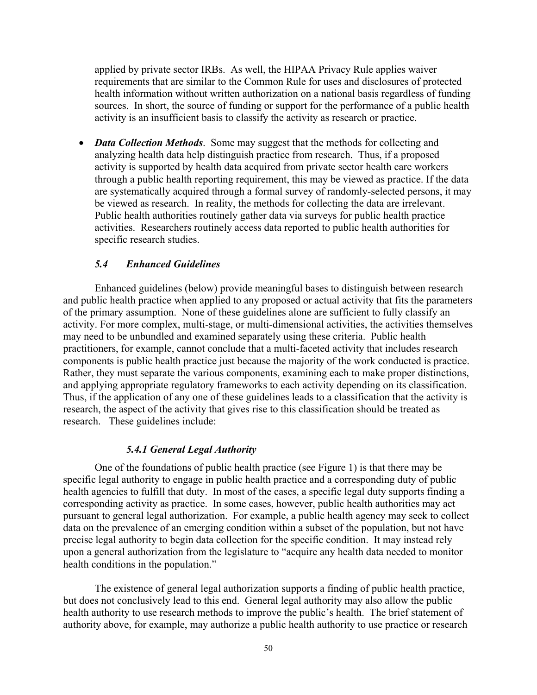<span id="page-49-0"></span>applied by private sector IRBs. As well, the HIPAA Privacy Rule applies waiver requirements that are similar to the Common Rule for uses and disclosures of protected health information without written authorization on a national basis regardless of funding sources. In short, the source of funding or support for the performance of a public health activity is an insufficient basis to classify the activity as research or practice.

 specific research studies. • *Data Collection Methods*. Some may suggest that the methods for collecting and analyzing health data help distinguish practice from research. Thus, if a proposed activity is supported by health data acquired from private sector health care workers through a public health reporting requirement, this may be viewed as practice. If the data are systematically acquired through a formal survey of randomly-selected persons, it may be viewed as research. In reality, the methods for collecting the data are irrelevant. Public health authorities routinely gather data via surveys for public health practice activities. Researchers routinely access data reported to public health authorities for

#### *5.4 Enhanced Guidelines*

Enhanced guidelines (below) provide meaningful bases to distinguish between research and public health practice when applied to any proposed or actual activity that fits the parameters of the primary assumption. None of these guidelines alone are sufficient to fully classify an activity. For more complex, multi-stage, or multi-dimensional activities, the activities themselves may need to be unbundled and examined separately using these criteria. Public health practitioners, for example, cannot conclude that a multi-faceted activity that includes research components is public health practice just because the majority of the work conducted is practice. Rather, they must separate the various components, examining each to make proper distinctions, and applying appropriate regulatory frameworks to each activity depending on its classification. Thus, if the application of any one of these guidelines leads to a classification that the activity is research, the aspect of the activity that gives rise to this classification should be treated as research. These guidelines include:

#### *5.4.1 General Legal Authority*

One of the foundations of public health practice (see Figure 1) is that there may be specific legal authority to engage in public health practice and a corresponding duty of public health agencies to fulfill that duty. In most of the cases, a specific legal duty supports finding a corresponding activity as practice. In some cases, however, public health authorities may act pursuant to general legal authorization. For example, a public health agency may seek to collect data on the prevalence of an emerging condition within a subset of the population, but not have precise legal authority to begin data collection for the specific condition. It may instead rely upon a general authorization from the legislature to "acquire any health data needed to monitor health conditions in the population."

The existence of general legal authorization supports a finding of public health practice, but does not conclusively lead to this end. General legal authority may also allow the public health authority to use research methods to improve the public's health. The brief statement of authority above, for example, may authorize a public health authority to use practice or research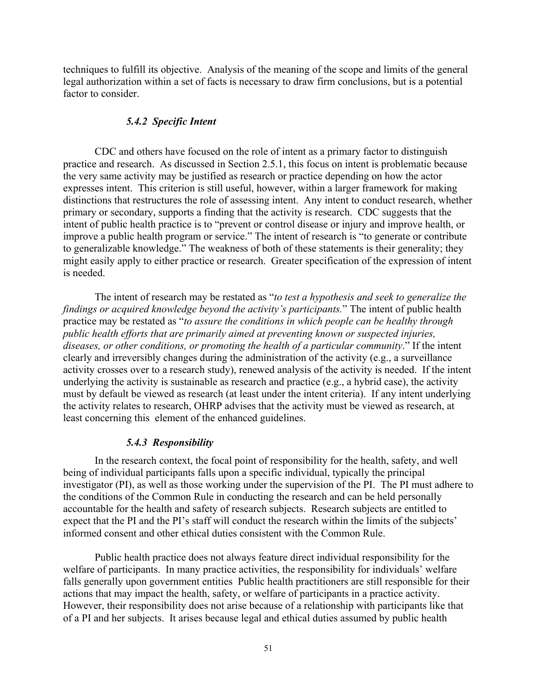<span id="page-50-0"></span>techniques to fulfill its objective. Analysis of the meaning of the scope and limits of the general legal authorization within a set of facts is necessary to draw firm conclusions, but is a potential factor to consider.

#### *5.4.2 Specific Intent*

CDC and others have focused on the role of intent as a primary factor to distinguish practice and research. As discussed in Section 2.5.1, this focus on intent is problematic because the very same activity may be justified as research or practice depending on how the actor expresses intent. This criterion is still useful, however, within a larger framework for making distinctions that restructures the role of assessing intent. Any intent to conduct research, whether primary or secondary, supports a finding that the activity is research. CDC suggests that the intent of public health practice is to "prevent or control disease or injury and improve health, or improve a public health program or service." The intent of research is "to generate or contribute to generalizable knowledge." The weakness of both of these statements is their generality; they might easily apply to either practice or research. Greater specification of the expression of intent is needed.

The intent of research may be restated as "*to test a hypothesis and seek to generalize the findings or acquired knowledge beyond the activity's participants.*" The intent of public health practice may be restated as "*to assure the conditions in which people can be healthy through public health efforts that are primarily aimed at preventing known or suspected injuries, diseases, or other conditions, or promoting the health of a particular community*." If the intent clearly and irreversibly changes during the administration of the activity (e.g., a surveillance activity crosses over to a research study), renewed analysis of the activity is needed. If the intent underlying the activity is sustainable as research and practice (e.g., a hybrid case), the activity must by default be viewed as research (at least under the intent criteria). If any intent underlying the activity relates to research, OHRP advises that the activity must be viewed as research, at least concerning this element of the enhanced guidelines.

#### *5.4.3 Responsibility*

In the research context, the focal point of responsibility for the health, safety, and well being of individual participants falls upon a specific individual, typically the principal investigator (PI), as well as those working under the supervision of the PI. The PI must adhere to the conditions of the Common Rule in conducting the research and can be held personally accountable for the health and safety of research subjects. Research subjects are entitled to expect that the PI and the PI's staff will conduct the research within the limits of the subjects' informed consent and other ethical duties consistent with the Common Rule.

Public health practice does not always feature direct individual responsibility for the welfare of participants. In many practice activities, the responsibility for individuals' welfare falls generally upon government entities Public health practitioners are still responsible for their actions that may impact the health, safety, or welfare of participants in a practice activity. However, their responsibility does not arise because of a relationship with participants like that of a PI and her subjects. It arises because legal and ethical duties assumed by public health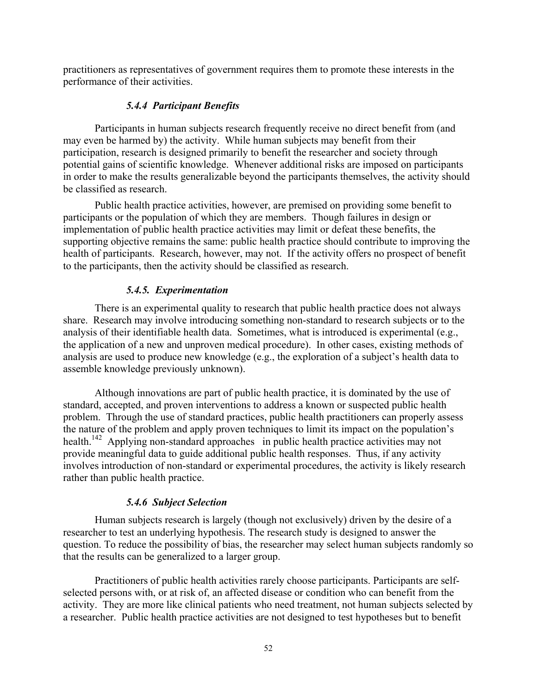<span id="page-51-0"></span>practitioners as representatives of government requires them to promote these interests in the performance of their activities.

#### *5.4.4 Participant Benefits*

Participants in human subjects research frequently receive no direct benefit from (and may even be harmed by) the activity. While human subjects may benefit from their participation, research is designed primarily to benefit the researcher and society through potential gains of scientific knowledge. Whenever additional risks are imposed on participants in order to make the results generalizable beyond the participants themselves, the activity should be classified as research.

Public health practice activities, however, are premised on providing some benefit to participants or the population of which they are members. Though failures in design or implementation of public health practice activities may limit or defeat these benefits, the supporting objective remains the same: public health practice should contribute to improving the health of participants. Research, however, may not. If the activity offers no prospect of benefit to the participants, then the activity should be classified as research.

#### *5.4.5. Experimentation*

There is an experimental quality to research that public health practice does not always share. Research may involve introducing something non-standard to research subjects or to the analysis of their identifiable health data. Sometimes, what is introduced is experimental (e.g., the application of a new and unproven medical procedure). In other cases, existing methods of analysis are used to produce new knowledge (e.g., the exploration of a subject's health data to assemble knowledge previously unknown).

Although innovations are part of public health practice, it is dominated by the use of standard, accepted, and proven interventions to address a known or suspected public health problem. Through the use of standard practices, public health practitioners can properly assess the nature of the problem and apply proven techniques to limit its impact on the population's health.<sup>142</sup> Applying non-standard approaches in public health practice activities may not provide meaningful data to guide additional public health responses. Thus, if any activity involves introduction of non-standard or experimental procedures, the activity is likely research rather than public health practice.

#### *5.4.6 Subject Selection*

Human subjects research is largely (though not exclusively) driven by the desire of a researcher to test an underlying hypothesis. The research study is designed to answer the question. To reduce the possibility of bias, the researcher may select human subjects randomly so that the results can be generalized to a larger group.

Practitioners of public health activities rarely choose participants. Participants are selfselected persons with, or at risk of, an affected disease or condition who can benefit from the activity. They are more like clinical patients who need treatment, not human subjects selected by a researcher. Public health practice activities are not designed to test hypotheses but to benefit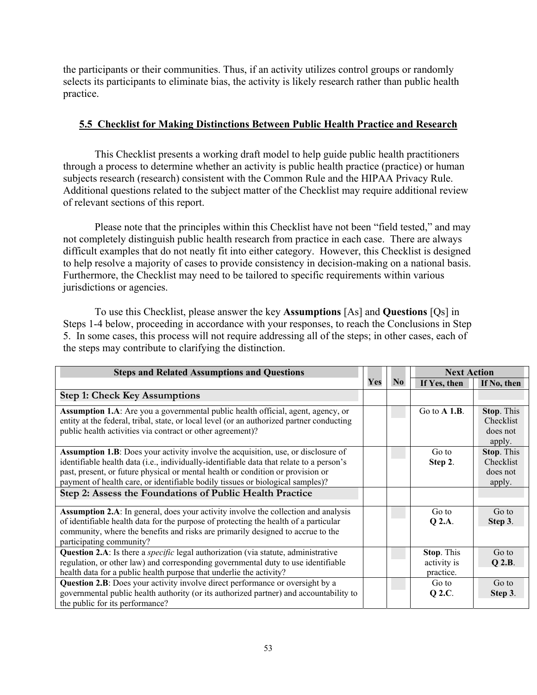the participants or their communities. Thus, if an activity utilizes control groups or randomly selects its participants to eliminate bias, the activity is likely research rather than public health practice.

#### **5.5 Checklist for Making Distinctions Between Public Health Practice and Research**

This Checklist presents a working draft model to help guide public health practitioners through a process to determine whether an activity is public health practice (practice) or human subjects research (research) consistent with the Common Rule and the HIPAA Privacy Rule. Additional questions related to the subject matter of the Checklist may require additional review of relevant sections of this report.

Please note that the principles within this Checklist have not been "field tested," and may not completely distinguish public health research from practice in each case. There are always difficult examples that do not neatly fit into either category. However, this Checklist is designed to help resolve a majority of cases to provide consistency in decision-making on a national basis. Furthermore, the Checklist may need to be tailored to specific requirements within various jurisdictions or agencies.

To use this Checklist, please answer the key **Assumptions** [As] and **Questions** [Qs] in Steps 1-4 below, proceeding in accordance with your responses, to reach the Conclusions in Step 5. In some cases, this process will not require addressing all of the steps; in other cases, each of the steps may contribute to clarifying the distinction.

| <b>Steps and Related Assumptions and Questions</b>                                                                                                                                                                                                                                                                                                                                                             |     |                | <b>Next Action</b>                     |                                               |
|----------------------------------------------------------------------------------------------------------------------------------------------------------------------------------------------------------------------------------------------------------------------------------------------------------------------------------------------------------------------------------------------------------------|-----|----------------|----------------------------------------|-----------------------------------------------|
|                                                                                                                                                                                                                                                                                                                                                                                                                | Yes | N <sub>0</sub> | If Yes, then                           | If No, then                                   |
| <b>Step 1: Check Key Assumptions</b>                                                                                                                                                                                                                                                                                                                                                                           |     |                |                                        |                                               |
| Assumption 1.A: Are you a governmental public health official, agent, agency, or<br>entity at the federal, tribal, state, or local level (or an authorized partner conducting<br>public health activities via contract or other agreement)?                                                                                                                                                                    |     |                | Go to $A$ 1.B.                         | Stop. This<br>Checklist<br>does not<br>apply. |
| Assumption 1.B: Does your activity involve the acquisition, use, or disclosure of<br>identifiable health data (i.e., individually-identifiable data that relate to a person's<br>past, present, or future physical or mental health or condition or provision or<br>payment of health care, or identifiable bodily tissues or biological samples)?<br>Step 2: Assess the Foundations of Public Health Practice |     |                | Go to<br>Step 2.                       | Stop. This<br>Checklist<br>does not<br>apply. |
| <b>Assumption 2.A</b> : In general, does your activity involve the collection and analysis<br>of identifiable health data for the purpose of protecting the health of a particular<br>community, where the benefits and risks are primarily designed to accrue to the<br>participating community?                                                                                                              |     |                | Go to<br>Q 2.A.                        | Go to<br>Step 3.                              |
| Question 2.A: Is there a <i>specific</i> legal authorization (via statute, administrative<br>regulation, or other law) and corresponding governmental duty to use identifiable<br>health data for a public health purpose that underlie the activity?                                                                                                                                                          |     |                | Stop. This<br>activity is<br>practice. | Go to<br>$Q$ 2.B.                             |
| <b>Question 2.B</b> : Does your activity involve direct performance or oversight by a<br>governmental public health authority (or its authorized partner) and accountability to<br>the public for its performance?                                                                                                                                                                                             |     |                | Go to<br>Q 2.C.                        | Go to<br>Step 3.                              |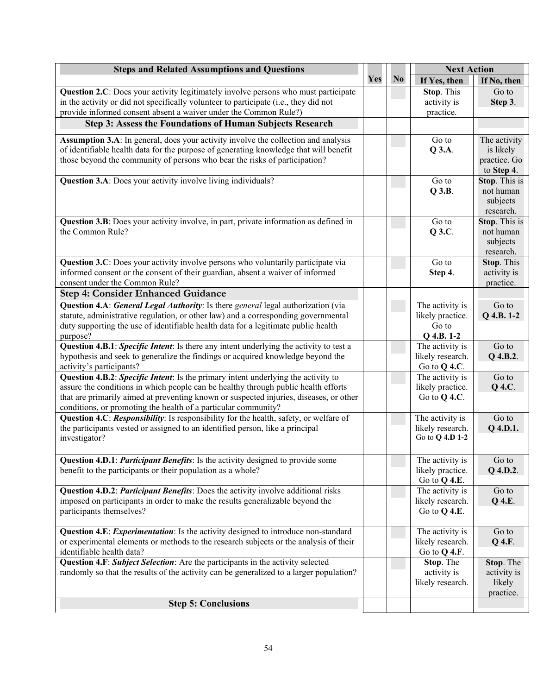| <b>Steps and Related Assumptions and Questions</b>                                                                                                       |     |                | <b>Next Action</b> |                            |
|----------------------------------------------------------------------------------------------------------------------------------------------------------|-----|----------------|--------------------|----------------------------|
|                                                                                                                                                          | Yes | N <sub>0</sub> | If Yes, then       | If No, then                |
| Question 2.C: Does your activity legitimately involve persons who must participate                                                                       |     |                | Stop. This         | Go to                      |
| in the activity or did not specifically volunteer to participate (i.e., they did not                                                                     |     |                | activity is        | Step 3.                    |
| provide informed consent absent a waiver under the Common Rule?)                                                                                         |     |                | practice.          |                            |
| Step 3: Assess the Foundations of Human Subjects Research                                                                                                |     |                |                    |                            |
| Assumption 3.A: In general, does your activity involve the collection and analysis                                                                       |     |                | Go to              | The activity               |
| of identifiable health data for the purpose of generating knowledge that will benefit                                                                    |     |                | Q 3.A.             | is likely                  |
| those beyond the community of persons who bear the risks of participation?                                                                               |     |                |                    | practice. Go               |
|                                                                                                                                                          |     |                |                    | to Step 4.                 |
| Question 3.A: Does your activity involve living individuals?                                                                                             |     |                | Go to              | Stop. This is              |
|                                                                                                                                                          |     |                | $Q$ 3.B.           | not human                  |
|                                                                                                                                                          |     |                |                    | subjects                   |
| Question 3.B: Does your activity involve, in part, private information as defined in                                                                     |     |                | Go to              | research.<br>Stop. This is |
| the Common Rule?                                                                                                                                         |     |                | Q 3.C.             | not human                  |
|                                                                                                                                                          |     |                |                    | subjects                   |
|                                                                                                                                                          |     |                |                    | research.                  |
| Question 3.C: Does your activity involve persons who voluntarily participate via                                                                         |     |                | Go to              | Stop. This                 |
| informed consent or the consent of their guardian, absent a waiver of informed                                                                           |     |                | Step 4.            | activity is                |
| consent under the Common Rule?                                                                                                                           |     |                |                    | practice.                  |
| <b>Step 4: Consider Enhanced Guidance</b>                                                                                                                |     |                |                    |                            |
| Question 4.A: General Legal Authority: Is there general legal authorization (via                                                                         |     |                | The activity is    | Go to                      |
| statute, administrative regulation, or other law) and a corresponding governmental                                                                       |     |                | likely practice.   | Q 4.B. 1-2                 |
| duty supporting the use of identifiable health data for a legitimate public health                                                                       |     |                | Go to              |                            |
| purpose?                                                                                                                                                 |     |                | $Q$ 4.B. 1-2       |                            |
| Question 4.B.1: Specific Intent: Is there any intent underlying the activity to test a                                                                   |     |                | The activity is    | Go to                      |
| hypothesis and seek to generalize the findings or acquired knowledge beyond the                                                                          |     |                | likely research.   | Q 4.B.2.                   |
| activity's participants?                                                                                                                                 |     |                | Go to $Q$ 4.C.     |                            |
| Question 4.B.2: Specific Intent: Is the primary intent underlying the activity to                                                                        |     |                | The activity is    | Go to                      |
| assure the conditions in which people can be healthy through public health efforts                                                                       |     |                | likely practice.   | Q 4.C.                     |
| that are primarily aimed at preventing known or suspected injuries, diseases, or other<br>conditions, or promoting the health of a particular community? |     |                | Go to $Q$ 4.C.     |                            |
| Question 4.C: Responsibility: Is responsibility for the health, safety, or welfare of                                                                    |     |                | The activity is    | Go to                      |
| the participants vested or assigned to an identified person, like a principal                                                                            |     |                | likely research.   | Q 4.D.1.                   |
| investigator?                                                                                                                                            |     |                | Go to Q 4.D 1-2    |                            |
|                                                                                                                                                          |     |                |                    |                            |
| Question 4.D.1: <i>Participant Benefits</i> : Is the activity designed to provide some                                                                   |     |                | The activity is    | Go to                      |
| benefit to the participants or their population as a whole?                                                                                              |     |                | likely practice.   | Q 4.D.2.                   |
|                                                                                                                                                          |     |                | Go to Q 4.E.       |                            |
| Question 4.D.2: <i>Participant Benefits</i> : Does the activity involve additional risks                                                                 |     |                | The activity is    | Go to                      |
| imposed on participants in order to make the results generalizable beyond the                                                                            |     |                | likely research.   | Q 4.E.                     |
| participants themselves?                                                                                                                                 |     |                | Go to $Q$ 4.E.     |                            |
| Question 4.E: <i>Experimentation</i> : Is the activity designed to introduce non-standard                                                                |     |                | The activity is    | Go to                      |
| or experimental elements or methods to the research subjects or the analysis of their                                                                    |     |                | likely research.   | Q 4.F.                     |
| identifiable health data?                                                                                                                                |     |                | Go to $Q$ 4.F.     |                            |
| Question 4.F: Subject Selection: Are the participants in the activity selected                                                                           |     |                | Stop. The          | Stop. The                  |
| randomly so that the results of the activity can be generalized to a larger population?                                                                  |     |                | activity is        | activity is                |
|                                                                                                                                                          |     |                | likely research.   | likely                     |
|                                                                                                                                                          |     |                |                    | practice.                  |
| <b>Step 5: Conclusions</b>                                                                                                                               |     |                |                    |                            |
|                                                                                                                                                          |     |                |                    |                            |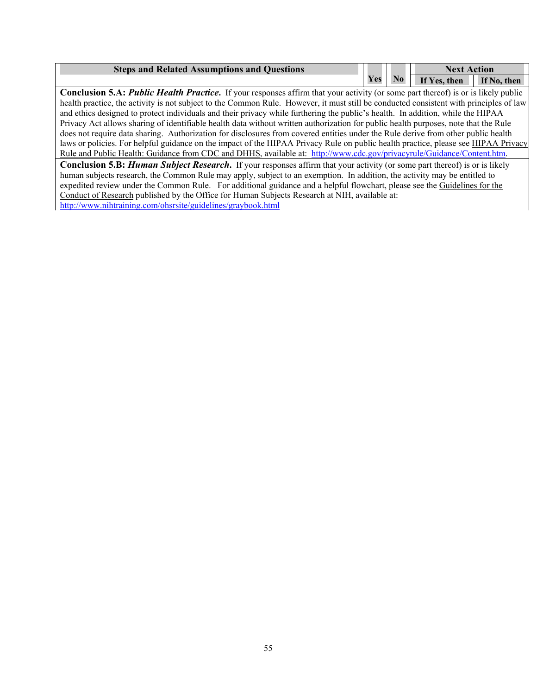| <b>Steps and Related Assumptions and Questions</b> |     |       | <b>Next Action</b>       |  |
|----------------------------------------------------|-----|-------|--------------------------|--|
|                                                    | Yes | No No | If Yes, then If No, then |  |

 and ethics designed to protect individuals and their privacy while furthering the public's health. In addition, while the HIPAA **Conclusion 5.A:** *Public Health Practice*. If your responses affirm that your activity (or some part thereof) is or is likely public health practice, the activity is not subject to the Common Rule. However, it must still be conducted consistent with principles of law Privacy Act allows sharing of identifiable health data without written authorization for public health purposes, note that the Rule does not require data sharing. Authorization for disclosures from covered entities under the Rule derive from other public health laws or policies. For helpful guidance on the impact of the HIPAA Privacy Rule on public health practice, please see HIPAA Privacy Rule and Public Health: Guidance from CDC and DHHS, available at: http://www.cdc.gov/privacyrule/Guidance/Content.htm.

expedited review under the Common Rule. For additional guidance and a helpful flowchart, please see the Guidelines for the Conduct of Research published by the Office for Human Subjects Research at NIH, available at: http://www.nihtraining.com/ohsrsite/guidelines/graybook.html **Conclusion 5.B:** *Human Subject Research***.** If your responses affirm that your activity (or some part thereof) is or is likely human subjects research, the Common Rule may apply, subject to an exemption. In addition, the activity may be entitled to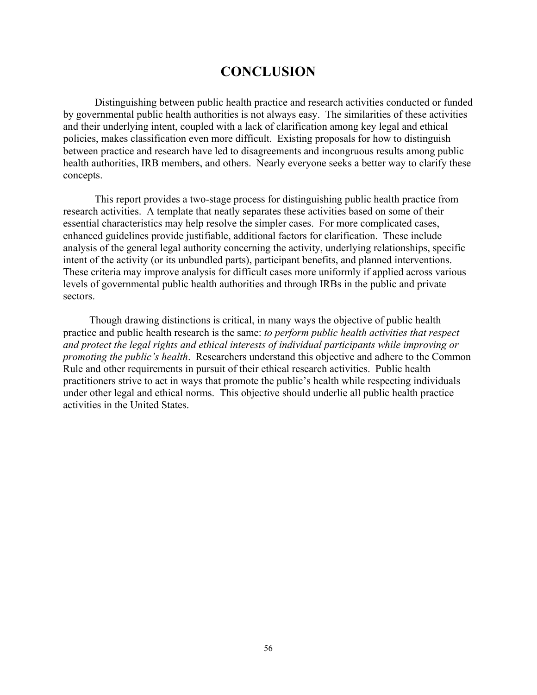## **CONCLUSION**

<span id="page-55-0"></span>Distinguishing between public health practice and research activities conducted or funded by governmental public health authorities is not always easy. The similarities of these activities and their underlying intent, coupled with a lack of clarification among key legal and ethical policies, makes classification even more difficult. Existing proposals for how to distinguish between practice and research have led to disagreements and incongruous results among public health authorities, IRB members, and others. Nearly everyone seeks a better way to clarify these concepts.

This report provides a two-stage process for distinguishing public health practice from research activities. A template that neatly separates these activities based on some of their essential characteristics may help resolve the simpler cases. For more complicated cases, enhanced guidelines provide justifiable, additional factors for clarification. These include analysis of the general legal authority concerning the activity, underlying relationships, specific intent of the activity (or its unbundled parts), participant benefits, and planned interventions. These criteria may improve analysis for difficult cases more uniformly if applied across various levels of governmental public health authorities and through IRBs in the public and private sectors.

 Though drawing distinctions is critical, in many ways the objective of public health practice and public health research is the same: *to perform public health activities that respect and protect the legal rights and ethical interests of individual participants while improving or promoting the public's health*. Researchers understand this objective and adhere to the Common Rule and other requirements in pursuit of their ethical research activities. Public health practitioners strive to act in ways that promote the public's health while respecting individuals under other legal and ethical norms. This objective should underlie all public health practice activities in the United States.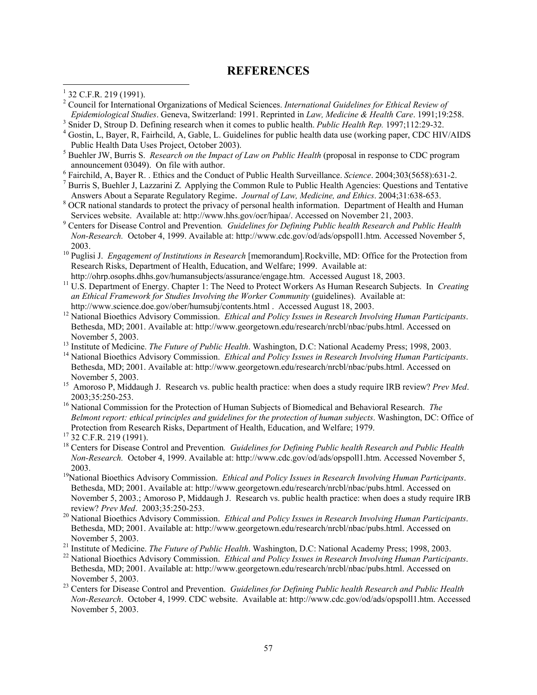#### **REFERENCES**

<span id="page-56-0"></span> $\overline{a}$ 

- Fairchild, A, Bayer R. . Ethics and the Conduct of Public Health Surveillance. *Science*. 2004;303(5658):631-2. 7
- Answers About a Separate Regulatory Regime. *Journal of Law, Medicine, and Ethics*. 2004;31:638-653.<br><sup>8</sup> OCB patienal standards to protect the privacy of personal health information. Department of Health and H Burris S, Buehler J, Lazzarini Z*.* Applying the Common Rule to Public Health Agencies: Questions and Tentative
- OCR national standards to protect the privacy of personal health information. Department of Health and Human Services website. Available at: http://www.hhs.gov/ocr/hipaa/. Accessed on November 21, 2003.
- Centers for Disease Control and Prevention*. Guidelines for Defining Public health Research and Public Health Non-Research.* October 4, 1999. Available at: http://www.cdc.gov/od/ads/opspoll1.htm. Accessed November 5,

 2003. 10 Puglisi J. *Engagement of Institutions in Research* [memorandum]*.*Rockville, MD: Office for the Protection from Research Risks, Department of Health, Education, and Welfare; 1999. Available at:<br>http://ohrp.osophs.dhhs.gov/humansubjects/assurance/engage.htm. Accessed August 18, 2003.

http://ohrp.osophs.dhhs.gov/humansubjects/assurance/engage.htm. Accessed August 18, 2003.<br><sup>11</sup> U.S. Department of Energy. Chapter 1: The Need to Protect Workers As Human Research Subjects. In *Creating an Ethical Framework for Studies Involving the Worker Community* (guidelines). Available at:

- http://www.science.doe.gov/ober/humsubj/contents.html . Accessed August 18, 2003.<br><sup>12</sup> National Bioethics Advisory Commission. *Ethical and Policy Issues in Research Involving Human Participants*. Bethesda, MD; 2001. Available at: http://www.georgetown.edu/research/nrcbl/nbac/pubs.html. Accessed on
- 
- November 5, 2003. 15 Amoroso P, Middaugh J. Research vs. public health practice: when does a study require IRB review? *Prev Med*. November 5, 2003.<br><sup>13</sup> Institute of Medicine. *The Future of Public Health*. Washington, D.C: National Academy Press; 1998, 2003.<br><sup>14</sup> National Bioethics Advisory Commission. *Ethical and Policy Issues in Research Involvin* Bethesda, MD; 2001. Available at: http://www.georgetown.edu/research/nrcbl/nbac/pubs.html. Accessed on
- 2003;35:250-253. 16 National Commission for the Protection of Human Subjects of Biomedical and Behavioral Research. *The*
- *Belmont report: ethical principles and guidelines for the protection of human subjects*. Washington, DC: Office of Protection from Research Risks, Department of Health, Education, and Welfare; 1979. 17 32 C.F.R. 219 (1991).
- <sup>18</sup> Centers for Disease Control and Prevention. Guidelines for Defining Public health Research and Public Health *Non-Research.* October 4, 1999. Available at: http://www.cdc.gov/od/ads/opspoll1.htm. Accessed November 5, 2003. 19National Bioethics Advisory Commission. *Ethical and Policy Issues in Research Involving Human Participants*.
- November 5, 2003.; Amoroso P, Middaugh J. Research vs. public health practice: when does a study require IRB Bethesda, MD; 2001. Available at: http://www.georgetown.edu/research/nrcbl/nbac/pubs.html. Accessed on
- review? *Prev Med*. 2003;35:250-253. 20 National Bioethics Advisory Commission. *Ethical and Policy Issues in Research Involving Human Participants*. Bethesda, MD; 2001. Available at: http://www.georgetown.edu/research/nrcbl/nbac/pubs.html. Accessed on
- 
- November 5, 2003.<br><sup>21</sup> Institute of Medicine. *The Future of Public Health*. Washington, D.C: National Academy Press; 1998, 2003.<br><sup>22</sup> National Bioethics Advisory Commission. *Ethical and Policy Issues in Research Involvin* Bethesda, MD; 2001. Available at: http://www.georgetown.edu/research/nrcbl/nbac/pubs.html. Accessed on
- <sup>23</sup> Centers for Disease Control and Prevention. *Guidelines for Defining Public health Research and Public Health Non-Research*. October 4, 1999. CDC website. Available at: http://www.cdc.gov/od/ads/opspoll1.htm. Accessed November 5, 2003.

 $1$  32 C.F.R. 219 (1991).

<sup>2</sup> Council for International Organizations of Medical Sciences. *International Guidelines for Ethical Review of Epidemiological Studies*. Geneva, Switzerland: 1991. Reprinted in *Law, Medicine & Health Care*. 1991;19:258. 3

<sup>&</sup>lt;sup>3</sup> Snider D, Stroup D. Defining research when it comes to public health. *Public Health Rep.* 1997;112:29-32.

 Gostin, L, Bayer, R, Fairhcild, A, Gable, L. Guidelines for public health data use (working paper, CDC HIV/AIDS Public Health Data Uses Project, October 2003).

 Buehler JW, Burris S. *Research on the Impact of Law on Public Health* (proposal in response to CDC program announcement 03049). On file with author.<br> $6 \rightarrow 6$  Esimphild A. Power B. Ethios and the Condu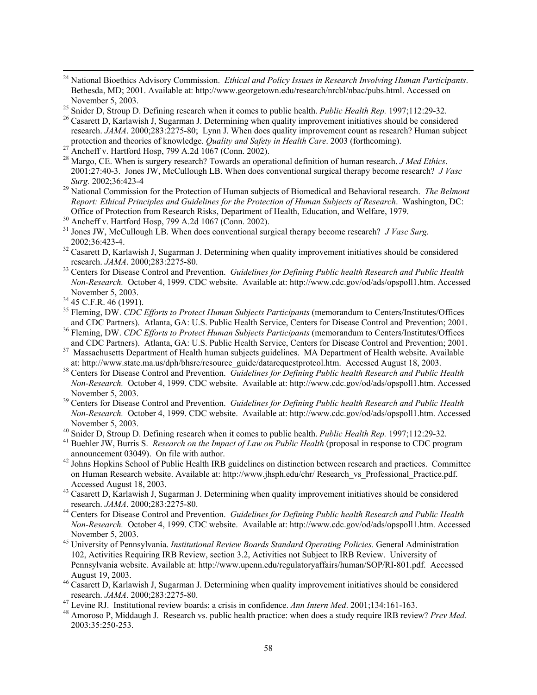- 24 National Bioethics Advisory Commission. *Ethical and Policy Issues in Research Involving Human Participants*. Bethesda, MD; 2001. Available at: http://www.georgetown.edu/research/nrcbl/nbac/pubs.html. Accessed on November 5, 2003.<br><sup>25</sup> Snider D, Stroup D. Defining research when it comes to public health. *Public Health Rep*. 1997;112:29-32.<br><sup>26</sup> Casarett D. Karlawish J. Sugarman J. Determining when quality improvement initiatives s
- 
- research. *JAMA*. 2000;283:2275-80; Lynn J. When does quality improvement count as research? Human subject protection and theories of knowledge. *Quality and Safety in Health Care*. 2003 (forthcoming).<br><sup>27</sup> Ancheff v. Hartford Hosp, 799 A.2d 1067 (Conn. 2002).
- Ancheff v. Hartford Hosp. 799 A.2d 1067 (Conn. 2002).
- 2001;27:40-3. Jones JW, McCullough LB. When does conventional surgical therapy become research? *J Vasc*  28 Margo, CE. When is surgery research? Towards an operational definition of human research. *J Med Ethics*.
- *Surg.* 2002;36:423-4 29 National Commission for the Protection of Human subjects of Biomedical and Behavioral research. *The Belmont Report: Ethical Principles and Guidelines for the Protection of Human Subjects of Research*. Washington, DC: Office of Protection from Research Risks, Department of Health, Education, and Welfare, 1979.
- <sup>30</sup> Ancheff v. Hartford Hosp, 799 A.2d 1067 (Conn. 2002).
- 31 Jones JW, McCullough LB. When does conventional surgical therapy become research? *J Vasc Surg.*  2002;36:423-4. 32 Casarett D, Karlawish J, Sugarman J. Determining when quality improvement initiatives should be considered
- research. *JAMA*. 2000;283:2275-80.<br><sup>33</sup> Centers for Disease Control and Prevention. *Guidelines for Defining Public health Research and Public Health*
- *Non-Research.* October 4, 1999. CDC website. Available at: http://www.cdc.gov/od/ads/opspoll1.htm. Accessed November 5, 2003.<br><sup>34</sup> 45 C.F.R. 46 (1991).
- 

 $\overline{a}$ 

- <sup>35</sup> Fleming, DW. *CDC Efforts to Protect Human Subjects Participants* (memorandum to Centers/Institutes/Offices
- and CDC Partners). Atlanta, GA: U.S. Public Health Service, Centers for Disease Control and Prevention; 2001.<br><sup>36</sup> Fleming, DW. *CDC Efforts to Protect Human Subjects Participants* (memorandum to Centers/Institutes/Offices
- <sup>37</sup> Massachusetts Department of Health human subjects guidelines. MA Department of Health website. Available at: http://www.state.ma.us/dph/bhsre/resource guide/datarequestprotcol.htm. Accessed August 18, 2003.
- <sup>38</sup> Centers for Disease Control and Prevention. Guidelines for Defining Public health Research and Public Health *Non-Research.* October 4, 1999. CDC website. Available at: http://www.cdc.gov/od/ads/opspoll1.htm. Accessed
- <sup>39</sup> Centers for Disease Control and Prevention. *Guidelines for Defining Public health Research and Public Health Non-Research.* October 4, 1999. CDC website. Available at: http://www.cdc.gov/od/ads/opspoll1.htm. Accessed
- 
- <sup>41</sup> Buehler JW, Burris S. Research on the Impact of Law on Public Health (proposal in response to CDC program November 5, 2003.<br><sup>40</sup> Snider D, Stroup D. Defining research when it comes to public health. *Public Health Rep.* 1997;112:29-32.<br><sup>41</sup> Buehler JW, Burris S. *Research on the Impact of Law on Public Health* (proposal in res
- on Human Research website. Available at: http://www.jhsph.edu/chr/ Research vs Professional Practice.pdf. announcement 03049). On file with author. 42 Johns Hopkins School of Public Health IRB guidelines on distinction between research and practices. Committee
- Accessed August 18, 2003.<br><sup>43</sup> Casarett D, Karlawish J, Sugarman J. Determining when quality improvement initiatives should be considered research. *JAMA*. 2000;283:2275-80.
- November 5, 2003. 45 University of Pennsylvania. *Institutional Review Boards Standard Operating Policies.* General Administration research. *JAMA*. 2000;283:2275-80. 44 Centers for Disease Control and Prevention. *Guidelines for Defining Public health Research and Public Health Non-Research.* October 4, 1999. CDC website. Available at: http://www.cdc.gov/od/ads/opspoll1.htm. Accessed
- 102, Activities Requiring IRB Review, section 3.2, Activities not Subject to IRB Review. University of Pennsylvania website. Available at: http://www.upenn.edu/regulatoryaffairs/human/SOP/RI-801.pdf. Accessed
- August 19, 2003. 46 Casarett D, Karlawish J, Sugarman J. Determining when quality improvement initiatives should be considered
- 
- research. *JAMA*. 2000;283:2275-80.<br><sup>47</sup> Levine RJ. Institutional review boards: a crisis in confidence. Ann Intern Med. 2001;134:161-163.<br><sup>48</sup> Amoroso P, Middaugh J. Research vs. public health practice: when does a study 2003;35:250-253.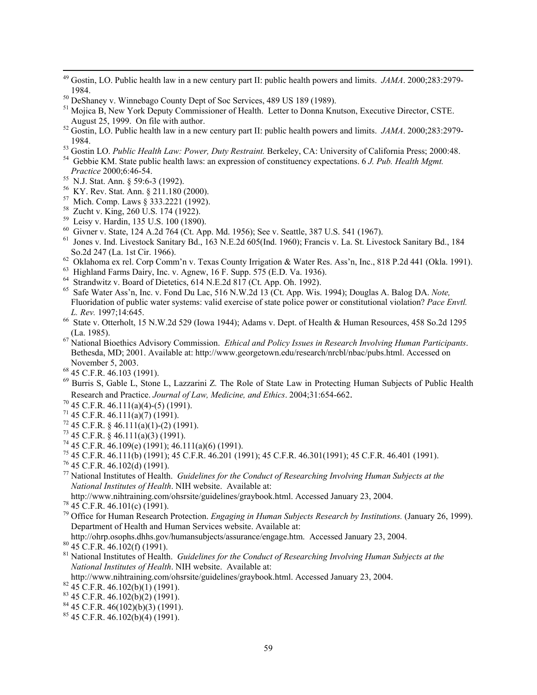- 49 Gostin, LO. Public health law in a new century part II: public health powers and limits. *JAMA*. 2000;283:2979-
- 
- <sup>50</sup> DeShaney v. Winnebago County Dept of Soc Services, 489 US 189 (1989).<br><sup>51</sup> Mojica B, New York Deputy Commissioner of Health. Letter to Donna Knutson, Executive Director, CSTE.<br>August 25, 1999. On file with author.
- <sup>52</sup> Gostin, LO. Public health law in a new century part II: public health powers and limits. *JAMA*. 2000;283:2979-1984.<br><sup>53</sup> Gostin LO. *Public Health Law: Power, Duty Restraint*. Berkeley, CA: University of California Press; 2000:48.<br><sup>54</sup> Gebbie KM. State public health laws: an expression of constituency expectations. 6 J. Pub. Healt
- 
- *Practice* 2000;6:46-54.<br><sup>55</sup> N.J. Stat. Ann. § 59:6-3 (1992).
- 

 $\overline{a}$ 

- 56 KY. Rev. Stat. Ann. § 211.180 (2000).
- 57 Mich. Comp. Laws § 333.2221 (1992).
- 58 Zucht v. King, 260 U.S. 174 (1922).
- <sup>59</sup> Leisy v. Hardin, 135 U.S. 100 (1890).
- <sup>60</sup> Givner v. State, 124 A.2d 764 (Ct. App. Md. 1956); See v. Seattle, 387 U.S. 541 (1967).
- <sup>59</sup> Leisy v. Hardin, 135 U.S. 100 (1890).<br><sup>60</sup> Givner v. State, 124 A.2d 764 (Ct. App. Md. 1956); See v. Seattle, 387 U.S. 541 (1967).<br><sup>61</sup> Jones v. Ind. Livestock Sanitary Bd., 163 N.E.2d 605(Ind. 1960); Francis v. La. S So.2d 247 (La. 1st Cir. 1966).
- $62$  Oklahoma ex rel. Corp Comm'n v. Texas County Irrigation & Water Res. Ass'n, Inc., 818 P.2d 441 (Okla. 1991).
- 63 Highland Farms Dairy, Inc. v. Agnew, 16 F. Supp. 575 (E.D. Va. 1936).
- <sup>64</sup> Strandwitz v. Board of Dietetics, 614 N.E.2d 817 (Ct. App. Oh. 1992).
- 65 Safe Water Ass'n, Inc. v. Fond Du Lac, 516 N.W.2d 13 (Ct. App. Wis. 1994); Douglas A. Balog DA. *Note,*  Fluoridation of public water systems: valid exercise of state police power or constitutional violation? *Pace Envtl. L. Rev.* 1997;14:645.
- 66 State v. Otterholt, 15 N.W.2d 529 (Iowa 1944); Adams v. Dept. of Health & Human Resources, 458 So.2d 1295 (La. 1985). 67 National Bioethics Advisory Commission. *Ethical and Policy Issues in Research Involving Human Participants*.
- Bethesda, MD; 2001. Available at: http://www.georgetown.edu/research/nrcbl/nbac/pubs.html. Accessed on
- $68$  45 C.F.R. 46.103 (1991).
- 69 Burris S, Gable L, Stone L, Lazzarini Z*.* The Role of State Law in Protecting Human Subjects of Public Health Research and Practice. *Journal of Law, Medicine, and Ethics*. 2004;31:654-662.<br><sup>70</sup> 45 C.F.R. 46.111(a)(4)-(5) (1991).
- 
- $71$  45 C.F.R. 46.111(a)(7) (1991).
- $^{72}$  45 C.F.R. § 46.111(a)(1)-(2) (1991).
- $^{73}$  45 C.F.R. § 46.111(a)(3) (1991).
- <sup>74</sup> 45 C.F.R.  $\overline{46.109(e)}$  (1991); 46.111(a)(6) (1991).
- <sup>75</sup> 45 C.F.R. 46.111(b) (1991); 45 C.F.R. 46.201 (1991); 45 C.F.R. 46.301(1991); 45 C.F.R. 46.401 (1991).<br><sup>76</sup> 45 C.F.R. 46.102(d) (1991).
- $76$  45 C.F.R. 46.102(d) (1991).
- 77 National Institutes of Health. *Guidelines for the Conduct of Researching Involving Human Subjects at the National Institutes of Health*. NIH website. Available at:
- http://www.nihtraining.com/ohsrsite/guidelines/graybook.html. Accessed January 23, 2004. 78 45 C.F.R. 46.101(c) (1991).
- 
- 79 Office for Human Research Protection. *Engaging in Human Subjects Research by Institutions.* (January 26, 1999). Department of Health and Human Services website. Available at:
- http://ohrp.osophs.dhhs.gov/humansubjects/assurance/engage.htm. Accessed January 23, 2004. 80 45 C.F.R. 46.102(f) (1991).
- 
- 81 National Institutes of Health. *Guidelines for the Conduct of Researching Involving Human Subjects at the National Institutes of Health*. NIH website. Available at:
- http://www.nihtraining.com/ohsrsite/guidelines/graybook.html. Accessed January 23, 2004. 82 45 C.F.R. 46.102(b)(1) (1991).
- 
- $83$  45 C.F.R. 46.102(b)(2) (1991).
- $84$  45 C.F.R. 46(102)(b)(3) (1991).
- $85$  45 C.F.R. 46.102(b)(4) (1991).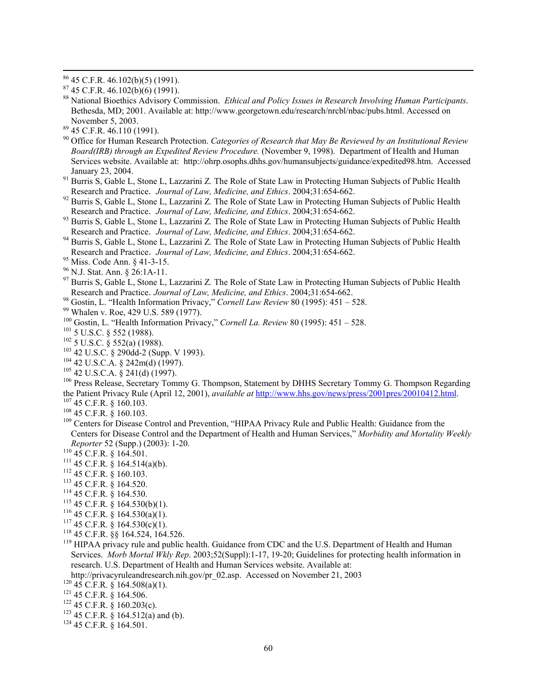$\overline{a}$ 

88 National Bioethics Advisory Commission. *Ethical and Policy Issues in Research Involving Human Participants*. Bethesda, MD; 2001. Available at: http://www.georgetown.edu/research/nrcbl/nbac/pubs.html. Accessed on November 5, 2003. 89 45 C.F.R. 46.110 (1991).

- 90 Office for Human Research Protection. *Categories of Research that May Be Reviewed by an Institutional Review Board(IRB) through an Expedited Review Procedure.* (November 9, 1998). Department of Health and Human Services website. Available at: http://ohrp.osophs.dhhs.gov/humansubjects/guidance/expedited98.htm. Accessed
- January 23, 2004. 91 Burris S, Gable L, Stone L, Lazzarini Z*.* The Role of State Law in Protecting Human Subjects of Public Health
- <sup>92</sup> Burris S, Gable L, Stone L, Lazzarini Z. The Role of State Law in Protecting Human Subjects of Public Health Research and Practice. *Journal of Law, Medicine, and Ethics*. 2004;31:654-662. 93 Burris S, Gable L, Stone L, Lazzarini Z*.* The Role of State Law in Protecting Human Subjects of Public Health
- 
- Research and Practice. *Journal of Law, Medicine, and Ethics*. 2004;31:654-662.<br><sup>94</sup> Burris S, Gable L, Stone L, Lazzarini Z. The Role of State Law in Protecting Human Subjects of Public Health Research and Practice. *Journal of Law, Medicine, and Ethics*. 2004;31:654-662.<br><sup>95</sup> Miss. Code Ann. § 41-3-15.<br><sup>96</sup> N.J. Stat. Ann. § 26:1A-11.
- 
- 
- <sup>97</sup> Burris S, Gable L, Stone L, Lazzarini Z. The Role of State Law in Protecting Human Subjects of Public Health
- Research and Practice. *Journal of Law, Medicine, and Ethics*. 2004;31:654-662.<br><sup>98</sup> Gostin, L. "Health Information Privacy," *Cornell Law Review* 80 (1995): 451 528.<br><sup>99</sup> Whalen v. Roe, 429 U.S. 589 (1977).
- 
- 
- 
- 
- 
- $^{104}$  42 U.S.C.A. § 242m(d) (1997).<br><sup>105</sup> 42 U.S.C.A. § 241(d) (1997).
- 
- <sup>100</sup> Gostin, L. "Health Information Privacy," *Cornell La. Review* 80 (1995): 451 528.<br><sup>101</sup> 5 U.S.C. § 552 (1988).<br><sup>102</sup> 5 U.S.C. § 552(a) (1988).<br><sup>102</sup> 42 U.S.C. § 290dd-2 (Supp. V 1993).<br><sup>104</sup> 42 U.S.C.A. § 242m(d)
- 
- 
- $^{107}$  45 C.F.R. § 160.103.<br> $^{108}$  45 C.F.R. § 160.103.<br> $^{108}$  Centers for Disease Control and Prevention, "HIPAA Privacy Rule and Public Health: Guidance from the Centers for Disease Control and the Department of Health and Human Services," *Morbidity and Mortality Weekly Reporter* 52 (Supp.) (2003): 1-20.<br><sup>110</sup> 45 C.F.R. § 164.501.
- 
- 
- 
- 
- 
- 
- 
- 
- 
- <sup>118</sup> 45 C.F.R.  $\S$ § 164.524, 164.526.<br><sup>119</sup> HIPAA privacy rule and public health. Guidance from CDC and the U.S. Department of Health and Human Reporter 52 (Supp.) (2003): 1-20.<br>
110 45 C.F.R. § 164.501.<br>
111 45 C.F.R. § 164.514(a)(b).<br>
112 45 C.F.R. § 164.514(a)(b).<br>
113 45 C.F.R. § 164.520.<br>
114 45 C.F.R. § 164.530(b)(1).<br>
115 45 C.F.R. § 164.530(a)(1).<br>
117 45 Services. *Morb Mortal Wkly Rep*. 2003;52(Suppl):1-17, 19-20; Guidelines for protecting health information in research. U.S. Department of Health and Human Services website. Available at:
- http://privacyruleandresearch.nih.gov/pr\_02.asp. Accessed on November 21, 2003<br>
<sup>120</sup> 45 C.F.R. § 164.508(a)(1).<br>
<sup>121</sup> 45 C.F.R. § 160.203(c).<br>
<sup>123</sup> 45 C.F.R. § 164.512(a) and (b).<br>
<sup>124</sup> 45 C.F.R. § 164.501.
- 
- 
- 
- <sup>123</sup> 45 C.F.R. § 164.512(a) and (b).
- 

 $86$  45 C.F.R. 46.102(b)(5) (1991).

 $87$  45 C.F.R. 46.102(b)(6) (1991).